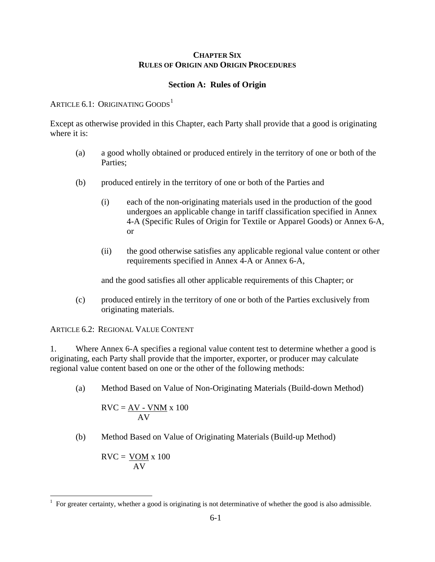#### **CHAPTER SIX RULES OF ORIGIN AND ORIGIN PROCEDURES**

#### **Section A: Rules of Origin**

#### ARTICLE  $6.1$  $6.1$ : ORIGINATING GOODS<sup>1</sup>

Except as otherwise provided in this Chapter, each Party shall provide that a good is originating where it is:

- (a) a good wholly obtained or produced entirely in the territory of one or both of the Parties;
- (b) produced entirely in the territory of one or both of the Parties and
	- (i) each of the non-originating materials used in the production of the good undergoes an applicable change in tariff classification specified in Annex 4-A (Specific Rules of Origin for Textile or Apparel Goods) or Annex 6-A, or
	- (ii) the good otherwise satisfies any applicable regional value content or other requirements specified in Annex 4-A or Annex 6-A,

and the good satisfies all other applicable requirements of this Chapter; or

(c) produced entirely in the territory of one or both of the Parties exclusively from originating materials.

ARTICLE 6.2: REGIONAL VALUE CONTENT

1. Where Annex 6-A specifies a regional value content test to determine whether a good is originating, each Party shall provide that the importer, exporter, or producer may calculate regional value content based on one or the other of the following methods:

(a) Method Based on Value of Non-Originating Materials (Build-down Method)

$$
RVC = \frac{AV - VNM}{AV} \times 100
$$

(b) Method Based on Value of Originating Materials (Build-up Method)

$$
RVC = \frac{VOM}{AV} \times 100
$$

<span id="page-0-0"></span> $\overline{a}$ 1 For greater certainty, whether a good is originating is not determinative of whether the good is also admissible.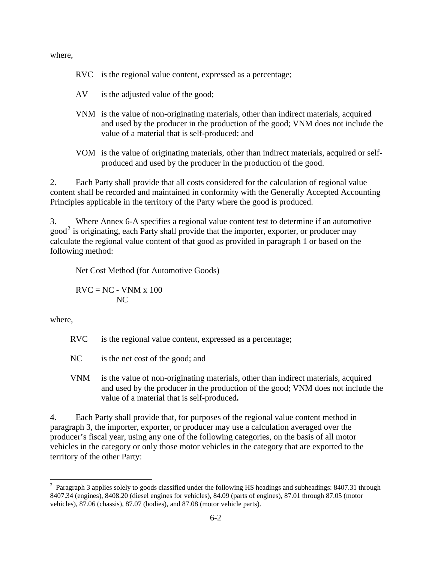where,

| RVC is the regional value content, expressed as a percentage; |  |  |
|---------------------------------------------------------------|--|--|
|                                                               |  |  |

- AV is the adjusted value of the good;
- VNM is the value of non-originating materials, other than indirect materials, acquired and used by the producer in the production of the good; VNM does not include the value of a material that is self-produced; and
- VOM is the value of originating materials, other than indirect materials, acquired or selfproduced and used by the producer in the production of the good.

2. Each Party shall provide that all costs considered for the calculation of regional value content shall be recorded and maintained in conformity with the Generally Accepted Accounting Principles applicable in the territory of the Party where the good is produced.

3. Where Annex 6-A specifies a regional value content test to determine if an automotive good<sup>[2](#page-1-0)</sup> is originating, each Party shall provide that the importer, exporter, or producer may calculate the regional value content of that good as provided in paragraph 1 or based on the following method:

Net Cost Method (for Automotive Goods)

$$
RVC = \frac{NC - VNM}{NC} \times 100
$$

where,

 $\overline{a}$ 

- RVC is the regional value content, expressed as a percentage;
- NC is the net cost of the good; and
- VNM is the value of non-originating materials, other than indirect materials, acquired and used by the producer in the production of the good; VNM does not include the value of a material that is self-produced**.**

4. Each Party shall provide that, for purposes of the regional value content method in paragraph 3, the importer, exporter, or producer may use a calculation averaged over the producer's fiscal year, using any one of the following categories, on the basis of all motor vehicles in the category or only those motor vehicles in the category that are exported to the territory of the other Party:

<span id="page-1-0"></span><sup>&</sup>lt;sup>2</sup> Paragraph 3 applies solely to goods classified under the following HS headings and subheadings: 8407.31 through 8407.34 (engines), 8408.20 (diesel engines for vehicles), 84.09 (parts of engines), 87.01 through 87.05 (motor vehicles), 87.06 (chassis), 87.07 (bodies), and 87.08 (motor vehicle parts).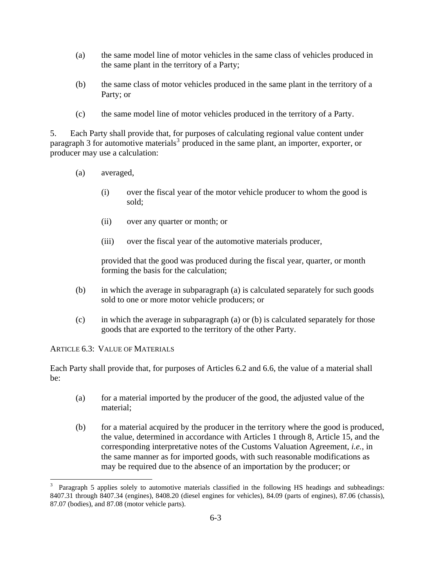- (a) the same model line of motor vehicles in the same class of vehicles produced in the same plant in the territory of a Party;
- (b) the same class of motor vehicles produced in the same plant in the territory of a Party; or
- (c) the same model line of motor vehicles produced in the territory of a Party.

5. Each Party shall provide that, for purposes of calculating regional value content under paragraph [3](#page-2-0) for automotive materials<sup>3</sup> produced in the same plant, an importer, exporter, or producer may use a calculation:

- (a) averaged,
	- (i) over the fiscal year of the motor vehicle producer to whom the good is sold;
	- (ii) over any quarter or month; or
	- (iii) over the fiscal year of the automotive materials producer,

provided that the good was produced during the fiscal year, quarter, or month forming the basis for the calculation;

- (b) in which the average in subparagraph (a) is calculated separately for such goods sold to one or more motor vehicle producers; or
- (c) in which the average in subparagraph (a) or (b) is calculated separately for those goods that are exported to the territory of the other Party.

ARTICLE 6.3: VALUE OF MATERIALS

Each Party shall provide that, for purposes of Articles 6.2 and 6.6, the value of a material shall be:

- (a) for a material imported by the producer of the good, the adjusted value of the material;
- (b) for a material acquired by the producer in the territory where the good is produced, the value, determined in accordance with Articles 1 through 8, Article 15, and the corresponding interpretative notes of the Customs Valuation Agreement, *i.e.*, in the same manner as for imported goods, with such reasonable modifications as may be required due to the absence of an importation by the producer; or

<span id="page-2-0"></span> $\overline{a}$ 3 Paragraph 5 applies solely to automotive materials classified in the following HS headings and subheadings: 8407.31 through 8407.34 (engines), 8408.20 (diesel engines for vehicles), 84.09 (parts of engines), 87.06 (chassis), 87.07 (bodies), and 87.08 (motor vehicle parts).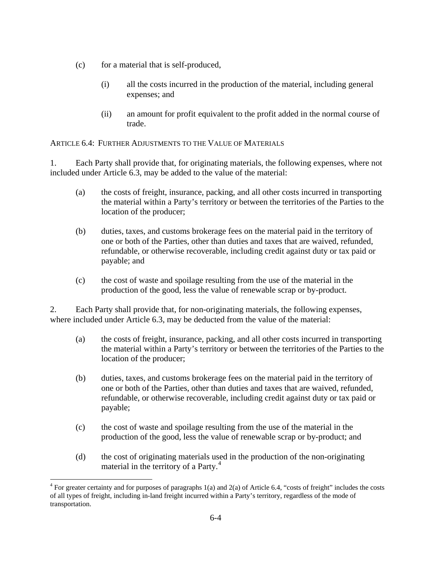- (c) for a material that is self-produced,
	- (i) all the costs incurred in the production of the material, including general expenses; and
	- (ii) an amount for profit equivalent to the profit added in the normal course of trade.

ARTICLE 6.4: FURTHER ADJUSTMENTS TO THE VALUE OF MATERIALS

1. Each Party shall provide that, for originating materials, the following expenses, where not included under Article 6.3, may be added to the value of the material:

- (a) the costs of freight, insurance, packing, and all other costs incurred in transporting the material within a Party's territory or between the territories of the Parties to the location of the producer;
- (b) duties, taxes, and customs brokerage fees on the material paid in the territory of one or both of the Parties, other than duties and taxes that are waived, refunded, refundable, or otherwise recoverable, including credit against duty or tax paid or payable; and
- (c) the cost of waste and spoilage resulting from the use of the material in the production of the good, less the value of renewable scrap or by-product.

2. Each Party shall provide that, for non-originating materials, the following expenses, where included under Article 6.3, may be deducted from the value of the material:

- (a) the costs of freight, insurance, packing, and all other costs incurred in transporting the material within a Party's territory or between the territories of the Parties to the location of the producer;
- (b) duties, taxes, and customs brokerage fees on the material paid in the territory of one or both of the Parties, other than duties and taxes that are waived, refunded, refundable, or otherwise recoverable, including credit against duty or tax paid or payable;
- (c) the cost of waste and spoilage resulting from the use of the material in the production of the good, less the value of renewable scrap or by-product; and
- (d) the cost of originating materials used in the production of the non-originating material in the territory of a Party.<sup>[4](#page-3-0)</sup>

<span id="page-3-0"></span> $\overline{a}$ <sup>4</sup> For greater certainty and for purposes of paragraphs  $1(a)$  and  $2(a)$  of Article 6.4, "costs of freight" includes the costs of all types of freight, including in-land freight incurred within a Party's territory, regardless of the mode of transportation.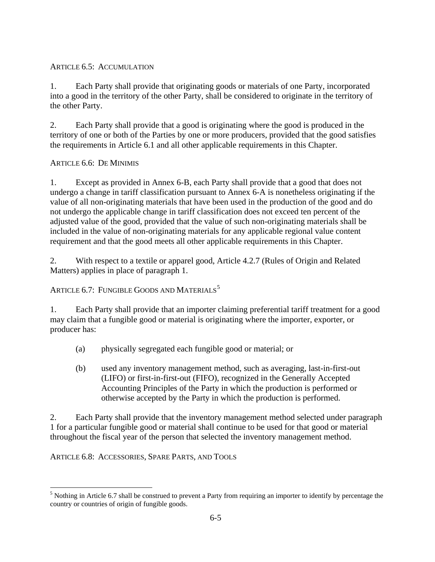## ARTICLE 6.5: ACCUMULATION

1. Each Party shall provide that originating goods or materials of one Party, incorporated into a good in the territory of the other Party, shall be considered to originate in the territory of the other Party.

2. Each Party shall provide that a good is originating where the good is produced in the territory of one or both of the Parties by one or more producers, provided that the good satisfies the requirements in Article 6.1 and all other applicable requirements in this Chapter.

# ARTICLE 6.6: DE MINIMIS

1. Except as provided in Annex 6-B, each Party shall provide that a good that does not undergo a change in tariff classification pursuant to Annex 6-A is nonetheless originating if the value of all non-originating materials that have been used in the production of the good and do not undergo the applicable change in tariff classification does not exceed ten percent of the adjusted value of the good, provided that the value of such non-originating materials shall be included in the value of non-originating materials for any applicable regional value content requirement and that the good meets all other applicable requirements in this Chapter.

2. With respect to a textile or apparel good, Article 4.2.7 (Rules of Origin and Related Matters) applies in place of paragraph 1.

# ARTICLE 6.7: FUNGIBLE GOODS AND MATERIALS<sup>[5](#page-4-0)</sup>

1. Each Party shall provide that an importer claiming preferential tariff treatment for a good may claim that a fungible good or material is originating where the importer, exporter, or producer has:

- (a) physically segregated each fungible good or material; or
- (b) used any inventory management method, such as averaging, last-in-first-out (LIFO) or first-in-first-out (FIFO), recognized in the Generally Accepted Accounting Principles of the Party in which the production is performed or otherwise accepted by the Party in which the production is performed.

2. Each Party shall provide that the inventory management method selected under paragraph 1 for a particular fungible good or material shall continue to be used for that good or material throughout the fiscal year of the person that selected the inventory management method.

ARTICLE 6.8: ACCESSORIES, SPARE PARTS, AND TOOLS

 $\overline{a}$ 

<span id="page-4-0"></span> $<sup>5</sup>$  Nothing in Article 6.7 shall be construed to prevent a Party from requiring an importer to identify by percentage the</sup> country or countries of origin of fungible goods.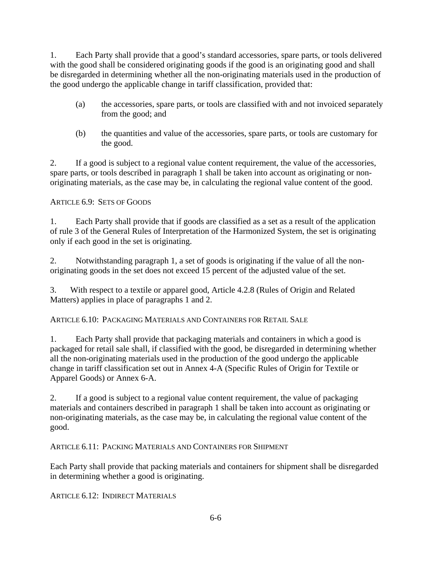1. Each Party shall provide that a good's standard accessories, spare parts, or tools delivered with the good shall be considered originating goods if the good is an originating good and shall be disregarded in determining whether all the non-originating materials used in the production of the good undergo the applicable change in tariff classification, provided that:

- (a) the accessories, spare parts, or tools are classified with and not invoiced separately from the good; and
- (b) the quantities and value of the accessories, spare parts, or tools are customary for the good.

2. If a good is subject to a regional value content requirement, the value of the accessories, spare parts, or tools described in paragraph 1 shall be taken into account as originating or nonoriginating materials, as the case may be, in calculating the regional value content of the good.

### ARTICLE 6.9: SETS OF GOODS

1. Each Party shall provide that if goods are classified as a set as a result of the application of rule 3 of the General Rules of Interpretation of the Harmonized System, the set is originating only if each good in the set is originating.

2. Notwithstanding paragraph 1, a set of goods is originating if the value of all the nonoriginating goods in the set does not exceed 15 percent of the adjusted value of the set.

3. With respect to a textile or apparel good, Article 4.2.8 (Rules of Origin and Related Matters) applies in place of paragraphs 1 and 2.

ARTICLE 6.10: PACKAGING MATERIALS AND CONTAINERS FOR RETAIL SALE

1. Each Party shall provide that packaging materials and containers in which a good is packaged for retail sale shall, if classified with the good, be disregarded in determining whether all the non-originating materials used in the production of the good undergo the applicable change in tariff classification set out in Annex 4-A (Specific Rules of Origin for Textile or Apparel Goods) or Annex 6-A.

2. If a good is subject to a regional value content requirement, the value of packaging materials and containers described in paragraph 1 shall be taken into account as originating or non-originating materials, as the case may be, in calculating the regional value content of the good.

ARTICLE 6.11: PACKING MATERIALS AND CONTAINERS FOR SHIPMENT

Each Party shall provide that packing materials and containers for shipment shall be disregarded in determining whether a good is originating.

ARTICLE 6.12: INDIRECT MATERIALS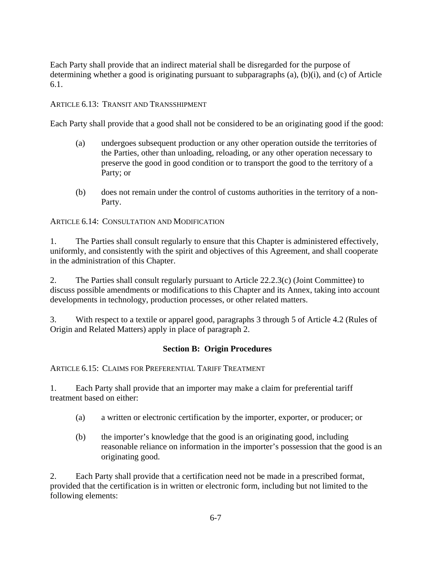Each Party shall provide that an indirect material shall be disregarded for the purpose of determining whether a good is originating pursuant to subparagraphs (a), (b)(i), and (c) of Article 6.1.

### ARTICLE 6.13: TRANSIT AND TRANSSHIPMENT

Each Party shall provide that a good shall not be considered to be an originating good if the good:

- (a) undergoes subsequent production or any other operation outside the territories of the Parties, other than unloading, reloading, or any other operation necessary to preserve the good in good condition or to transport the good to the territory of a Party; or
- (b) does not remain under the control of customs authorities in the territory of a non-Party.

ARTICLE 6.14: CONSULTATION AND MODIFICATION

1. The Parties shall consult regularly to ensure that this Chapter is administered effectively, uniformly, and consistently with the spirit and objectives of this Agreement, and shall cooperate in the administration of this Chapter.

2. The Parties shall consult regularly pursuant to Article 22.2.3(c) (Joint Committee) to discuss possible amendments or modifications to this Chapter and its Annex, taking into account developments in technology, production processes, or other related matters.

3. With respect to a textile or apparel good, paragraphs 3 through 5 of Article 4.2 (Rules of Origin and Related Matters) apply in place of paragraph 2.

### **Section B: Origin Procedures**

#### ARTICLE 6.15: CLAIMS FOR PREFERENTIAL TARIFF TREATMENT

1. Each Party shall provide that an importer may make a claim for preferential tariff treatment based on either:

- (a) a written or electronic certification by the importer, exporter, or producer; or
- (b) the importer's knowledge that the good is an originating good, including reasonable reliance on information in the importer's possession that the good is an originating good.

2. Each Party shall provide that a certification need not be made in a prescribed format, provided that the certification is in written or electronic form, including but not limited to the following elements: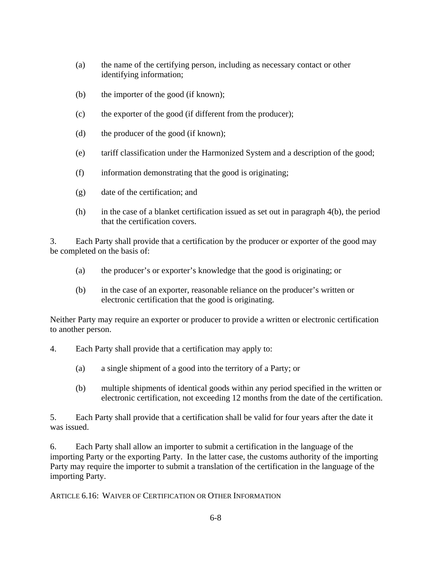- (a) the name of the certifying person, including as necessary contact or other identifying information;
- (b) the importer of the good (if known);
- (c) the exporter of the good (if different from the producer);
- (d) the producer of the good (if known);
- (e) tariff classification under the Harmonized System and a description of the good;
- (f) information demonstrating that the good is originating;
- (g) date of the certification; and
- (h) in the case of a blanket certification issued as set out in paragraph 4(b), the period that the certification covers.

3. Each Party shall provide that a certification by the producer or exporter of the good may be completed on the basis of:

- (a) the producer's or exporter's knowledge that the good is originating; or
- (b) in the case of an exporter, reasonable reliance on the producer's written or electronic certification that the good is originating.

Neither Party may require an exporter or producer to provide a written or electronic certification to another person.

- 4. Each Party shall provide that a certification may apply to:
	- (a) a single shipment of a good into the territory of a Party; or
	- (b) multiple shipments of identical goods within any period specified in the written or electronic certification, not exceeding 12 months from the date of the certification.

5. Each Party shall provide that a certification shall be valid for four years after the date it was issued.

6. Each Party shall allow an importer to submit a certification in the language of the importing Party or the exporting Party. In the latter case, the customs authority of the importing Party may require the importer to submit a translation of the certification in the language of the importing Party.

ARTICLE 6.16: WAIVER OF CERTIFICATION OR OTHER INFORMATION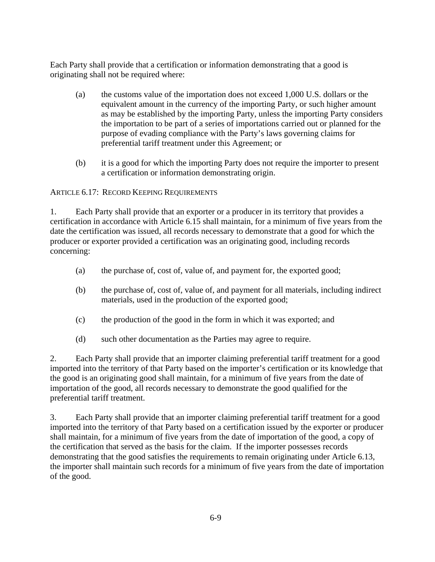Each Party shall provide that a certification or information demonstrating that a good is originating shall not be required where:

- (a) the customs value of the importation does not exceed 1,000 U.S. dollars or the equivalent amount in the currency of the importing Party, or such higher amount as may be established by the importing Party, unless the importing Party considers the importation to be part of a series of importations carried out or planned for the purpose of evading compliance with the Party's laws governing claims for preferential tariff treatment under this Agreement; or
- (b) it is a good for which the importing Party does not require the importer to present a certification or information demonstrating origin.

### ARTICLE 6.17: RECORD KEEPING REQUIREMENTS

1. Each Party shall provide that an exporter or a producer in its territory that provides a certification in accordance with Article 6.15 shall maintain, for a minimum of five years from the date the certification was issued, all records necessary to demonstrate that a good for which the producer or exporter provided a certification was an originating good, including records concerning:

- (a) the purchase of, cost of, value of, and payment for, the exported good;
- (b) the purchase of, cost of, value of, and payment for all materials, including indirect materials, used in the production of the exported good;
- (c) the production of the good in the form in which it was exported; and
- (d) such other documentation as the Parties may agree to require.

2. Each Party shall provide that an importer claiming preferential tariff treatment for a good imported into the territory of that Party based on the importer's certification or its knowledge that the good is an originating good shall maintain, for a minimum of five years from the date of importation of the good, all records necessary to demonstrate the good qualified for the preferential tariff treatment.

3. Each Party shall provide that an importer claiming preferential tariff treatment for a good imported into the territory of that Party based on a certification issued by the exporter or producer shall maintain, for a minimum of five years from the date of importation of the good, a copy of the certification that served as the basis for the claim. If the importer possesses records demonstrating that the good satisfies the requirements to remain originating under Article 6.13, the importer shall maintain such records for a minimum of five years from the date of importation of the good.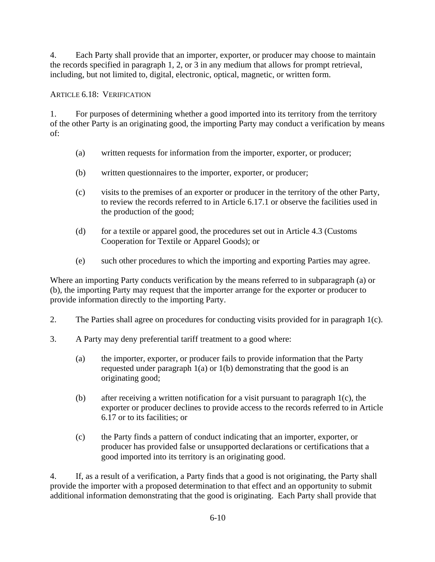4. Each Party shall provide that an importer, exporter, or producer may choose to maintain the records specified in paragraph 1, 2, or 3 in any medium that allows for prompt retrieval, including, but not limited to, digital, electronic, optical, magnetic, or written form.

ARTICLE 6.18: VERIFICATION

1. For purposes of determining whether a good imported into its territory from the territory of the other Party is an originating good, the importing Party may conduct a verification by means of:

- (a) written requests for information from the importer, exporter, or producer;
- (b) written questionnaires to the importer, exporter, or producer;
- (c) visits to the premises of an exporter or producer in the territory of the other Party, to review the records referred to in Article 6.17.1 or observe the facilities used in the production of the good;
- (d) for a textile or apparel good, the procedures set out in Article 4.3 (Customs Cooperation for Textile or Apparel Goods); or
- (e) such other procedures to which the importing and exporting Parties may agree.

Where an importing Party conducts verification by the means referred to in subparagraph (a) or (b), the importing Party may request that the importer arrange for the exporter or producer to provide information directly to the importing Party.

- 2. The Parties shall agree on procedures for conducting visits provided for in paragraph 1(c).
- 3. A Party may deny preferential tariff treatment to a good where:
	- (a) the importer, exporter, or producer fails to provide information that the Party requested under paragraph 1(a) or 1(b) demonstrating that the good is an originating good;
	- (b) after receiving a written notification for a visit pursuant to paragraph 1(c), the exporter or producer declines to provide access to the records referred to in Article 6.17 or to its facilities; or
	- (c) the Party finds a pattern of conduct indicating that an importer, exporter, or producer has provided false or unsupported declarations or certifications that a good imported into its territory is an originating good.

4. If, as a result of a verification, a Party finds that a good is not originating, the Party shall provide the importer with a proposed determination to that effect and an opportunity to submit additional information demonstrating that the good is originating. Each Party shall provide that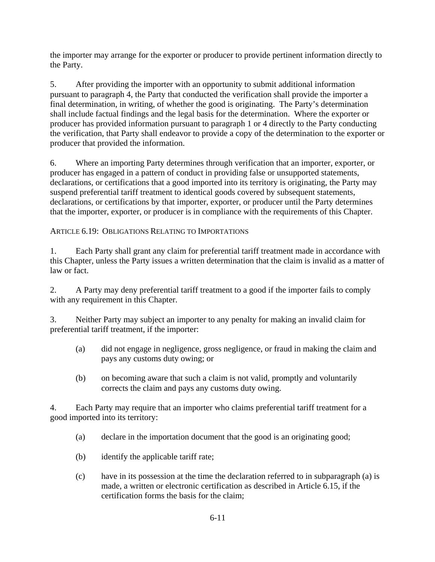the importer may arrange for the exporter or producer to provide pertinent information directly to the Party.

5. After providing the importer with an opportunity to submit additional information pursuant to paragraph 4, the Party that conducted the verification shall provide the importer a final determination, in writing, of whether the good is originating. The Party's determination shall include factual findings and the legal basis for the determination. Where the exporter or producer has provided information pursuant to paragraph 1 or 4 directly to the Party conducting the verification, that Party shall endeavor to provide a copy of the determination to the exporter or producer that provided the information.

6. Where an importing Party determines through verification that an importer, exporter, or producer has engaged in a pattern of conduct in providing false or unsupported statements, declarations, or certifications that a good imported into its territory is originating, the Party may suspend preferential tariff treatment to identical goods covered by subsequent statements, declarations, or certifications by that importer, exporter, or producer until the Party determines that the importer, exporter, or producer is in compliance with the requirements of this Chapter.

## ARTICLE 6.19: OBLIGATIONS RELATING TO IMPORTATIONS

1. Each Party shall grant any claim for preferential tariff treatment made in accordance with this Chapter, unless the Party issues a written determination that the claim is invalid as a matter of law or fact.

2. A Party may deny preferential tariff treatment to a good if the importer fails to comply with any requirement in this Chapter.

3. Neither Party may subject an importer to any penalty for making an invalid claim for preferential tariff treatment, if the importer:

- (a) did not engage in negligence, gross negligence, or fraud in making the claim and pays any customs duty owing; or
- (b) on becoming aware that such a claim is not valid, promptly and voluntarily corrects the claim and pays any customs duty owing.

4. Each Party may require that an importer who claims preferential tariff treatment for a good imported into its territory:

- (a) declare in the importation document that the good is an originating good;
- (b) identify the applicable tariff rate;
- (c) have in its possession at the time the declaration referred to in subparagraph (a) is made, a written or electronic certification as described in Article 6.15, if the certification forms the basis for the claim;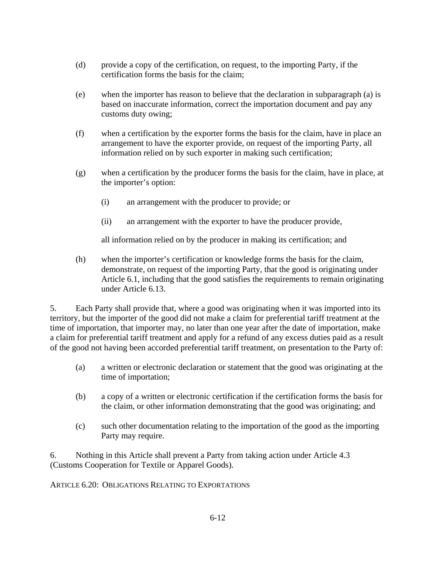- (d) provide a copy of the certification, on request, to the importing Party, if the certification forms the basis for the claim;
- (e) when the importer has reason to believe that the declaration in subparagraph (a) is based on inaccurate information, correct the importation document and pay any customs duty owing;
- (f) when a certification by the exporter forms the basis for the claim, have in place an arrangement to have the exporter provide, on request of the importing Party, all information relied on by such exporter in making such certification;
- (g) when a certification by the producer forms the basis for the claim, have in place, at the importer's option:
	- (i) an arrangement with the producer to provide; or
	- (ii) an arrangement with the exporter to have the producer provide,

all information relied on by the producer in making its certification; and

(h) when the importer's certification or knowledge forms the basis for the claim, demonstrate, on request of the importing Party, that the good is originating under Article 6.1, including that the good satisfies the requirements to remain originating under Article 6.13.

5. Each Party shall provide that, where a good was originating when it was imported into its territory, but the importer of the good did not make a claim for preferential tariff treatment at the time of importation, that importer may, no later than one year after the date of importation, make a claim for preferential tariff treatment and apply for a refund of any excess duties paid as a result of the good not having been accorded preferential tariff treatment, on presentation to the Party of:

- (a) a written or electronic declaration or statement that the good was originating at the time of importation;
- (b) a copy of a written or electronic certification if the certification forms the basis for the claim, or other information demonstrating that the good was originating; and
- (c) such other documentation relating to the importation of the good as the importing Party may require.

6. Nothing in this Article shall prevent a Party from taking action under Article 4.3 (Customs Cooperation for Textile or Apparel Goods).

ARTICLE 6.20: OBLIGATIONS RELATING TO EXPORTATIONS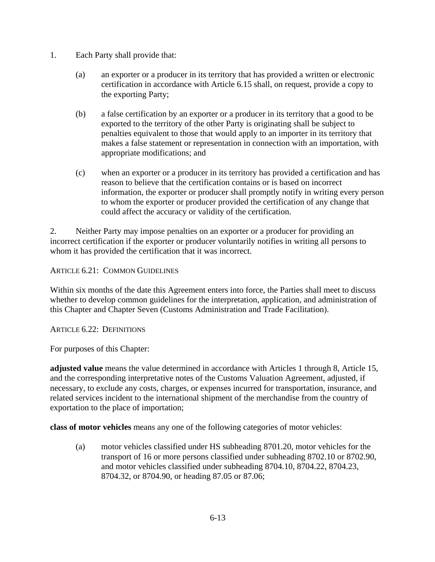- 1. Each Party shall provide that:
	- (a) an exporter or a producer in its territory that has provided a written or electronic certification in accordance with Article 6.15 shall, on request, provide a copy to the exporting Party;
	- (b) a false certification by an exporter or a producer in its territory that a good to be exported to the territory of the other Party is originating shall be subject to penalties equivalent to those that would apply to an importer in its territory that makes a false statement or representation in connection with an importation, with appropriate modifications; and
	- (c) when an exporter or a producer in its territory has provided a certification and has reason to believe that the certification contains or is based on incorrect information, the exporter or producer shall promptly notify in writing every person to whom the exporter or producer provided the certification of any change that could affect the accuracy or validity of the certification.

2. Neither Party may impose penalties on an exporter or a producer for providing an incorrect certification if the exporter or producer voluntarily notifies in writing all persons to whom it has provided the certification that it was incorrect.

ARTICLE 6.21: COMMON GUIDELINES

Within six months of the date this Agreement enters into force, the Parties shall meet to discuss whether to develop common guidelines for the interpretation, application, and administration of this Chapter and Chapter Seven (Customs Administration and Trade Facilitation).

ARTICLE 6.22: DEFINITIONS

For purposes of this Chapter:

**adjusted value** means the value determined in accordance with Articles 1 through 8, Article 15, and the corresponding interpretative notes of the Customs Valuation Agreement, adjusted, if necessary, to exclude any costs, charges, or expenses incurred for transportation, insurance, and related services incident to the international shipment of the merchandise from the country of exportation to the place of importation;

**class of motor vehicles** means any one of the following categories of motor vehicles:

(a) motor vehicles classified under HS subheading 8701.20, motor vehicles for the transport of 16 or more persons classified under subheading 8702.10 or 8702.90, and motor vehicles classified under subheading 8704.10, 8704.22, 8704.23, 8704.32, or 8704.90, or heading 87.05 or 87.06;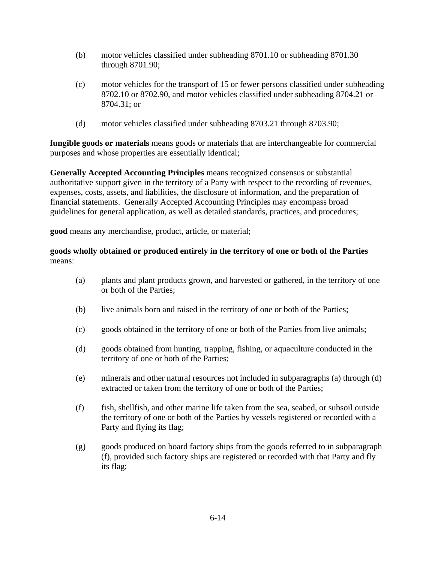- (b) motor vehicles classified under subheading 8701.10 or subheading 8701.30 through 8701.90;
- (c) motor vehicles for the transport of 15 or fewer persons classified under subheading 8702.10 or 8702.90, and motor vehicles classified under subheading 8704.21 or 8704.31; or
- (d) motor vehicles classified under subheading 8703.21 through 8703.90;

**fungible goods or materials** means goods or materials that are interchangeable for commercial purposes and whose properties are essentially identical;

**Generally Accepted Accounting Principles** means recognized consensus or substantial authoritative support given in the territory of a Party with respect to the recording of revenues, expenses, costs, assets, and liabilities, the disclosure of information, and the preparation of financial statements. Generally Accepted Accounting Principles may encompass broad guidelines for general application, as well as detailed standards, practices, and procedures;

**good** means any merchandise, product, article, or material;

#### **goods wholly obtained or produced entirely in the territory of one or both of the Parties**  means:

- (a) plants and plant products grown, and harvested or gathered, in the territory of one or both of the Parties;
- (b) live animals born and raised in the territory of one or both of the Parties;
- (c) goods obtained in the territory of one or both of the Parties from live animals;
- (d) goods obtained from hunting, trapping, fishing, or aquaculture conducted in the territory of one or both of the Parties;
- (e) minerals and other natural resources not included in subparagraphs (a) through (d) extracted or taken from the territory of one or both of the Parties;
- (f) fish, shellfish, and other marine life taken from the sea, seabed, or subsoil outside the territory of one or both of the Parties by vessels registered or recorded with a Party and flying its flag;
- (g) goods produced on board factory ships from the goods referred to in subparagraph (f), provided such factory ships are registered or recorded with that Party and fly its flag;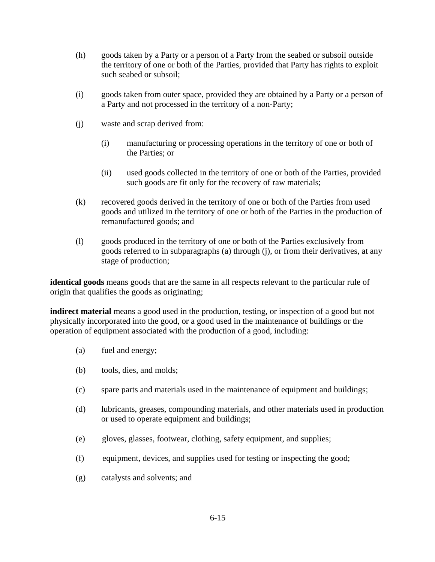- (h) goods taken by a Party or a person of a Party from the seabed or subsoil outside the territory of one or both of the Parties, provided that Party has rights to exploit such seabed or subsoil;
- (i) goods taken from outer space, provided they are obtained by a Party or a person of a Party and not processed in the territory of a non-Party;
- (j) waste and scrap derived from:
	- (i) manufacturing or processing operations in the territory of one or both of the Parties; or
	- (ii) used goods collected in the territory of one or both of the Parties, provided such goods are fit only for the recovery of raw materials;
- (k) recovered goods derived in the territory of one or both of the Parties from used goods and utilized in the territory of one or both of the Parties in the production of remanufactured goods; and
- (l) goods produced in the territory of one or both of the Parties exclusively from goods referred to in subparagraphs (a) through (j), or from their derivatives, at any stage of production;

**identical goods** means goods that are the same in all respects relevant to the particular rule of origin that qualifies the goods as originating;

**indirect material** means a good used in the production, testing, or inspection of a good but not physically incorporated into the good, or a good used in the maintenance of buildings or the operation of equipment associated with the production of a good, including:

- (a) fuel and energy;
- (b) tools, dies, and molds;
- (c) spare parts and materials used in the maintenance of equipment and buildings;
- (d) lubricants, greases, compounding materials, and other materials used in production or used to operate equipment and buildings;
- (e) gloves, glasses, footwear, clothing, safety equipment, and supplies;
- (f) equipment, devices, and supplies used for testing or inspecting the good;
- (g) catalysts and solvents; and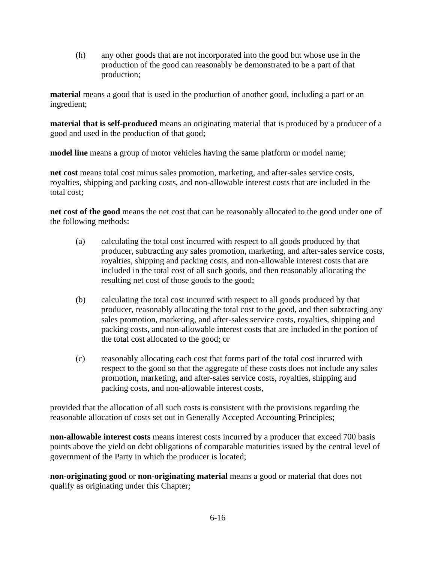(h) any other goods that are not incorporated into the good but whose use in the production of the good can reasonably be demonstrated to be a part of that production;

**material** means a good that is used in the production of another good, including a part or an ingredient;

**material that is self-produced** means an originating material that is produced by a producer of a good and used in the production of that good;

**model line** means a group of motor vehicles having the same platform or model name;

**net cost** means total cost minus sales promotion, marketing, and after-sales service costs, royalties, shipping and packing costs, and non-allowable interest costs that are included in the total cost;

**net cost of the good** means the net cost that can be reasonably allocated to the good under one of the following methods:

- (a) calculating the total cost incurred with respect to all goods produced by that producer, subtracting any sales promotion, marketing, and after-sales service costs, royalties, shipping and packing costs, and non-allowable interest costs that are included in the total cost of all such goods, and then reasonably allocating the resulting net cost of those goods to the good;
- (b) calculating the total cost incurred with respect to all goods produced by that producer, reasonably allocating the total cost to the good, and then subtracting any sales promotion, marketing, and after-sales service costs, royalties, shipping and packing costs, and non-allowable interest costs that are included in the portion of the total cost allocated to the good; or
- (c) reasonably allocating each cost that forms part of the total cost incurred with respect to the good so that the aggregate of these costs does not include any sales promotion, marketing, and after-sales service costs, royalties, shipping and packing costs, and non-allowable interest costs,

provided that the allocation of all such costs is consistent with the provisions regarding the reasonable allocation of costs set out in Generally Accepted Accounting Principles;

**non-allowable interest costs** means interest costs incurred by a producer that exceed 700 basis points above the yield on debt obligations of comparable maturities issued by the central level of government of the Party in which the producer is located;

**non-originating good** or **non-originating material** means a good or material that does not qualify as originating under this Chapter;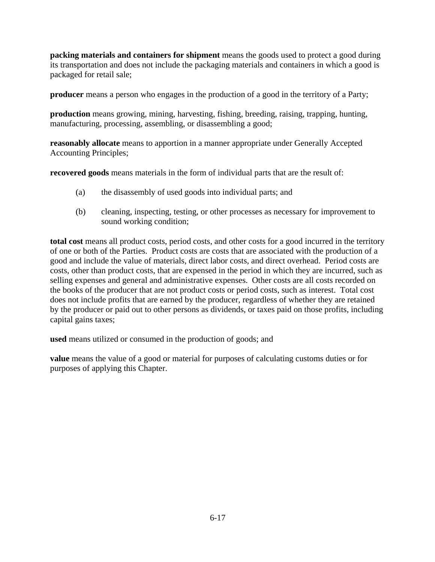**packing materials and containers for shipment** means the goods used to protect a good during its transportation and does not include the packaging materials and containers in which a good is packaged for retail sale;

**producer** means a person who engages in the production of a good in the territory of a Party;

**production** means growing, mining, harvesting, fishing, breeding, raising, trapping, hunting, manufacturing, processing, assembling, or disassembling a good;

**reasonably allocate** means to apportion in a manner appropriate under Generally Accepted Accounting Principles;

**recovered goods** means materials in the form of individual parts that are the result of:

- (a) the disassembly of used goods into individual parts; and
- (b) cleaning, inspecting, testing, or other processes as necessary for improvement to sound working condition;

**total cost** means all product costs, period costs, and other costs for a good incurred in the territory of one or both of the Parties. Product costs are costs that are associated with the production of a good and include the value of materials, direct labor costs, and direct overhead. Period costs are costs, other than product costs, that are expensed in the period in which they are incurred, such as selling expenses and general and administrative expenses. Other costs are all costs recorded on the books of the producer that are not product costs or period costs, such as interest. Total cost does not include profits that are earned by the producer, regardless of whether they are retained by the producer or paid out to other persons as dividends, or taxes paid on those profits, including capital gains taxes;

**used** means utilized or consumed in the production of goods; and

**value** means the value of a good or material for purposes of calculating customs duties or for purposes of applying this Chapter.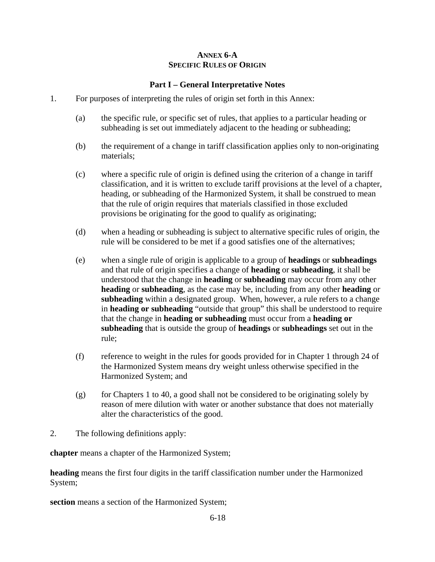#### **ANNEX 6-A SPECIFIC RULES OF ORIGIN**

## **Part I – General Interpretative Notes**

- 1. For purposes of interpreting the rules of origin set forth in this Annex:
	- (a) the specific rule, or specific set of rules, that applies to a particular heading or subheading is set out immediately adjacent to the heading or subheading;
	- (b) the requirement of a change in tariff classification applies only to non-originating materials;
	- (c) where a specific rule of origin is defined using the criterion of a change in tariff classification, and it is written to exclude tariff provisions at the level of a chapter, heading, or subheading of the Harmonized System, it shall be construed to mean that the rule of origin requires that materials classified in those excluded provisions be originating for the good to qualify as originating;
	- (d) when a heading or subheading is subject to alternative specific rules of origin, the rule will be considered to be met if a good satisfies one of the alternatives;
	- (e) when a single rule of origin is applicable to a group of **headings** or **subheadings** and that rule of origin specifies a change of **heading** or **subheading**, it shall be understood that the change in **heading** or **subheading** may occur from any other **heading** or **subheading**, as the case may be, including from any other **heading** or **subheading** within a designated group. When, however, a rule refers to a change in **heading or subheading** "outside that group" this shall be understood to require that the change in **heading or subheading** must occur from a **heading or subheading** that is outside the group of **headings** or **subheadings** set out in the rule;
	- (f) reference to weight in the rules for goods provided for in Chapter 1 through 24 of the Harmonized System means dry weight unless otherwise specified in the Harmonized System; and
	- (g) for Chapters 1 to 40, a good shall not be considered to be originating solely by reason of mere dilution with water or another substance that does not materially alter the characteristics of the good.
- 2. The following definitions apply:

**chapter** means a chapter of the Harmonized System;

**heading** means the first four digits in the tariff classification number under the Harmonized System;

**section** means a section of the Harmonized System;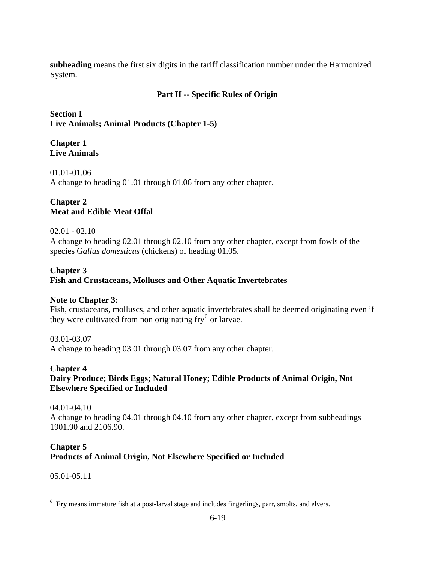**subheading** means the first six digits in the tariff classification number under the Harmonized System.

## **Part II -- Specific Rules of Origin**

**Section I Live Animals; Animal Products (Chapter 1-5)** 

#### **Chapter 1 Live Animals**

01.01-01.06 A change to heading 01.01 through 01.06 from any other chapter.

## **Chapter 2 Meat and Edible Meat Offal**

### 02.01 - 02.10

A change to heading 02.01 through 02.10 from any other chapter, except from fowls of the species G*allus domesticus* (chickens) of heading 01.05.

### **Chapter 3**

**Fish and Crustaceans, Molluscs and Other Aquatic Invertebrates** 

### **Note to Chapter 3:**

Fish, crustaceans, molluscs, and other aquatic invertebrates shall be deemed originating even if they were cultivated from non originating  $\text{fry}^6$  $\text{fry}^6$  or larvae.

#### 03.01-03.07

A change to heading 03.01 through 03.07 from any other chapter.

#### **Chapter 4**

## **Dairy Produce; Birds Eggs; Natural Honey; Edible Products of Animal Origin, Not Elsewhere Specified or Included**

04.01-04.10 A change to heading 04.01 through 04.10 from any other chapter, except from subheadings 1901.90 and 2106.90.

# **Chapter 5**

### **Products of Animal Origin, Not Elsewhere Specified or Included**

05.01-05.11

 $\overline{a}$ 

<span id="page-18-0"></span><sup>6</sup> **Fry** means immature fish at a post-larval stage and includes fingerlings, parr, smolts, and elvers.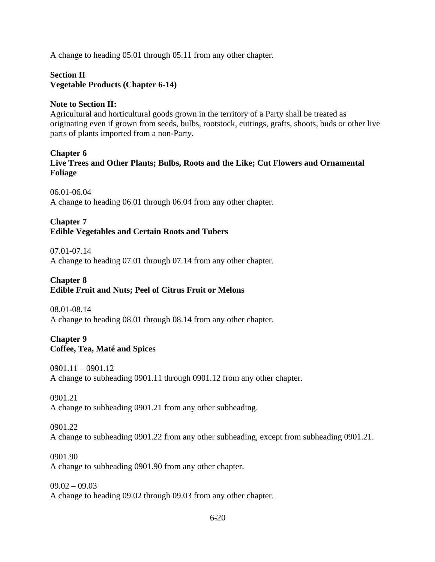A change to heading 05.01 through 05.11 from any other chapter.

#### **Section II Vegetable Products (Chapter 6-14)**

### **Note to Section II:**

Agricultural and horticultural goods grown in the territory of a Party shall be treated as originating even if grown from seeds, bulbs, rootstock, cuttings, grafts, shoots, buds or other live parts of plants imported from a non-Party.

#### **Chapter 6**

**Live Trees and Other Plants; Bulbs, Roots and the Like; Cut Flowers and Ornamental Foliage** 

06.01-06.04

A change to heading 06.01 through 06.04 from any other chapter.

#### **Chapter 7 Edible Vegetables and Certain Roots and Tubers**

07.01-07.14

A change to heading 07.01 through 07.14 from any other chapter.

# **Chapter 8**

### **Edible Fruit and Nuts; Peel of Citrus Fruit or Melons**

08.01-08.14 A change to heading 08.01 through 08.14 from any other chapter.

#### **Chapter 9 Coffee, Tea, Maté and Spices**

0901.11 – 0901.12 A change to subheading 0901.11 through 0901.12 from any other chapter.

0901.21 A change to subheading 0901.21 from any other subheading.

## 0901.22 A change to subheading 0901.22 from any other subheading, except from subheading 0901.21.

0901.90 A change to subheading 0901.90 from any other chapter.

 $09.02 - 09.03$ A change to heading 09.02 through 09.03 from any other chapter.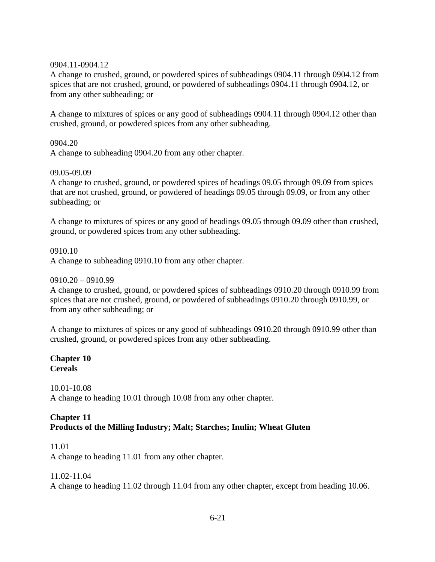#### 0904.11-0904.12

A change to crushed, ground, or powdered spices of subheadings 0904.11 through 0904.12 from spices that are not crushed, ground, or powdered of subheadings 0904.11 through 0904.12, or from any other subheading; or

A change to mixtures of spices or any good of subheadings 0904.11 through 0904.12 other than crushed, ground, or powdered spices from any other subheading.

0904.20

A change to subheading 0904.20 from any other chapter.

#### 09.05-09.09

A change to crushed, ground, or powdered spices of headings 09.05 through 09.09 from spices that are not crushed, ground, or powdered of headings 09.05 through 09.09, or from any other subheading; or

A change to mixtures of spices or any good of headings 09.05 through 09.09 other than crushed, ground, or powdered spices from any other subheading.

0910.10 A change to subheading 0910.10 from any other chapter.

#### 0910.20 – 0910.99

A change to crushed, ground, or powdered spices of subheadings 0910.20 through 0910.99 from spices that are not crushed, ground, or powdered of subheadings 0910.20 through 0910.99, or from any other subheading; or

A change to mixtures of spices or any good of subheadings 0910.20 through 0910.99 other than crushed, ground, or powdered spices from any other subheading.

**Chapter 10 Cereals** 

10.01-10.08

A change to heading 10.01 through 10.08 from any other chapter.

#### **Chapter 11 Products of the Milling Industry; Malt; Starches; Inulin; Wheat Gluten**

### 11.01

A change to heading 11.01 from any other chapter.

#### 11.02-11.04

A change to heading 11.02 through 11.04 from any other chapter, except from heading 10.06.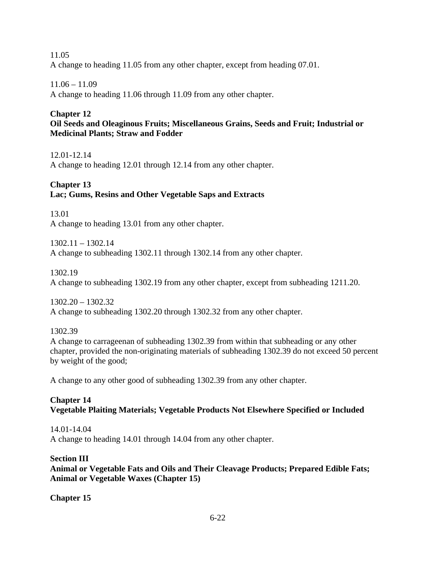11.05 A change to heading 11.05 from any other chapter, except from heading 07.01.

# 11.06 – 11.09

A change to heading 11.06 through 11.09 from any other chapter.

# **Chapter 12**

**Oil Seeds and Oleaginous Fruits; Miscellaneous Grains, Seeds and Fruit; Industrial or Medicinal Plants; Straw and Fodder** 

12.01-12.14 A change to heading 12.01 through 12.14 from any other chapter.

# **Chapter 13 Lac; Gums, Resins and Other Vegetable Saps and Extracts**

13.01 A change to heading 13.01 from any other chapter.

1302.11 – 1302.14 A change to subheading 1302.11 through 1302.14 from any other chapter.

1302.19

A change to subheading 1302.19 from any other chapter, except from subheading 1211.20.

1302.20 – 1302.32 A change to subheading 1302.20 through 1302.32 from any other chapter.

1302.39

A change to carrageenan of subheading 1302.39 from within that subheading or any other chapter, provided the non-originating materials of subheading 1302.39 do not exceed 50 percent by weight of the good;

A change to any other good of subheading 1302.39 from any other chapter.

# **Chapter 14 Vegetable Plaiting Materials; Vegetable Products Not Elsewhere Specified or Included**

14.01-14.04 A change to heading 14.01 through 14.04 from any other chapter.

# **Section III**

**Animal or Vegetable Fats and Oils and Their Cleavage Products; Prepared Edible Fats; Animal or Vegetable Waxes (Chapter 15)** 

**Chapter 15**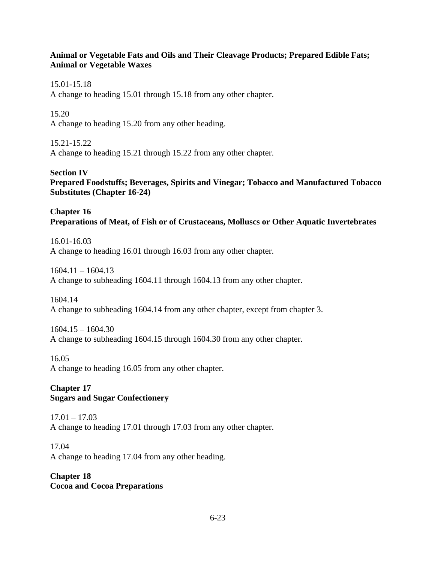### **Animal or Vegetable Fats and Oils and Their Cleavage Products; Prepared Edible Fats; Animal or Vegetable Waxes**

15.01-15.18

A change to heading 15.01 through 15.18 from any other chapter.

15.20

A change to heading 15.20 from any other heading.

15.21-15.22

A change to heading 15.21 through 15.22 from any other chapter.

**Section IV** 

**Prepared Foodstuffs; Beverages, Spirits and Vinegar; Tobacco and Manufactured Tobacco Substitutes (Chapter 16-24)**

**Chapter 16 Preparations of Meat, of Fish or of Crustaceans, Molluscs or Other Aquatic Invertebrates**

16.01-16.03 A change to heading 16.01 through 16.03 from any other chapter.

 $1604.11 - 1604.13$ A change to subheading 1604.11 through 1604.13 from any other chapter.

1604.14 A change to subheading 1604.14 from any other chapter, except from chapter 3.

 $1604.15 - 1604.30$ A change to subheading 1604.15 through 1604.30 from any other chapter.

16.05

A change to heading 16.05 from any other chapter.

# **Chapter 17 Sugars and Sugar Confectionery**

 $17.01 - 17.03$ A change to heading 17.01 through 17.03 from any other chapter.

17.04 A change to heading 17.04 from any other heading.

## **Chapter 18 Cocoa and Cocoa Preparations**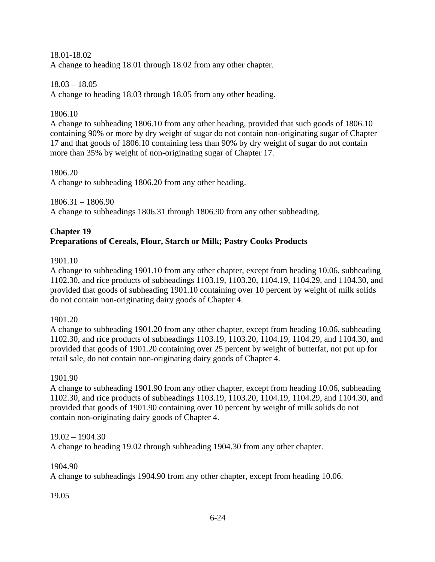#### 18.01-18.02

A change to heading 18.01 through 18.02 from any other chapter.

#### 18.03 – 18.05

A change to heading 18.03 through 18.05 from any other heading.

#### 1806.10

A change to subheading 1806.10 from any other heading, provided that such goods of 1806.10 containing 90% or more by dry weight of sugar do not contain non-originating sugar of Chapter 17 and that goods of 1806.10 containing less than 90% by dry weight of sugar do not contain more than 35% by weight of non-originating sugar of Chapter 17.

#### 1806.20

A change to subheading 1806.20 from any other heading.

1806.31 – 1806.90

A change to subheadings 1806.31 through 1806.90 from any other subheading.

### **Chapter 19 Preparations of Cereals, Flour, Starch or Milk; Pastry Cooks Products**

#### 1901.10

A change to subheading 1901.10 from any other chapter, except from heading 10.06, subheading 1102.30, and rice products of subheadings 1103.19, 1103.20, 1104.19, 1104.29, and 1104.30, and provided that goods of subheading 1901.10 containing over 10 percent by weight of milk solids do not contain non-originating dairy goods of Chapter 4.

#### 1901.20

A change to subheading 1901.20 from any other chapter, except from heading 10.06, subheading 1102.30, and rice products of subheadings 1103.19, 1103.20, 1104.19, 1104.29, and 1104.30, and provided that goods of 1901.20 containing over 25 percent by weight of butterfat, not put up for retail sale, do not contain non-originating dairy goods of Chapter 4.

#### 1901.90

A change to subheading 1901.90 from any other chapter, except from heading 10.06, subheading 1102.30, and rice products of subheadings 1103.19, 1103.20, 1104.19, 1104.29, and 1104.30, and provided that goods of 1901.90 containing over 10 percent by weight of milk solids do not contain non-originating dairy goods of Chapter 4.

#### 19.02 – 1904.30

A change to heading 19.02 through subheading 1904.30 from any other chapter.

#### 1904.90

A change to subheadings 1904.90 from any other chapter, except from heading 10.06.

### 19.05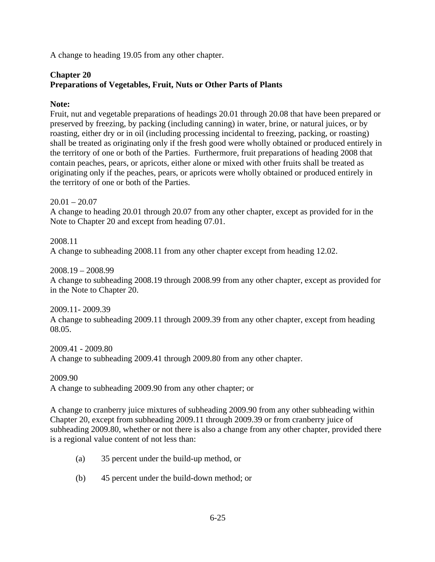A change to heading 19.05 from any other chapter.

## **Chapter 20 Preparations of Vegetables, Fruit, Nuts or Other Parts of Plants**

### **Note:**

Fruit, nut and vegetable preparations of headings 20.01 through 20.08 that have been prepared or preserved by freezing, by packing (including canning) in water, brine, or natural juices, or by roasting, either dry or in oil (including processing incidental to freezing, packing, or roasting) shall be treated as originating only if the fresh good were wholly obtained or produced entirely in the territory of one or both of the Parties. Furthermore, fruit preparations of heading 2008 that contain peaches, pears, or apricots, either alone or mixed with other fruits shall be treated as originating only if the peaches, pears, or apricots were wholly obtained or produced entirely in the territory of one or both of the Parties.

 $20.01 - 20.07$ A change to heading 20.01 through 20.07 from any other chapter, except as provided for in the Note to Chapter 20 and except from heading 07.01.

2008.11 A change to subheading 2008.11 from any other chapter except from heading 12.02.

2008.19 – 2008.99 A change to subheading 2008.19 through 2008.99 from any other chapter, except as provided for in the Note to Chapter 20.

2009.11- 2009.39 A change to subheading 2009.11 through 2009.39 from any other chapter, except from heading 08.05.

2009.41 - 2009.80 A change to subheading 2009.41 through 2009.80 from any other chapter.

2009.90 A change to subheading 2009.90 from any other chapter; or

A change to cranberry juice mixtures of subheading 2009.90 from any other subheading within Chapter 20, except from subheading 2009.11 through 2009.39 or from cranberry juice of subheading 2009.80, whether or not there is also a change from any other chapter, provided there is a regional value content of not less than:

- (a) 35 percent under the build-up method, or
- (b) 45 percent under the build-down method; or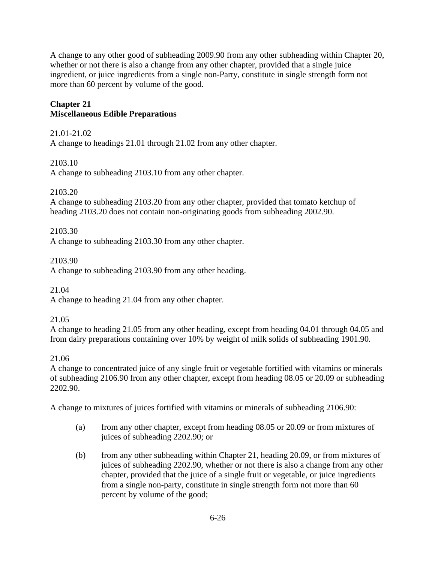A change to any other good of subheading 2009.90 from any other subheading within Chapter 20, whether or not there is also a change from any other chapter, provided that a single juice ingredient, or juice ingredients from a single non-Party, constitute in single strength form not more than 60 percent by volume of the good.

# **Chapter 21 Miscellaneous Edible Preparations**

21.01-21.02

A change to headings 21.01 through 21.02 from any other chapter.

2103.10

A change to subheading 2103.10 from any other chapter.

## 2103.20

A change to subheading 2103.20 from any other chapter, provided that tomato ketchup of heading 2103.20 does not contain non-originating goods from subheading 2002.90.

2103.30

A change to subheading 2103.30 from any other chapter.

2103.90

A change to subheading 2103.90 from any other heading.

21.04

A change to heading 21.04 from any other chapter.

21.05

A change to heading 21.05 from any other heading, except from heading 04.01 through 04.05 and from dairy preparations containing over 10% by weight of milk solids of subheading 1901.90.

# 21.06

A change to concentrated juice of any single fruit or vegetable fortified with vitamins or minerals of subheading 2106.90 from any other chapter, except from heading 08.05 or 20.09 or subheading 2202.90.

A change to mixtures of juices fortified with vitamins or minerals of subheading 2106.90:

- (a) from any other chapter, except from heading 08.05 or 20.09 or from mixtures of juices of subheading 2202.90; or
- (b) from any other subheading within Chapter 21, heading 20.09, or from mixtures of juices of subheading 2202.90, whether or not there is also a change from any other chapter, provided that the juice of a single fruit or vegetable, or juice ingredients from a single non-party, constitute in single strength form not more than 60 percent by volume of the good;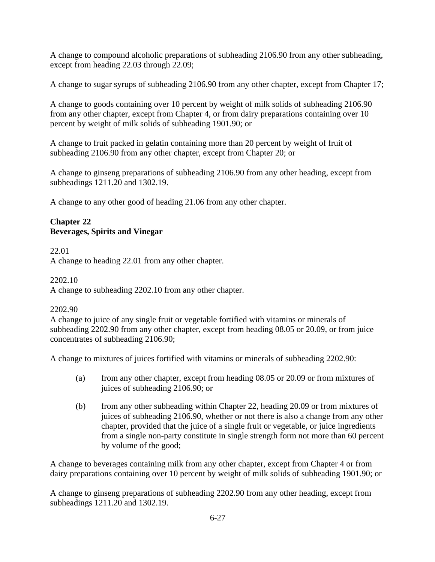A change to compound alcoholic preparations of subheading 2106.90 from any other subheading, except from heading 22.03 through 22.09;

A change to sugar syrups of subheading 2106.90 from any other chapter, except from Chapter 17;

A change to goods containing over 10 percent by weight of milk solids of subheading 2106.90 from any other chapter, except from Chapter 4, or from dairy preparations containing over 10 percent by weight of milk solids of subheading 1901.90; or

A change to fruit packed in gelatin containing more than 20 percent by weight of fruit of subheading 2106.90 from any other chapter, except from Chapter 20; or

A change to ginseng preparations of subheading 2106.90 from any other heading, except from subheadings 1211.20 and 1302.19.

A change to any other good of heading 21.06 from any other chapter.

## **Chapter 22 Beverages, Spirits and Vinegar**

22.01

A change to heading 22.01 from any other chapter.

2202.10 A change to subheading 2202.10 from any other chapter.

### 2202.90

A change to juice of any single fruit or vegetable fortified with vitamins or minerals of subheading 2202.90 from any other chapter, except from heading 08.05 or 20.09, or from juice concentrates of subheading 2106.90;

A change to mixtures of juices fortified with vitamins or minerals of subheading 2202.90:

- (a) from any other chapter, except from heading 08.05 or 20.09 or from mixtures of juices of subheading 2106.90; or
- (b) from any other subheading within Chapter 22, heading 20.09 or from mixtures of juices of subheading 2106.90, whether or not there is also a change from any other chapter, provided that the juice of a single fruit or vegetable, or juice ingredients from a single non-party constitute in single strength form not more than 60 percent by volume of the good;

A change to beverages containing milk from any other chapter, except from Chapter 4 or from dairy preparations containing over 10 percent by weight of milk solids of subheading 1901.90; or

A change to ginseng preparations of subheading 2202.90 from any other heading, except from subheadings 1211.20 and 1302.19.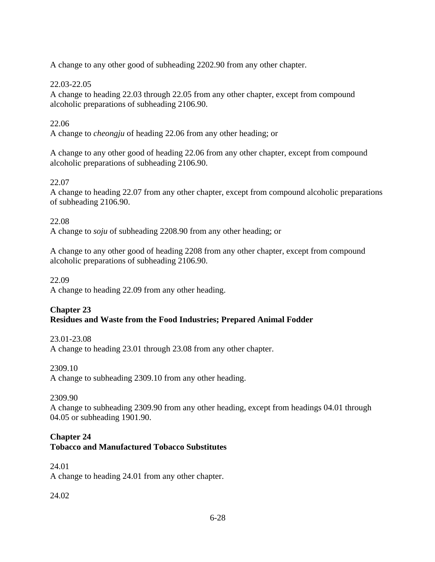A change to any other good of subheading 2202.90 from any other chapter.

## 22.03-22.05

A change to heading 22.03 through 22.05 from any other chapter, except from compound alcoholic preparations of subheading 2106.90.

# 22.06

A change to *cheongju* of heading 22.06 from any other heading; or

A change to any other good of heading 22.06 from any other chapter, except from compound alcoholic preparations of subheading 2106.90.

# 22.07

A change to heading 22.07 from any other chapter, except from compound alcoholic preparations of subheading 2106.90.

## 22.08

A change to *soju* of subheading 2208.90 from any other heading; or

A change to any other good of heading 2208 from any other chapter, except from compound alcoholic preparations of subheading 2106.90.

## 22.09

A change to heading 22.09 from any other heading.

## **Chapter 23 Residues and Waste from the Food Industries; Prepared Animal Fodder**

### 23.01-23.08

A change to heading 23.01 through 23.08 from any other chapter.

# 2309.10

A change to subheading 2309.10 from any other heading.

# 2309.90

A change to subheading 2309.90 from any other heading, except from headings 04.01 through 04.05 or subheading 1901.90.

# **Chapter 24**

# **Tobacco and Manufactured Tobacco Substitutes**

## 24.01 A change to heading 24.01 from any other chapter.

# 24.02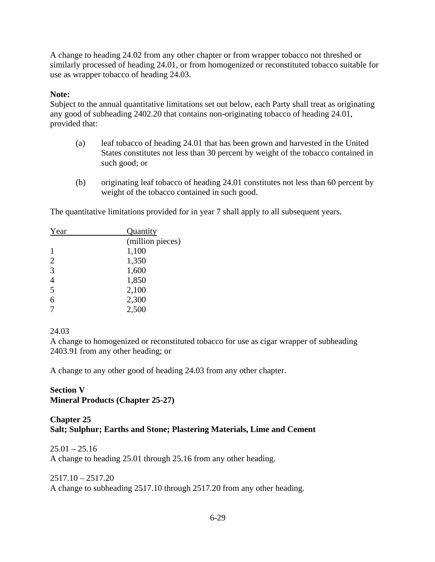A change to heading 24.02 from any other chapter or from wrapper tobacco not threshed or similarly processed of heading 24.01, or from homogenized or reconstituted tobacco suitable for use as wrapper tobacco of heading 24.03.

## **Note:**

Subject to the annual quantitative limitations set out below, each Party shall treat as originating any good of subheading 2402.20 that contains non-originating tobacco of heading 24.01, provided that:

- (a) leaf tobacco of heading 24.01 that has been grown and harvested in the United States constitutes not less than 30 percent by weight of the tobacco contained in such good; or
- (b) originating leaf tobacco of heading 24.01 constitutes not less than 60 percent by weight of the tobacco contained in such good.

The quantitative limitations provided for in year 7 shall apply to all subsequent years.

| Year           | <b>Quantity</b>  |  |  |
|----------------|------------------|--|--|
|                | (million pieces) |  |  |
| 1              | 1,100            |  |  |
| $\overline{2}$ | 1,350            |  |  |
| 3              | 1,600            |  |  |
| $\overline{4}$ | 1,850            |  |  |
| 5              | 2,100            |  |  |
| 6              | 2,300            |  |  |
| 7              | 2,500            |  |  |

### 24.03

A change to homogenized or reconstituted tobacco for use as cigar wrapper of subheading 2403.91 from any other heading; or

A change to any other good of heading 24.03 from any other chapter.

# **Section V Mineral Products (Chapter 25-27)**

### **Chapter 25 Salt; Sulphur; Earths and Stone; Plastering Materials, Lime and Cement**

#### $25.01 - 25.16$

A change to heading 25.01 through 25.16 from any other heading.

### $2517.10 - 2517.20$

A change to subheading 2517.10 through 2517.20 from any other heading.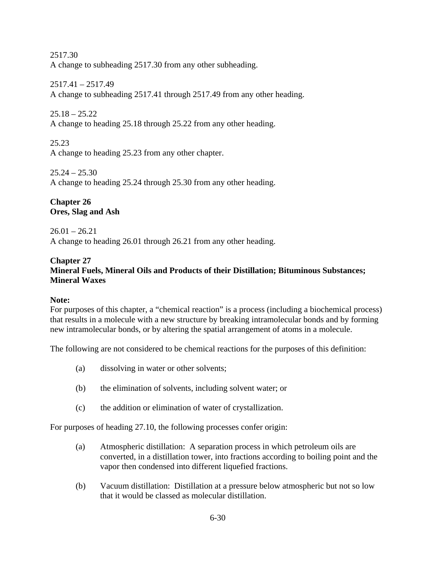2517.30 A change to subheading 2517.30 from any other subheading.

2517.41 – 2517.49 A change to subheading 2517.41 through 2517.49 from any other heading.

 $25.18 - 25.22$ A change to heading 25.18 through 25.22 from any other heading.

25.23 A change to heading 25.23 from any other chapter.

 $25.24 - 25.30$ A change to heading 25.24 through 25.30 from any other heading.

## **Chapter 26 Ores, Slag and Ash**

 $26.01 - 26.21$ A change to heading 26.01 through 26.21 from any other heading.

### **Chapter 27 Mineral Fuels, Mineral Oils and Products of their Distillation; Bituminous Substances; Mineral Waxes**

# **Note:**

For purposes of this chapter, a "chemical reaction" is a process (including a biochemical process) that results in a molecule with a new structure by breaking intramolecular bonds and by forming new intramolecular bonds, or by altering the spatial arrangement of atoms in a molecule.

The following are not considered to be chemical reactions for the purposes of this definition:

- (a) dissolving in water or other solvents;
- (b) the elimination of solvents, including solvent water; or
- (c) the addition or elimination of water of crystallization.

For purposes of heading 27.10, the following processes confer origin:

- (a) Atmospheric distillation: A separation process in which petroleum oils are converted, in a distillation tower, into fractions according to boiling point and the vapor then condensed into different liquefied fractions.
- (b) Vacuum distillation: Distillation at a pressure below atmospheric but not so low that it would be classed as molecular distillation.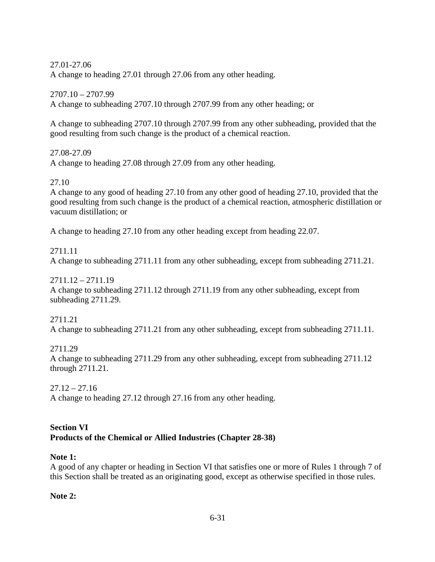27.01-27.06 A change to heading 27.01 through 27.06 from any other heading.

2707.10 – 2707.99 A change to subheading 2707.10 through 2707.99 from any other heading; or

A change to subheading 2707.10 through 2707.99 from any other subheading, provided that the good resulting from such change is the product of a chemical reaction.

27.08-27.09 A change to heading 27.08 through 27.09 from any other heading.

27.10

A change to any good of heading 27.10 from any other good of heading 27.10, provided that the good resulting from such change is the product of a chemical reaction, atmospheric distillation or vacuum distillation; or

A change to heading 27.10 from any other heading except from heading 22.07.

2711.11 A change to subheading 2711.11 from any other subheading, except from subheading 2711.21.

2711.12 – 2711.19 A change to subheading 2711.12 through 2711.19 from any other subheading, except from subheading 2711.29.

2711.21 A change to subheading 2711.21 from any other subheading, except from subheading 2711.11.

2711.29 A change to subheading 2711.29 from any other subheading, except from subheading 2711.12 through 2711.21.

 $27.12 - 27.16$ A change to heading 27.12 through 27.16 from any other heading.

## **Section VI Products of the Chemical or Allied Industries (Chapter 28-38)**

# **Note 1:**

A good of any chapter or heading in Section VI that satisfies one or more of Rules 1 through 7 of this Section shall be treated as an originating good, except as otherwise specified in those rules.

**Note 2:**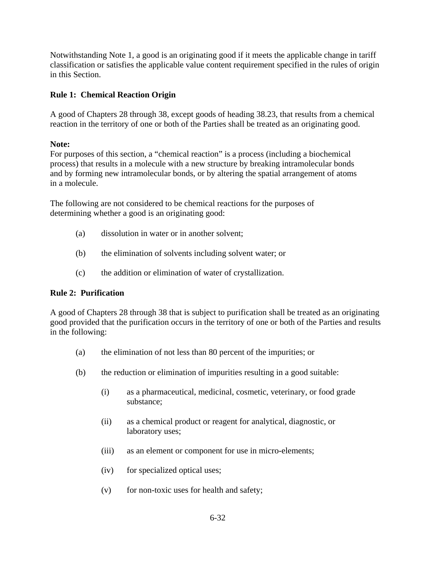Notwithstanding Note 1, a good is an originating good if it meets the applicable change in tariff classification or satisfies the applicable value content requirement specified in the rules of origin in this Section.

## **Rule 1: Chemical Reaction Origin**

A good of Chapters 28 through 38, except goods of heading 38.23, that results from a chemical reaction in the territory of one or both of the Parties shall be treated as an originating good.

## **Note:**

For purposes of this section, a "chemical reaction" is a process (including a biochemical process) that results in a molecule with a new structure by breaking intramolecular bonds and by forming new intramolecular bonds, or by altering the spatial arrangement of atoms in a molecule.

The following are not considered to be chemical reactions for the purposes of determining whether a good is an originating good:

- (a) dissolution in water or in another solvent;
- (b) the elimination of solvents including solvent water; or
- (c) the addition or elimination of water of crystallization.

### **Rule 2: Purification**

A good of Chapters 28 through 38 that is subject to purification shall be treated as an originating good provided that the purification occurs in the territory of one or both of the Parties and results in the following:

- (a) the elimination of not less than 80 percent of the impurities; or
- (b) the reduction or elimination of impurities resulting in a good suitable:
	- (i) as a pharmaceutical, medicinal, cosmetic, veterinary, or food grade substance;
	- (ii) as a chemical product or reagent for analytical, diagnostic, or laboratory uses;
	- (iii) as an element or component for use in micro-elements;
	- (iv) for specialized optical uses;
	- (v) for non-toxic uses for health and safety;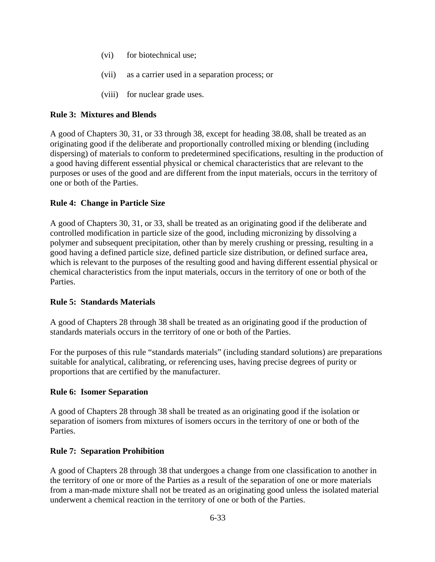- (vi) for biotechnical use;
- (vii) as a carrier used in a separation process; or
- (viii) for nuclear grade uses.

#### **Rule 3: Mixtures and Blends**

A good of Chapters 30, 31, or 33 through 38, except for heading 38.08, shall be treated as an originating good if the deliberate and proportionally controlled mixing or blending (including dispersing) of materials to conform to predetermined specifications, resulting in the production of a good having different essential physical or chemical characteristics that are relevant to the purposes or uses of the good and are different from the input materials, occurs in the territory of one or both of the Parties.

### **Rule 4: Change in Particle Size**

A good of Chapters 30, 31, or 33, shall be treated as an originating good if the deliberate and controlled modification in particle size of the good, including micronizing by dissolving a polymer and subsequent precipitation, other than by merely crushing or pressing, resulting in a good having a defined particle size, defined particle size distribution, or defined surface area, which is relevant to the purposes of the resulting good and having different essential physical or chemical characteristics from the input materials, occurs in the territory of one or both of the Parties.

### **Rule 5: Standards Materials**

A good of Chapters 28 through 38 shall be treated as an originating good if the production of standards materials occurs in the territory of one or both of the Parties.

For the purposes of this rule "standards materials" (including standard solutions) are preparations suitable for analytical, calibrating, or referencing uses, having precise degrees of purity or proportions that are certified by the manufacturer.

### **Rule 6: Isomer Separation**

A good of Chapters 28 through 38 shall be treated as an originating good if the isolation or separation of isomers from mixtures of isomers occurs in the territory of one or both of the Parties.

### **Rule 7: Separation Prohibition**

A good of Chapters 28 through 38 that undergoes a change from one classification to another in the territory of one or more of the Parties as a result of the separation of one or more materials from a man-made mixture shall not be treated as an originating good unless the isolated material underwent a chemical reaction in the territory of one or both of the Parties.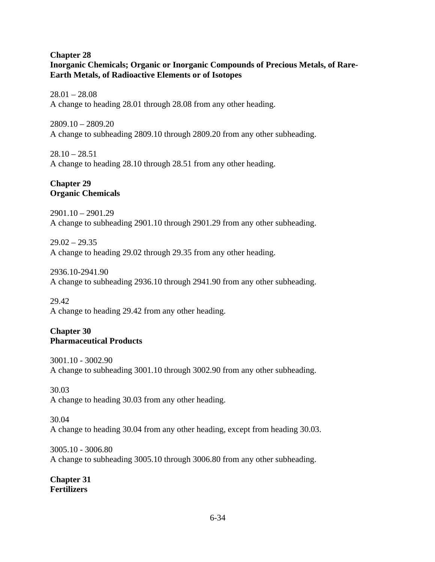#### **Chapter 28 Inorganic Chemicals; Organic or Inorganic Compounds of Precious Metals, of Rare-Earth Metals, of Radioactive Elements or of Isotopes**

 $28.01 - 28.08$ A change to heading 28.01 through 28.08 from any other heading.

2809.10 – 2809.20 A change to subheading 2809.10 through 2809.20 from any other subheading.

 $28.10 - 28.51$ A change to heading 28.10 through 28.51 from any other heading.

## **Chapter 29 Organic Chemicals**

2901.10 – 2901.29 A change to subheading 2901.10 through 2901.29 from any other subheading.

 $29.02 - 29.35$ A change to heading 29.02 through 29.35 from any other heading.

2936.10-2941.90 A change to subheading 2936.10 through 2941.90 from any other subheading.

29.42 A change to heading 29.42 from any other heading.

## **Chapter 30 Pharmaceutical Products**

3001.10 - 3002.90 A change to subheading 3001.10 through 3002.90 from any other subheading.

30.03

A change to heading 30.03 from any other heading.

# 30.04 A change to heading 30.04 from any other heading, except from heading 30.03.

3005.10 - 3006.80 A change to subheading 3005.10 through 3006.80 from any other subheading.

**Chapter 31 Fertilizers**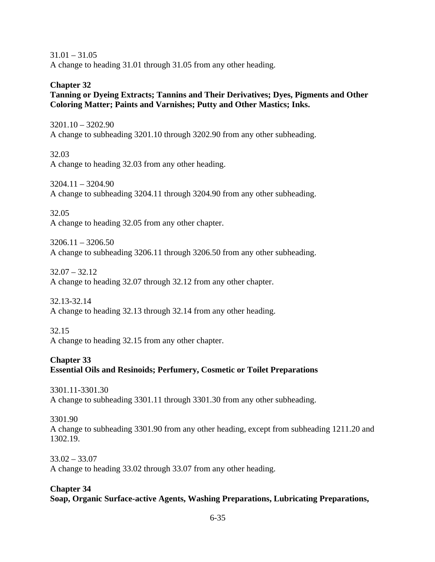$31.01 - 31.05$ A change to heading 31.01 through 31.05 from any other heading.

#### **Chapter 32**

## **Tanning or Dyeing Extracts; Tannins and Their Derivatives; Dyes, Pigments and Other Coloring Matter; Paints and Varnishes; Putty and Other Mastics; Inks.**

3201.10 – 3202.90 A change to subheading 3201.10 through 3202.90 from any other subheading.

32.03 A change to heading 32.03 from any other heading.

3204.11 – 3204.90 A change to subheading 3204.11 through 3204.90 from any other subheading.

32.05 A change to heading 32.05 from any other chapter.

 $3206.11 - 3206.50$ A change to subheading 3206.11 through 3206.50 from any other subheading.

32.07 – 32.12 A change to heading 32.07 through 32.12 from any other chapter.

32.13-32.14 A change to heading 32.13 through 32.14 from any other heading.

#### 32.15

A change to heading 32.15 from any other chapter.

#### **Chapter 33**

# **Essential Oils and Resinoids; Perfumery, Cosmetic or Toilet Preparations**

3301.11-3301.30 A change to subheading 3301.11 through 3301.30 from any other subheading.

3301.90 A change to subheading 3301.90 from any other heading, except from subheading 1211.20 and 1302.19.

33.02 – 33.07 A change to heading 33.02 through 33.07 from any other heading.

# **Chapter 34 Soap, Organic Surface-active Agents, Washing Preparations, Lubricating Preparations,**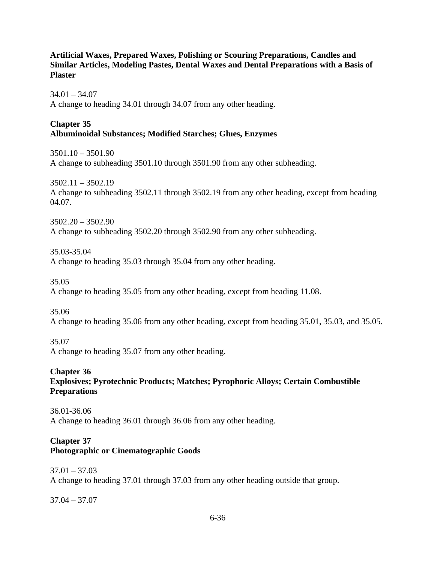### **Artificial Waxes, Prepared Waxes, Polishing or Scouring Preparations, Candles and Similar Articles, Modeling Pastes, Dental Waxes and Dental Preparations with a Basis of Plaster**

 $34.01 - 34.07$ A change to heading 34.01 through 34.07 from any other heading.

## **Chapter 35 Albuminoidal Substances; Modified Starches; Glues, Enzymes**

 $3501.10 - 3501.90$ A change to subheading 3501.10 through 3501.90 from any other subheading.

 $3502.11 - 3502.19$ A change to subheading 3502.11 through 3502.19 from any other heading, except from heading 04.07.

3502.20 – 3502.90 A change to subheading 3502.20 through 3502.90 from any other subheading.

35.03-35.04 A change to heading 35.03 through 35.04 from any other heading.

35.05 A change to heading 35.05 from any other heading, except from heading 11.08.

35.06 A change to heading 35.06 from any other heading, except from heading 35.01, 35.03, and 35.05.

35.07 A change to heading 35.07 from any other heading.

**Chapter 36 Explosives; Pyrotechnic Products; Matches; Pyrophoric Alloys; Certain Combustible Preparations** 

36.01-36.06 A change to heading 36.01 through 36.06 from any other heading.

### **Chapter 37 Photographic or Cinematographic Goods**

37.01 – 37.03 A change to heading 37.01 through 37.03 from any other heading outside that group.

37.04 – 37.07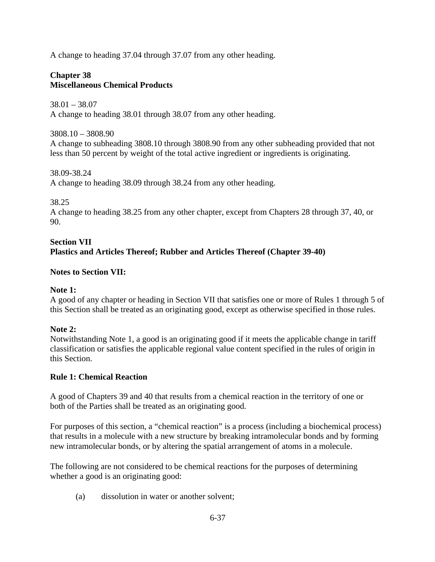A change to heading 37.04 through 37.07 from any other heading.

# **Chapter 38 Miscellaneous Chemical Products**

38.01 – 38.07 A change to heading 38.01 through 38.07 from any other heading.

3808.10 – 3808.90 A change to subheading 3808.10 through 3808.90 from any other subheading provided that not less than 50 percent by weight of the total active ingredient or ingredients is originating.

38.09-38.24 A change to heading 38.09 through 38.24 from any other heading.

38.25

A change to heading 38.25 from any other chapter, except from Chapters 28 through 37, 40, or 90.

# **Section VII Plastics and Articles Thereof; Rubber and Articles Thereof (Chapter 39-40)**

# **Notes to Section VII:**

#### **Note 1:**

A good of any chapter or heading in Section VII that satisfies one or more of Rules 1 through 5 of this Section shall be treated as an originating good, except as otherwise specified in those rules.

#### **Note 2:**

Notwithstanding Note 1, a good is an originating good if it meets the applicable change in tariff classification or satisfies the applicable regional value content specified in the rules of origin in this Section.

#### **Rule 1: Chemical Reaction**

A good of Chapters 39 and 40 that results from a chemical reaction in the territory of one or both of the Parties shall be treated as an originating good.

For purposes of this section, a "chemical reaction" is a process (including a biochemical process) that results in a molecule with a new structure by breaking intramolecular bonds and by forming new intramolecular bonds, or by altering the spatial arrangement of atoms in a molecule.

The following are not considered to be chemical reactions for the purposes of determining whether a good is an originating good:

(a) dissolution in water or another solvent;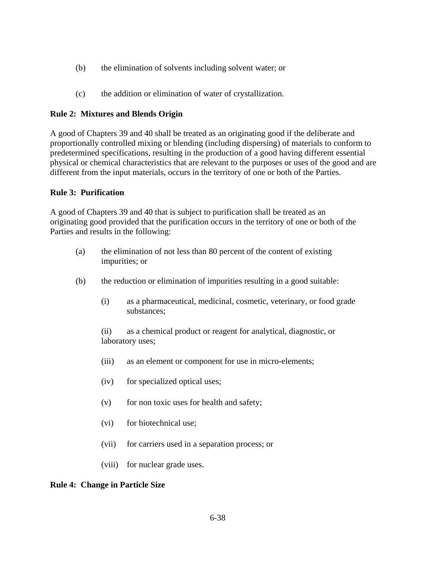- (b) the elimination of solvents including solvent water; or
- (c) the addition or elimination of water of crystallization.

### **Rule 2: Mixtures and Blends Origin**

A good of Chapters 39 and 40 shall be treated as an originating good if the deliberate and proportionally controlled mixing or blending (including dispersing) of materials to conform to predetermined specifications, resulting in the production of a good having different essential physical or chemical characteristics that are relevant to the purposes or uses of the good and are different from the input materials, occurs in the territory of one or both of the Parties.

#### **Rule 3: Purification**

A good of Chapters 39 and 40 that is subject to purification shall be treated as an originating good provided that the purification occurs in the territory of one or both of the Parties and results in the following:

- (a) the elimination of not less than 80 percent of the content of existing impurities; or
- (b) the reduction or elimination of impurities resulting in a good suitable:
	- (i) as a pharmaceutical, medicinal, cosmetic, veterinary, or food grade substances;

 (ii) as a chemical product or reagent for analytical, diagnostic, or laboratory uses;

- (iii) as an element or component for use in micro-elements;
- (iv) for specialized optical uses;
- $(v)$  for non toxic uses for health and safety;
- (vi) for biotechnical use;
- (vii) for carriers used in a separation process; or
- (viii) for nuclear grade uses.

#### **Rule 4: Change in Particle Size**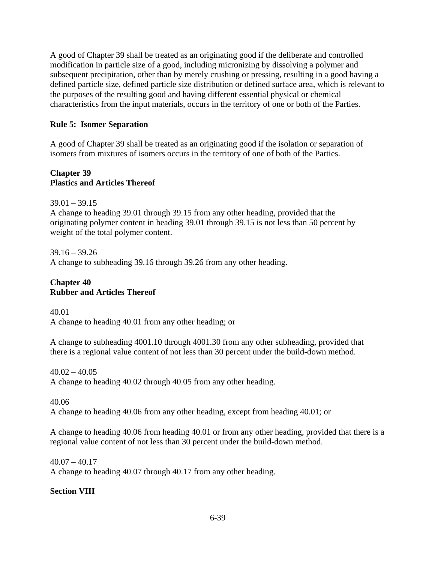A good of Chapter 39 shall be treated as an originating good if the deliberate and controlled modification in particle size of a good, including micronizing by dissolving a polymer and subsequent precipitation, other than by merely crushing or pressing, resulting in a good having a defined particle size, defined particle size distribution or defined surface area, which is relevant to the purposes of the resulting good and having different essential physical or chemical characteristics from the input materials, occurs in the territory of one or both of the Parties.

# **Rule 5: Isomer Separation**

A good of Chapter 39 shall be treated as an originating good if the isolation or separation of isomers from mixtures of isomers occurs in the territory of one of both of the Parties.

## **Chapter 39 Plastics and Articles Thereof**

 $39.01 - 39.15$ A change to heading 39.01 through 39.15 from any other heading, provided that the originating polymer content in heading 39.01 through 39.15 is not less than 50 percent by weight of the total polymer content.

39.16 – 39.26 A change to subheading 39.16 through 39.26 from any other heading.

# **Chapter 40 Rubber and Articles Thereof**

40.01 A change to heading 40.01 from any other heading; or

A change to subheading 4001.10 through 4001.30 from any other subheading, provided that there is a regional value content of not less than 30 percent under the build-down method.

 $40.02 - 40.05$ A change to heading 40.02 through 40.05 from any other heading.

40.06 A change to heading 40.06 from any other heading, except from heading 40.01; or

A change to heading 40.06 from heading 40.01 or from any other heading, provided that there is a regional value content of not less than 30 percent under the build-down method.

 $40.07 - 40.17$ A change to heading 40.07 through 40.17 from any other heading.

# **Section VIII**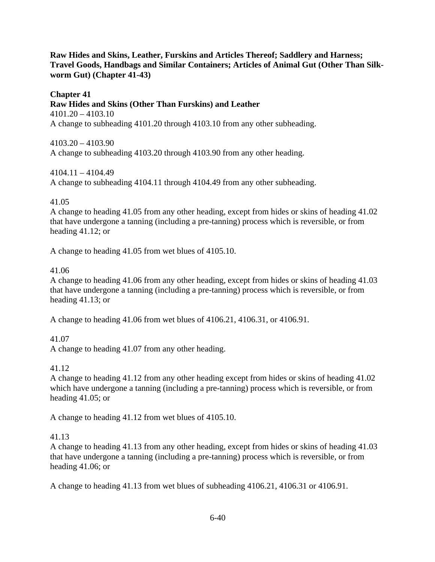**Raw Hides and Skins, Leather, Furskins and Articles Thereof; Saddlery and Harness; Travel Goods, Handbags and Similar Containers; Articles of Animal Gut (Other Than Silkworm Gut) (Chapter 41-43)** 

# **Chapter 41**

**Raw Hides and Skins (Other Than Furskins) and Leather** 

4101.20 – 4103.10 A change to subheading 4101.20 through 4103.10 from any other subheading.

4103.20 – 4103.90 A change to subheading 4103.20 through 4103.90 from any other heading.

4104.11 – 4104.49

A change to subheading 4104.11 through 4104.49 from any other subheading.

## 41.05

A change to heading 41.05 from any other heading, except from hides or skins of heading 41.02 that have undergone a tanning (including a pre-tanning) process which is reversible, or from heading 41.12; or

A change to heading 41.05 from wet blues of 4105.10.

## 41.06

A change to heading 41.06 from any other heading, except from hides or skins of heading 41.03 that have undergone a tanning (including a pre-tanning) process which is reversible, or from heading 41.13; or

A change to heading 41.06 from wet blues of 4106.21, 4106.31, or 4106.91.

# 41.07

A change to heading 41.07 from any other heading.

# 41.12

A change to heading 41.12 from any other heading except from hides or skins of heading 41.02 which have undergone a tanning (including a pre-tanning) process which is reversible, or from heading 41.05; or

A change to heading 41.12 from wet blues of 4105.10.

# 41.13

A change to heading 41.13 from any other heading, except from hides or skins of heading 41.03 that have undergone a tanning (including a pre-tanning) process which is reversible, or from heading 41.06; or

A change to heading 41.13 from wet blues of subheading 4106.21, 4106.31 or 4106.91.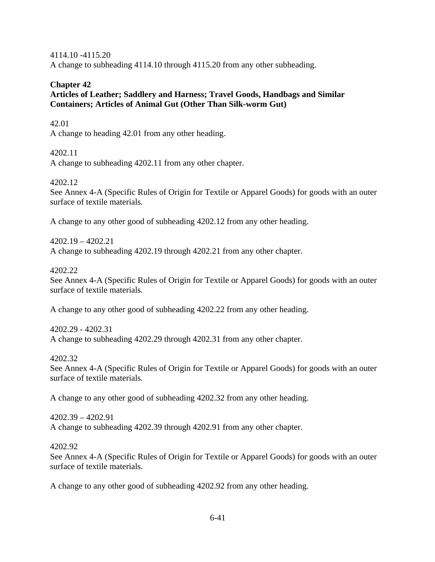4114.10 -4115.20 A change to subheading 4114.10 through 4115.20 from any other subheading.

# **Chapter 42**

**Articles of Leather; Saddlery and Harness; Travel Goods, Handbags and Similar Containers; Articles of Animal Gut (Other Than Silk-worm Gut)** 

# 42.01

A change to heading 42.01 from any other heading.

# 4202.11

A change to subheading 4202.11 from any other chapter.

# 4202.12

See Annex 4-A (Specific Rules of Origin for Textile or Apparel Goods) for goods with an outer surface of textile materials.

A change to any other good of subheading 4202.12 from any other heading.

4202.19 – 4202.21 A change to subheading 4202.19 through 4202.21 from any other chapter.

# 4202.22

See Annex 4-A (Specific Rules of Origin for Textile or Apparel Goods) for goods with an outer surface of textile materials.

A change to any other good of subheading 4202.22 from any other heading.

4202.29 - 4202.31 A change to subheading 4202.29 through 4202.31 from any other chapter.

# 4202.32

See Annex 4-A (Specific Rules of Origin for Textile or Apparel Goods) for goods with an outer surface of textile materials.

A change to any other good of subheading 4202.32 from any other heading.

4202.39 – 4202.91 A change to subheading 4202.39 through 4202.91 from any other chapter.

# 4202.92

See Annex 4-A (Specific Rules of Origin for Textile or Apparel Goods) for goods with an outer surface of textile materials.

A change to any other good of subheading 4202.92 from any other heading.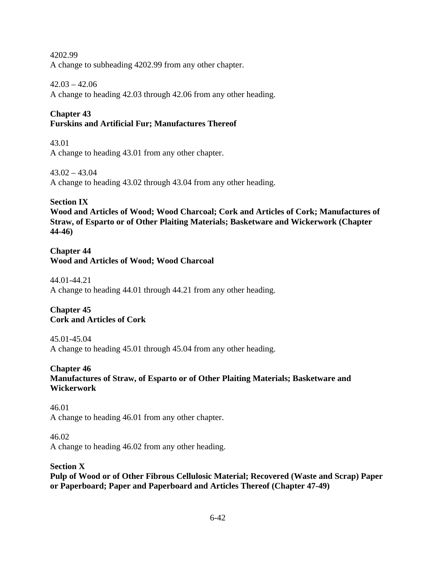4202.99 A change to subheading 4202.99 from any other chapter.

 $42.03 - 42.06$ 

A change to heading 42.03 through 42.06 from any other heading.

# **Chapter 43**

# **Furskins and Artificial Fur; Manufactures Thereof**

43.01 A change to heading 43.01 from any other chapter.

43.02 – 43.04 A change to heading 43.02 through 43.04 from any other heading.

# **Section IX**

**Wood and Articles of Wood; Wood Charcoal; Cork and Articles of Cork; Manufactures of Straw, of Esparto or of Other Plaiting Materials; Basketware and Wickerwork (Chapter 44-46)** 

# **Chapter 44 Wood and Articles of Wood; Wood Charcoal**

44.01-44.21 A change to heading 44.01 through 44.21 from any other heading.

**Chapter 45 Cork and Articles of Cork** 

# 45.01-45.04

A change to heading 45.01 through 45.04 from any other heading.

# **Chapter 46**

# **Manufactures of Straw, of Esparto or of Other Plaiting Materials; Basketware and Wickerwork**

46.01 A change to heading 46.01 from any other chapter.

46.02 A change to heading 46.02 from any other heading.

# **Section X**

**Pulp of Wood or of Other Fibrous Cellulosic Material; Recovered (Waste and Scrap) Paper or Paperboard; Paper and Paperboard and Articles Thereof (Chapter 47-49)**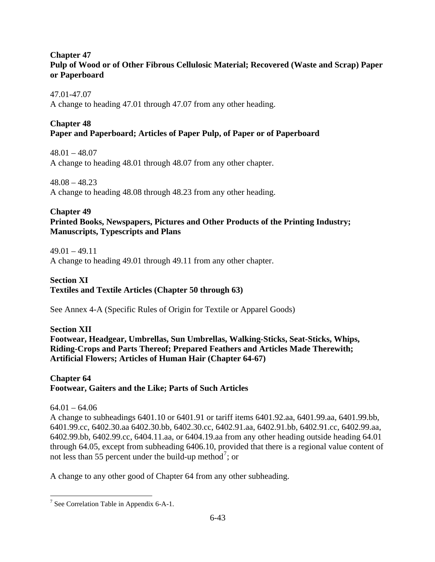## **Chapter 47 Pulp of Wood or of Other Fibrous Cellulosic Material; Recovered (Waste and Scrap) Paper or Paperboard**

## 47.01-47.07

A change to heading 47.01 through 47.07 from any other heading.

### **Chapter 48**

# **Paper and Paperboard; Articles of Paper Pulp, of Paper or of Paperboard**

48.01 – 48.07 A change to heading 48.01 through 48.07 from any other chapter.

 $48.08 - 48.23$ A change to heading 48.08 through 48.23 from any other heading.

## **Chapter 49**

## **Printed Books, Newspapers, Pictures and Other Products of the Printing Industry; Manuscripts, Typescripts and Plans**

 $49.01 - 49.11$ 

A change to heading 49.01 through 49.11 from any other chapter.

#### **Section XI**

**Textiles and Textile Articles (Chapter 50 through 63)**

See Annex 4-A (Specific Rules of Origin for Textile or Apparel Goods)

**Section XII Footwear, Headgear, Umbrellas, Sun Umbrellas, Walking-Sticks, Seat-Sticks, Whips, Riding-Crops and Parts Thereof; Prepared Feathers and Articles Made Therewith; Artificial Flowers; Articles of Human Hair (Chapter 64-67)** 

## **Chapter 64 Footwear, Gaiters and the Like; Parts of Such Articles**

# $64.01 - 64.06$

 $\overline{a}$ 

A change to subheadings 6401.10 or 6401.91 or tariff items 6401.92.aa, 6401.99.aa, 6401.99.bb, 6401.99.cc, 6402.30.aa 6402.30.bb, 6402.30.cc, 6402.91.aa, 6402.91.bb, 6402.91.cc, 6402.99.aa, 6402.99.bb, 6402.99.cc, 6404.11.aa, or 6404.19.aa from any other heading outside heading 64.01 through 64.05, except from subheading 6406.10, provided that there is a regional value content of not less than 55 percent under the build-up method<sup>[7](#page-42-0)</sup>; or

A change to any other good of Chapter 64 from any other subheading.

<span id="page-42-0"></span><sup>&</sup>lt;sup>7</sup> See Correlation Table in Appendix 6-A-1.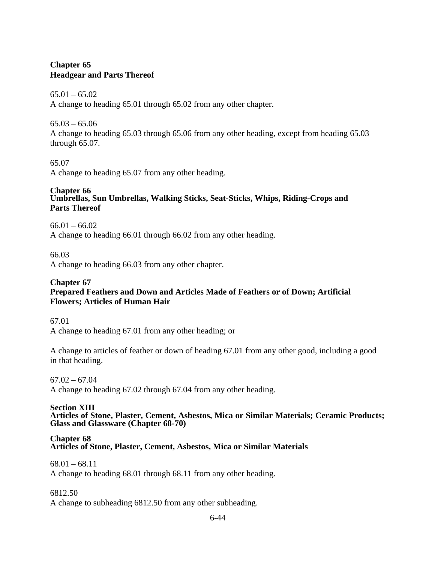# **Chapter 65 Headgear and Parts Thereof**

#### $65.01 - 65.02$

A change to heading 65.01 through 65.02 from any other chapter.

 $65.03 - 65.06$ 

A change to heading 65.03 through 65.06 from any other heading, except from heading 65.03 through 65.07.

# 65.07

A change to heading 65.07 from any other heading.

#### **Chapter 66 Umbrellas, Sun Umbrellas, Walking Sticks, Seat-Sticks, Whips, Riding-Crops and Parts Thereof**

 $66.01 - 66.02$ A change to heading 66.01 through 66.02 from any other heading.

66.03

A change to heading 66.03 from any other chapter.

#### **Chapter 67 Prepared Feathers and Down and Articles Made of Feathers or of Down; Artificial Flowers; Articles of Human Hair**

67.01

A change to heading 67.01 from any other heading; or

A change to articles of feather or down of heading 67.01 from any other good, including a good in that heading.

# $67.02 - 67.04$

A change to heading 67.02 through 67.04 from any other heading.

#### **Section XIII**

**Articles of Stone, Plaster, Cement, Asbestos, Mica or Similar Materials; Ceramic Products; Glass and Glassware (Chapter 68-70)** 

#### **Chapter 68 Articles of Stone, Plaster, Cement, Asbestos, Mica or Similar Materials**

 $68.01 - 68.11$ A change to heading 68.01 through 68.11 from any other heading.

# 6812.50

A change to subheading 6812.50 from any other subheading.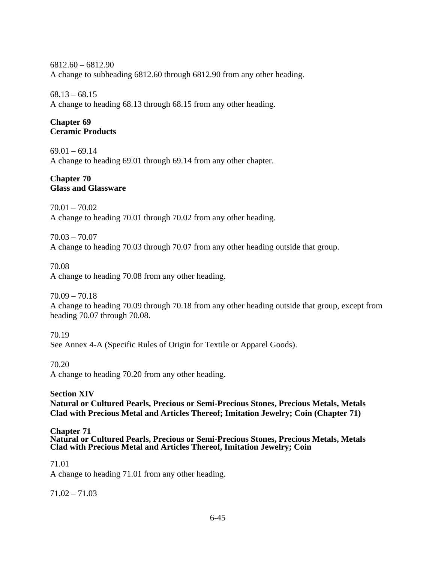6812.60 – 6812.90 A change to subheading 6812.60 through 6812.90 from any other heading.

68.13 – 68.15

A change to heading 68.13 through 68.15 from any other heading.

### **Chapter 69 Ceramic Products**

 $69.01 - 69.14$ A change to heading 69.01 through 69.14 from any other chapter.

#### **Chapter 70 Glass and Glassware**

70.01 – 70.02 A change to heading 70.01 through 70.02 from any other heading.

70.03 – 70.07

A change to heading 70.03 through 70.07 from any other heading outside that group.

70.08

A change to heading 70.08 from any other heading.

70.09 – 70.18

A change to heading 70.09 through 70.18 from any other heading outside that group, except from heading 70.07 through 70.08.

70.19 See Annex 4-A (Specific Rules of Origin for Textile or Apparel Goods).

70.20

A change to heading 70.20 from any other heading.

# **Section XIV**

**Natural or Cultured Pearls, Precious or Semi-Precious Stones, Precious Metals, Metals Clad with Precious Metal and Articles Thereof; Imitation Jewelry; Coin (Chapter 71)** 

**Chapter 71 Natural or Cultured Pearls, Precious or Semi-Precious Stones, Precious Metals, Metals Clad with Precious Metal and Articles Thereof, Imitation Jewelry; Coin** 

71.01

A change to heading 71.01 from any other heading.

71.02 – 71.03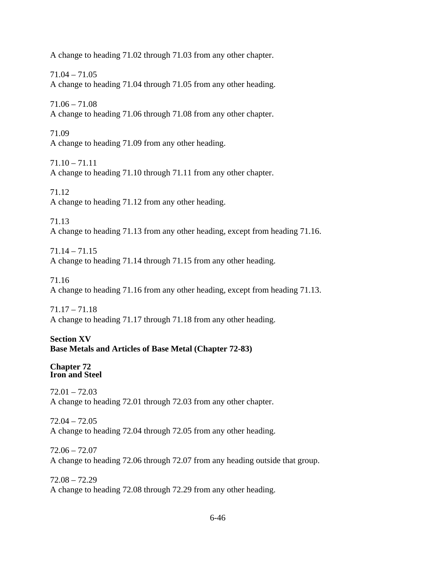A change to heading 71.02 through 71.03 from any other chapter.

71.04 – 71.05 A change to heading 71.04 through 71.05 from any other heading.

71.06 – 71.08 A change to heading 71.06 through 71.08 from any other chapter.

71.09 A change to heading 71.09 from any other heading.

71.10 – 71.11 A change to heading 71.10 through 71.11 from any other chapter.

71.12 A change to heading 71.12 from any other heading.

71.13 A change to heading 71.13 from any other heading, except from heading 71.16.

 $71.14 - 71.15$ A change to heading 71.14 through 71.15 from any other heading.

71.16 A change to heading 71.16 from any other heading, except from heading 71.13.

71.17 – 71.18 A change to heading 71.17 through 71.18 from any other heading.

# **Section XV Base Metals and Articles of Base Metal (Chapter 72-83)**

**Chapter 72 Iron and Steel** 

72.01 – 72.03 A change to heading 72.01 through 72.03 from any other chapter.

72.04 – 72.05 A change to heading 72.04 through 72.05 from any other heading.

72.06 – 72.07 A change to heading 72.06 through 72.07 from any heading outside that group.

72.08 – 72.29 A change to heading 72.08 through 72.29 from any other heading.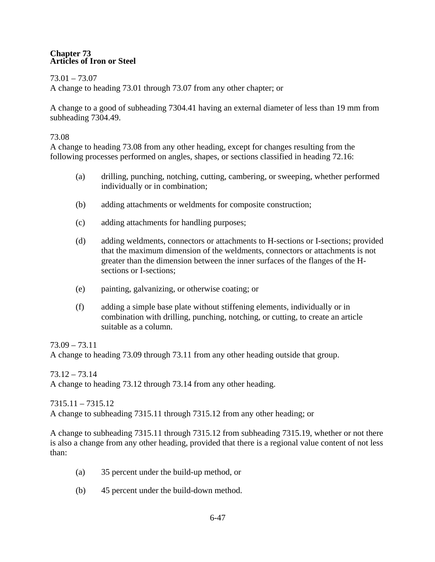#### **Chapter 73 Articles of Iron or Steel**

## 73.01 – 73.07

A change to heading 73.01 through 73.07 from any other chapter; or

A change to a good of subheading 7304.41 having an external diameter of less than 19 mm from subheading 7304.49.

## 73.08

A change to heading 73.08 from any other heading, except for changes resulting from the following processes performed on angles, shapes, or sections classified in heading 72.16:

- (a) drilling, punching, notching, cutting, cambering, or sweeping, whether performed individually or in combination;
- (b) adding attachments or weldments for composite construction;
- (c) adding attachments for handling purposes;
- (d) adding weldments, connectors or attachments to H-sections or I-sections; provided that the maximum dimension of the weldments, connectors or attachments is not greater than the dimension between the inner surfaces of the flanges of the Hsections or I-sections;
- (e) painting, galvanizing, or otherwise coating; or
- (f) adding a simple base plate without stiffening elements, individually or in combination with drilling, punching, notching, or cutting, to create an article suitable as a column.

73.09 – 73.11 A change to heading 73.09 through 73.11 from any other heading outside that group.

73.12 – 73.14 A change to heading 73.12 through 73.14 from any other heading.

7315.11 – 7315.12 A change to subheading 7315.11 through 7315.12 from any other heading; or

A change to subheading 7315.11 through 7315.12 from subheading 7315.19, whether or not there is also a change from any other heading, provided that there is a regional value content of not less than:

- (a) 35 percent under the build-up method, or
- (b) 45 percent under the build-down method.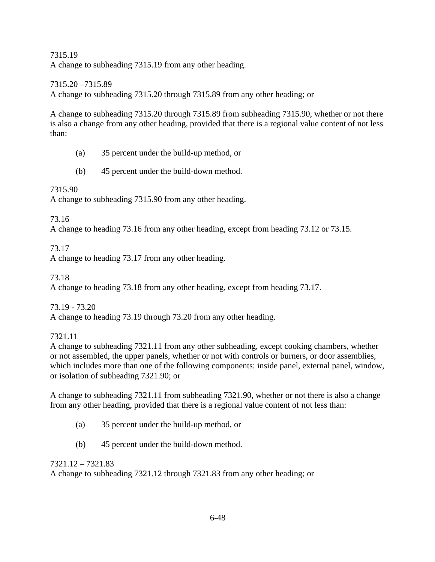## 7315.19 A change to subheading 7315.19 from any other heading.

7315.20 –7315.89

A change to subheading 7315.20 through 7315.89 from any other heading; or

A change to subheading 7315.20 through 7315.89 from subheading 7315.90, whether or not there is also a change from any other heading, provided that there is a regional value content of not less than:

- (a) 35 percent under the build-up method, or
- (b) 45 percent under the build-down method.

# 7315.90

A change to subheading 7315.90 from any other heading.

73.16

A change to heading 73.16 from any other heading, except from heading 73.12 or 73.15.

73.17

A change to heading 73.17 from any other heading.

73.18

A change to heading 73.18 from any other heading, except from heading 73.17.

73.19 - 73.20

A change to heading 73.19 through 73.20 from any other heading.

7321.11

A change to subheading 7321.11 from any other subheading, except cooking chambers, whether or not assembled, the upper panels, whether or not with controls or burners, or door assemblies, which includes more than one of the following components: inside panel, external panel, window, or isolation of subheading 7321.90; or

A change to subheading 7321.11 from subheading 7321.90, whether or not there is also a change from any other heading, provided that there is a regional value content of not less than:

- (a) 35 percent under the build-up method, or
- (b) 45 percent under the build-down method.

7321.12 – 7321.83 A change to subheading 7321.12 through 7321.83 from any other heading; or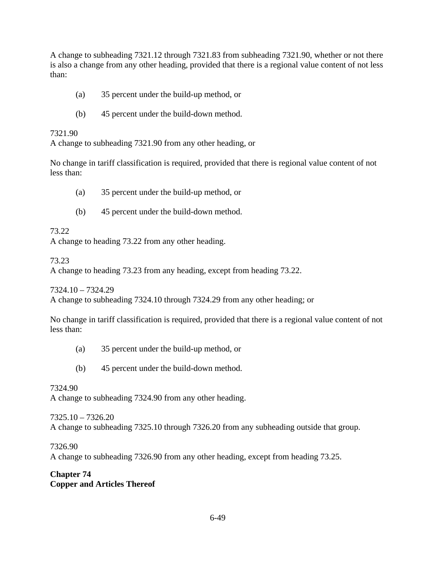A change to subheading 7321.12 through 7321.83 from subheading 7321.90, whether or not there is also a change from any other heading, provided that there is a regional value content of not less than:

- (a) 35 percent under the build-up method, or
- (b) 45 percent under the build-down method.

#### 7321.90

A change to subheading 7321.90 from any other heading, or

No change in tariff classification is required, provided that there is regional value content of not less than:

- (a) 35 percent under the build-up method, or
- (b) 45 percent under the build-down method.

73.22

A change to heading 73.22 from any other heading.

73.23

A change to heading 73.23 from any heading, except from heading 73.22.

7324.10 – 7324.29

A change to subheading 7324.10 through 7324.29 from any other heading; or

No change in tariff classification is required, provided that there is a regional value content of not less than:

- (a) 35 percent under the build-up method, or
- (b) 45 percent under the build-down method.

#### 7324.90

A change to subheading 7324.90 from any other heading.

7325.10 – 7326.20 A change to subheading 7325.10 through 7326.20 from any subheading outside that group.

7326.90

A change to subheading 7326.90 from any other heading, except from heading 73.25.

## **Chapter 74 Copper and Articles Thereof**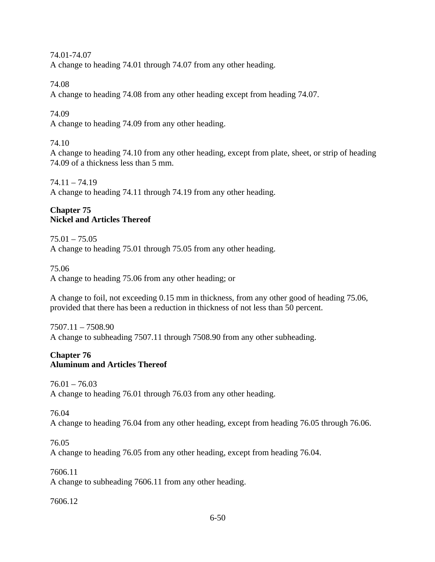74.01-74.07 A change to heading 74.01 through 74.07 from any other heading.

74.08

A change to heading 74.08 from any other heading except from heading 74.07.

74.09

A change to heading 74.09 from any other heading.

# 74.10

A change to heading 74.10 from any other heading, except from plate, sheet, or strip of heading 74.09 of a thickness less than 5 mm.

74.11 – 74.19 A change to heading 74.11 through 74.19 from any other heading.

# **Chapter 75 Nickel and Articles Thereof**

75.01 – 75.05 A change to heading 75.01 through 75.05 from any other heading.

75.06

A change to heading 75.06 from any other heading; or

A change to foil, not exceeding 0.15 mm in thickness, from any other good of heading 75.06, provided that there has been a reduction in thickness of not less than 50 percent.

7507.11 – 7508.90 A change to subheading 7507.11 through 7508.90 from any other subheading.

# **Chapter 76 Aluminum and Articles Thereof**

 $76.01 - 76.03$ A change to heading 76.01 through 76.03 from any other heading.

76.04

A change to heading 76.04 from any other heading, except from heading 76.05 through 76.06.

76.05

A change to heading 76.05 from any other heading, except from heading 76.04.

7606.11 A change to subheading 7606.11 from any other heading.

7606.12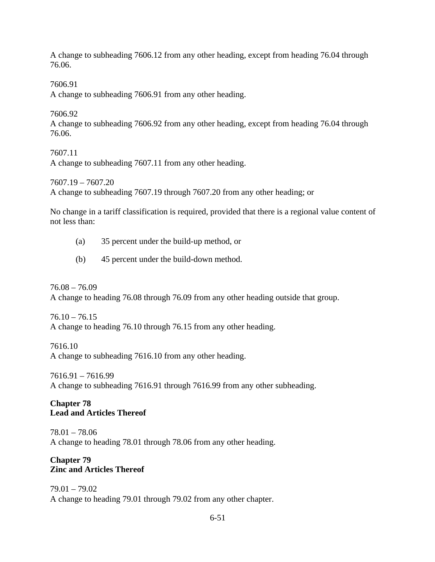A change to subheading 7606.12 from any other heading, except from heading 76.04 through 76.06.

7606.91

A change to subheading 7606.91 from any other heading.

7606.92

A change to subheading 7606.92 from any other heading, except from heading 76.04 through 76.06.

7607.11 A change to subheading 7607.11 from any other heading.

7607.19 – 7607.20

A change to subheading 7607.19 through 7607.20 from any other heading; or

No change in a tariff classification is required, provided that there is a regional value content of not less than:

- (a) 35 percent under the build-up method, or
- (b) 45 percent under the build-down method.

76.08 – 76.09 A change to heading 76.08 through 76.09 from any other heading outside that group.

 $76.10 - 76.15$ A change to heading 76.10 through 76.15 from any other heading.

7616.10 A change to subheading 7616.10 from any other heading.

7616.91 – 7616.99 A change to subheading 7616.91 through 7616.99 from any other subheading.

# **Chapter 78 Lead and Articles Thereof**

78.01 – 78.06 A change to heading 78.01 through 78.06 from any other heading.

## **Chapter 79 Zinc and Articles Thereof**

79.01 – 79.02 A change to heading 79.01 through 79.02 from any other chapter.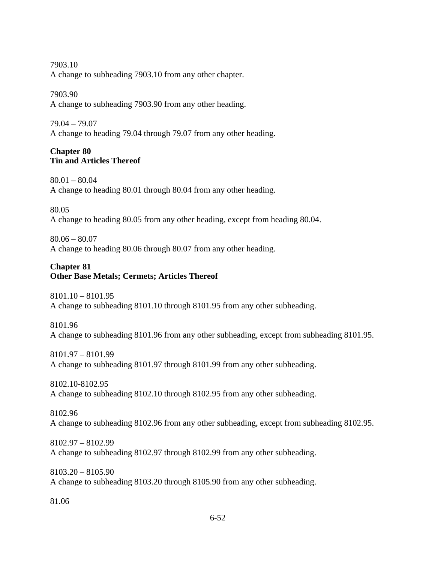7903.10 A change to subheading 7903.10 from any other chapter.

7903.90

A change to subheading 7903.90 from any other heading.

79.04 – 79.07

A change to heading 79.04 through 79.07 from any other heading.

# **Chapter 80 Tin and Articles Thereof**

80.01 – 80.04 A change to heading 80.01 through 80.04 from any other heading.

80.05

A change to heading 80.05 from any other heading, except from heading 80.04.

 $80.06 - 80.07$ 

A change to heading 80.06 through 80.07 from any other heading.

## **Chapter 81 Other Base Metals; Cermets; Articles Thereof**

8101.10 – 8101.95 A change to subheading 8101.10 through 8101.95 from any other subheading.

8101.96 A change to subheading 8101.96 from any other subheading, except from subheading 8101.95.

8101.97 – 8101.99 A change to subheading 8101.97 through 8101.99 from any other subheading.

8102.10-8102.95 A change to subheading 8102.10 through 8102.95 from any other subheading.

8102.96 A change to subheading 8102.96 from any other subheading, except from subheading 8102.95.

8102.97 – 8102.99 A change to subheading 8102.97 through 8102.99 from any other subheading.

8103.20 – 8105.90 A change to subheading 8103.20 through 8105.90 from any other subheading.

81.06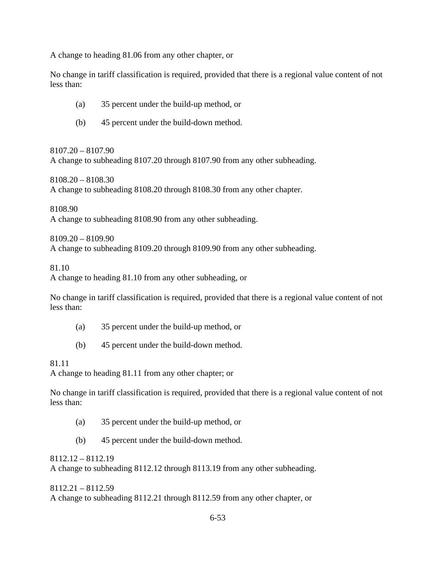A change to heading 81.06 from any other chapter, or

No change in tariff classification is required, provided that there is a regional value content of not less than:

- (a) 35 percent under the build-up method, or
- (b) 45 percent under the build-down method.

8107.20 – 8107.90 A change to subheading 8107.20 through 8107.90 from any other subheading.

8108.20 – 8108.30 A change to subheading 8108.20 through 8108.30 from any other chapter.

8108.90

A change to subheading 8108.90 from any other subheading.

8109.20 – 8109.90

A change to subheading 8109.20 through 8109.90 from any other subheading.

81.10

A change to heading 81.10 from any other subheading, or

No change in tariff classification is required, provided that there is a regional value content of not less than:

- (a) 35 percent under the build-up method, or
- (b) 45 percent under the build-down method.

## 81.11

A change to heading 81.11 from any other chapter; or

No change in tariff classification is required, provided that there is a regional value content of not less than:

- (a) 35 percent under the build-up method, or
- (b) 45 percent under the build-down method.

8112.12 – 8112.19

A change to subheading 8112.12 through 8113.19 from any other subheading.

8112.21 – 8112.59 A change to subheading 8112.21 through 8112.59 from any other chapter, or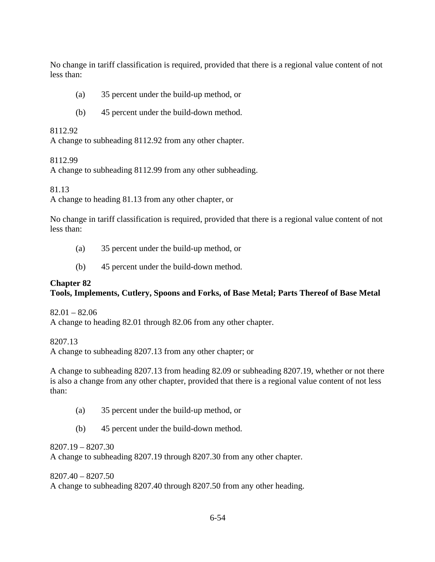No change in tariff classification is required, provided that there is a regional value content of not less than:

- (a) 35 percent under the build-up method, or
- (b) 45 percent under the build-down method.

#### 8112.92

A change to subheading 8112.92 from any other chapter.

## 8112.99

A change to subheading 8112.99 from any other subheading.

81.13

A change to heading 81.13 from any other chapter, or

No change in tariff classification is required, provided that there is a regional value content of not less than:

- (a) 35 percent under the build-up method, or
- (b) 45 percent under the build-down method.

# **Chapter 82**

# **Tools, Implements, Cutlery, Spoons and Forks, of Base Metal; Parts Thereof of Base Metal**

 $82.01 - 82.06$ 

A change to heading 82.01 through 82.06 from any other chapter.

8207.13

A change to subheading 8207.13 from any other chapter; or

A change to subheading 8207.13 from heading 82.09 or subheading 8207.19, whether or not there is also a change from any other chapter, provided that there is a regional value content of not less than:

- (a) 35 percent under the build-up method, or
- (b) 45 percent under the build-down method.

# 8207.19 – 8207.30

A change to subheading 8207.19 through 8207.30 from any other chapter.

8207.40 – 8207.50 A change to subheading 8207.40 through 8207.50 from any other heading.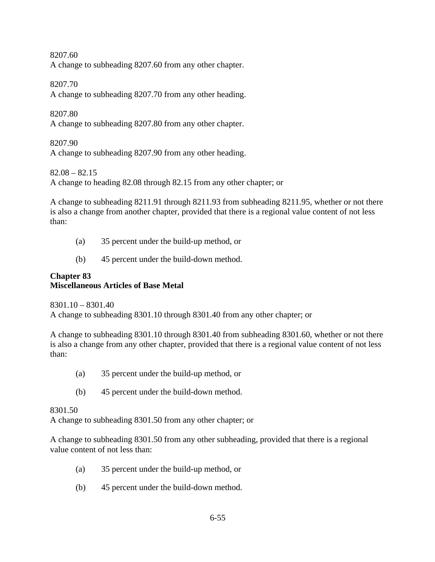8207.60 A change to subheading 8207.60 from any other chapter.

8207.70

A change to subheading 8207.70 from any other heading.

8207.80

A change to subheading 8207.80 from any other chapter.

8207.90

A change to subheading 8207.90 from any other heading.

 $82.08 - 82.15$ 

A change to heading 82.08 through 82.15 from any other chapter; or

A change to subheading 8211.91 through 8211.93 from subheading 8211.95, whether or not there is also a change from another chapter, provided that there is a regional value content of not less than:

- (a) 35 percent under the build-up method, or
- (b) 45 percent under the build-down method.

## **Chapter 83 Miscellaneous Articles of Base Metal**

8301.10 – 8301.40 A change to subheading 8301.10 through 8301.40 from any other chapter; or

A change to subheading 8301.10 through 8301.40 from subheading 8301.60, whether or not there is also a change from any other chapter, provided that there is a regional value content of not less than:

- (a) 35 percent under the build-up method, or
- (b) 45 percent under the build-down method.

8301.50

A change to subheading 8301.50 from any other chapter; or

A change to subheading 8301.50 from any other subheading, provided that there is a regional value content of not less than:

- (a) 35 percent under the build-up method, or
- (b) 45 percent under the build-down method.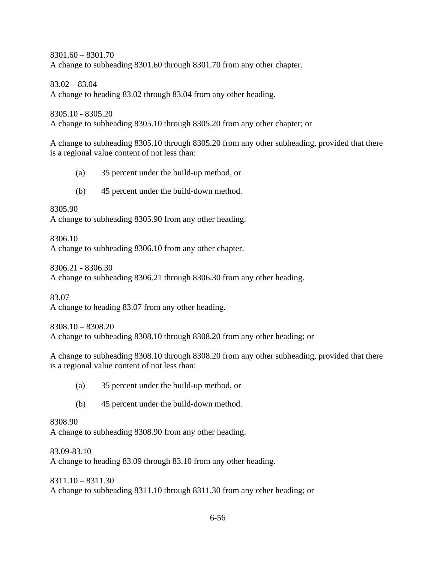8301.60 – 8301.70 A change to subheading 8301.60 through 8301.70 from any other chapter.

83.02 – 83.04

A change to heading 83.02 through 83.04 from any other heading.

8305.10 - 8305.20

A change to subheading 8305.10 through 8305.20 from any other chapter; or

A change to subheading 8305.10 through 8305.20 from any other subheading, provided that there is a regional value content of not less than:

- (a) 35 percent under the build-up method, or
- (b) 45 percent under the build-down method.

8305.90

A change to subheading 8305.90 from any other heading.

8306.10

A change to subheading 8306.10 from any other chapter.

8306.21 - 8306.30

A change to subheading 8306.21 through 8306.30 from any other heading.

83.07

A change to heading 83.07 from any other heading.

8308.10 – 8308.20 A change to subheading 8308.10 through 8308.20 from any other heading; or

A change to subheading 8308.10 through 8308.20 from any other subheading, provided that there is a regional value content of not less than:

- (a) 35 percent under the build-up method, or
- (b) 45 percent under the build-down method.

# 8308.90

A change to subheading 8308.90 from any other heading.

83.09-83.10

A change to heading 83.09 through 83.10 from any other heading.

8311.10 – 8311.30 A change to subheading 8311.10 through 8311.30 from any other heading; or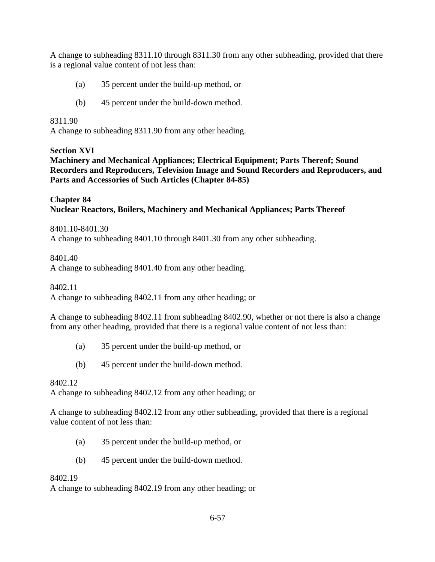A change to subheading 8311.10 through 8311.30 from any other subheading, provided that there is a regional value content of not less than:

- (a) 35 percent under the build-up method, or
- (b) 45 percent under the build-down method.

## 8311.90

A change to subheading 8311.90 from any other heading.

# **Section XVI**

**Machinery and Mechanical Appliances; Electrical Equipment; Parts Thereof; Sound Recorders and Reproducers, Television Image and Sound Recorders and Reproducers, and Parts and Accessories of Such Articles (Chapter 84-85)** 

## **Chapter 84 Nuclear Reactors, Boilers, Machinery and Mechanical Appliances; Parts Thereof**

8401.10-8401.30 A change to subheading 8401.10 through 8401.30 from any other subheading.

# 8401.40

A change to subheading 8401.40 from any other heading.

8402.11

A change to subheading 8402.11 from any other heading; or

A change to subheading 8402.11 from subheading 8402.90, whether or not there is also a change from any other heading, provided that there is a regional value content of not less than:

- (a) 35 percent under the build-up method, or
- (b) 45 percent under the build-down method.

#### 8402.12

A change to subheading 8402.12 from any other heading; or

A change to subheading 8402.12 from any other subheading, provided that there is a regional value content of not less than:

- (a) 35 percent under the build-up method, or
- (b) 45 percent under the build-down method.

# 8402.19

A change to subheading 8402.19 from any other heading; or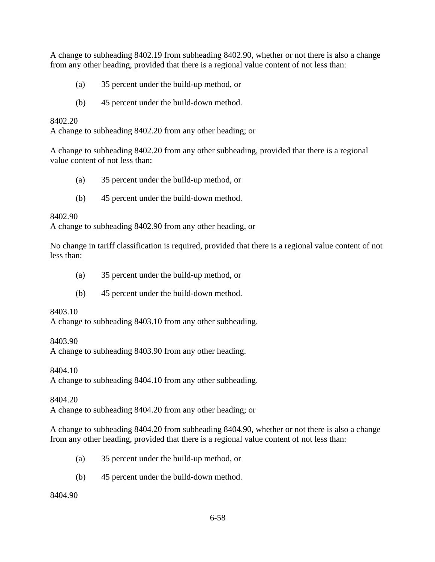A change to subheading 8402.19 from subheading 8402.90, whether or not there is also a change from any other heading, provided that there is a regional value content of not less than:

- (a) 35 percent under the build-up method, or
- (b) 45 percent under the build-down method.

8402.20

A change to subheading 8402.20 from any other heading; or

A change to subheading 8402.20 from any other subheading, provided that there is a regional value content of not less than:

- (a) 35 percent under the build-up method, or
- (b) 45 percent under the build-down method.

8402.90

A change to subheading 8402.90 from any other heading, or

No change in tariff classification is required, provided that there is a regional value content of not less than:

- (a) 35 percent under the build-up method, or
- (b) 45 percent under the build-down method.

8403.10

A change to subheading 8403.10 from any other subheading.

8403.90

A change to subheading 8403.90 from any other heading.

8404.10

A change to subheading 8404.10 from any other subheading.

8404.20

A change to subheading 8404.20 from any other heading; or

A change to subheading 8404.20 from subheading 8404.90, whether or not there is also a change from any other heading, provided that there is a regional value content of not less than:

- (a) 35 percent under the build-up method, or
- (b) 45 percent under the build-down method.

# 8404.90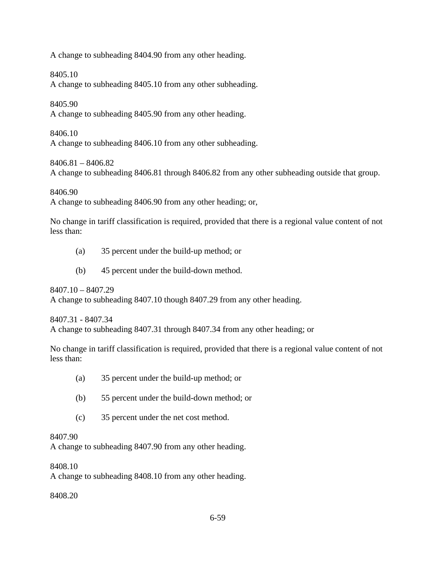A change to subheading 8404.90 from any other heading.

# 8405.10

A change to subheading 8405.10 from any other subheading.

# 8405.90

A change to subheading 8405.90 from any other heading.

# 8406.10

A change to subheading 8406.10 from any other subheading.

# 8406.81 – 8406.82

A change to subheading 8406.81 through 8406.82 from any other subheading outside that group.

## 8406.90

A change to subheading 8406.90 from any other heading; or,

No change in tariff classification is required, provided that there is a regional value content of not less than:

- (a) 35 percent under the build-up method; or
- (b) 45 percent under the build-down method.

8407.10 – 8407.29 A change to subheading 8407.10 though 8407.29 from any other heading.

8407.31 - 8407.34

A change to subheading 8407.31 through 8407.34 from any other heading; or

No change in tariff classification is required, provided that there is a regional value content of not less than:

- (a) 35 percent under the build-up method; or
- (b) 55 percent under the build-down method; or
- (c) 35 percent under the net cost method.

# 8407.90

A change to subheading 8407.90 from any other heading.

8408.10

A change to subheading 8408.10 from any other heading.

8408.20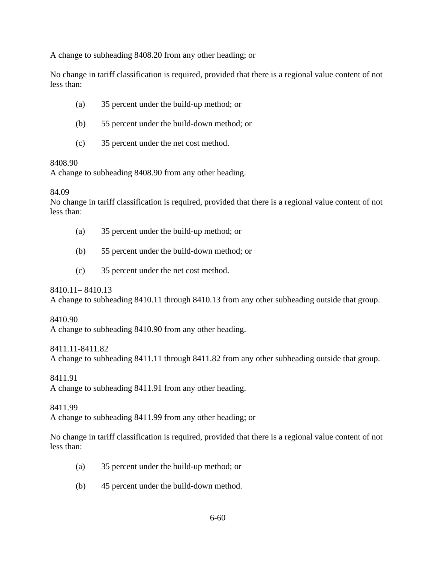A change to subheading 8408.20 from any other heading; or

No change in tariff classification is required, provided that there is a regional value content of not less than:

- (a) 35 percent under the build-up method; or
- (b) 55 percent under the build-down method; or
- (c) 35 percent under the net cost method.

## 8408.90

A change to subheading 8408.90 from any other heading.

## 84.09

No change in tariff classification is required, provided that there is a regional value content of not less than:

- (a) 35 percent under the build-up method; or
- (b) 55 percent under the build-down method; or
- (c) 35 percent under the net cost method.

8410.11– 8410.13

A change to subheading 8410.11 through 8410.13 from any other subheading outside that group.

# 8410.90

A change to subheading 8410.90 from any other heading.

# 8411.11-8411.82

A change to subheading 8411.11 through 8411.82 from any other subheading outside that group.

8411.91

A change to subheading 8411.91 from any other heading.

8411.99

A change to subheading 8411.99 from any other heading; or

No change in tariff classification is required, provided that there is a regional value content of not less than:

- (a) 35 percent under the build-up method; or
- (b) 45 percent under the build-down method.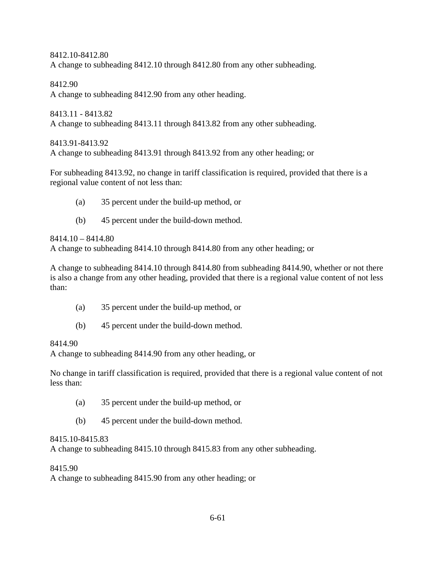8412.10-8412.80 A change to subheading 8412.10 through 8412.80 from any other subheading.

8412.90 A change to subheading 8412.90 from any other heading.

8413.11 - 8413.82 A change to subheading 8413.11 through 8413.82 from any other subheading.

8413.91-8413.92

A change to subheading 8413.91 through 8413.92 from any other heading; or

For subheading 8413.92, no change in tariff classification is required, provided that there is a regional value content of not less than:

- (a) 35 percent under the build-up method, or
- (b) 45 percent under the build-down method.

8414.10 – 8414.80

A change to subheading 8414.10 through 8414.80 from any other heading; or

A change to subheading 8414.10 through 8414.80 from subheading 8414.90, whether or not there is also a change from any other heading, provided that there is a regional value content of not less than:

- (a) 35 percent under the build-up method, or
- (b) 45 percent under the build-down method.

# 8414.90

A change to subheading 8414.90 from any other heading, or

No change in tariff classification is required, provided that there is a regional value content of not less than:

- (a) 35 percent under the build-up method, or
- (b) 45 percent under the build-down method.

# 8415.10-8415.83

A change to subheading 8415.10 through 8415.83 from any other subheading.

# 8415.90

A change to subheading 8415.90 from any other heading; or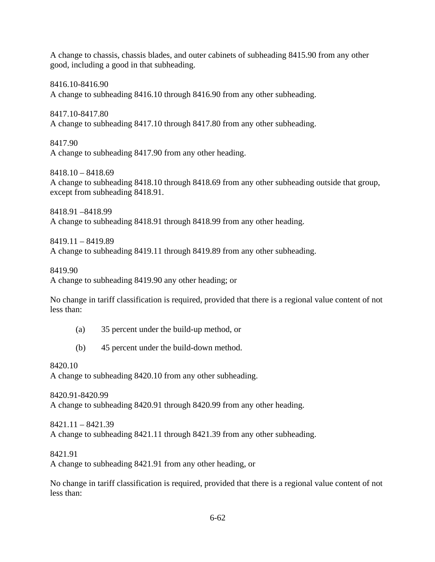A change to chassis, chassis blades, and outer cabinets of subheading 8415.90 from any other good, including a good in that subheading.

8416.10-8416.90 A change to subheading 8416.10 through 8416.90 from any other subheading.

8417.10-8417.80 A change to subheading 8417.10 through 8417.80 from any other subheading.

8417.90 A change to subheading 8417.90 from any other heading.

8418.10 – 8418.69 A change to subheading 8418.10 through 8418.69 from any other subheading outside that group, except from subheading 8418.91.

8418.91 –8418.99 A change to subheading 8418.91 through 8418.99 from any other heading.

8419.11 – 8419.89 A change to subheading 8419.11 through 8419.89 from any other subheading.

8419.90

A change to subheading 8419.90 any other heading; or

No change in tariff classification is required, provided that there is a regional value content of not less than:

- (a) 35 percent under the build-up method, or
- (b) 45 percent under the build-down method.

8420.10

A change to subheading 8420.10 from any other subheading.

8420.91-8420.99 A change to subheading 8420.91 through 8420.99 from any other heading.

8421.11 – 8421.39 A change to subheading 8421.11 through 8421.39 from any other subheading.

8421.91

A change to subheading 8421.91 from any other heading, or

No change in tariff classification is required, provided that there is a regional value content of not less than: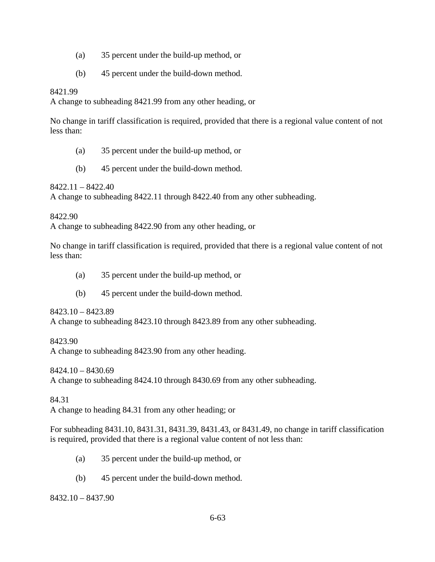- (a) 35 percent under the build-up method, or
- (b) 45 percent under the build-down method.

#### 8421.99

A change to subheading 8421.99 from any other heading, or

No change in tariff classification is required, provided that there is a regional value content of not less than:

- (a) 35 percent under the build-up method, or
- (b) 45 percent under the build-down method.

8422.11 – 8422.40

A change to subheading 8422.11 through 8422.40 from any other subheading.

8422.90

A change to subheading 8422.90 from any other heading, or

No change in tariff classification is required, provided that there is a regional value content of not less than:

- (a) 35 percent under the build-up method, or
- (b) 45 percent under the build-down method.

8423.10 – 8423.89

A change to subheading 8423.10 through 8423.89 from any other subheading.

8423.90 A change to subheading 8423.90 from any other heading.

8424.10 – 8430.69 A change to subheading 8424.10 through 8430.69 from any other subheading.

84.31

A change to heading 84.31 from any other heading; or

For subheading 8431.10, 8431.31, 8431.39, 8431.43, or 8431.49, no change in tariff classification is required, provided that there is a regional value content of not less than:

- (a) 35 percent under the build-up method, or
- (b) 45 percent under the build-down method.

8432.10 – 8437.90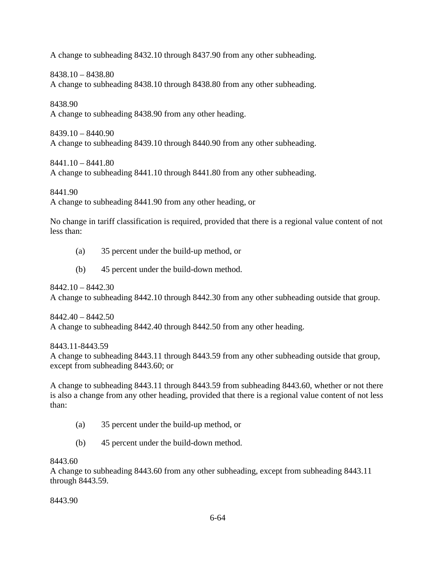A change to subheading 8432.10 through 8437.90 from any other subheading.

8438.10 – 8438.80

A change to subheading 8438.10 through 8438.80 from any other subheading.

8438.90

A change to subheading 8438.90 from any other heading.

8439.10 – 8440.90 A change to subheading 8439.10 through 8440.90 from any other subheading.

8441.10 – 8441.80

A change to subheading 8441.10 through 8441.80 from any other subheading.

8441.90

A change to subheading 8441.90 from any other heading, or

No change in tariff classification is required, provided that there is a regional value content of not less than:

- (a) 35 percent under the build-up method, or
- (b) 45 percent under the build-down method.

8442.10 – 8442.30 A change to subheading 8442.10 through 8442.30 from any other subheading outside that group.

8442.40 – 8442.50 A change to subheading 8442.40 through 8442.50 from any other heading.

8443.11-8443.59

A change to subheading 8443.11 through 8443.59 from any other subheading outside that group, except from subheading 8443.60; or

A change to subheading 8443.11 through 8443.59 from subheading 8443.60, whether or not there is also a change from any other heading, provided that there is a regional value content of not less than:

- (a) 35 percent under the build-up method, or
- (b) 45 percent under the build-down method.

8443.60

A change to subheading 8443.60 from any other subheading, except from subheading 8443.11 through 8443.59.

8443.90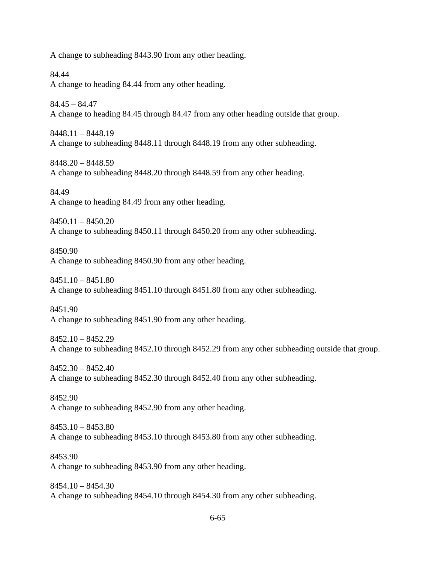A change to subheading 8443.90 from any other heading.

84.44 A change to heading 84.44 from any other heading.

 $84.45 - 84.47$ A change to heading 84.45 through 84.47 from any other heading outside that group.

8448.11 – 8448.19 A change to subheading 8448.11 through 8448.19 from any other subheading.

8448.20 – 8448.59 A change to subheading 8448.20 through 8448.59 from any other heading.

84.49 A change to heading 84.49 from any other heading.

8450.11 – 8450.20 A change to subheading 8450.11 through 8450.20 from any other subheading.

8450.90 A change to subheading 8450.90 from any other heading.

8451.10 – 8451.80 A change to subheading 8451.10 through 8451.80 from any other subheading.

8451.90 A change to subheading 8451.90 from any other heading.

8452.10 – 8452.29 A change to subheading 8452.10 through 8452.29 from any other subheading outside that group.

8452.30 – 8452.40 A change to subheading 8452.30 through 8452.40 from any other subheading.

8452.90 A change to subheading 8452.90 from any other heading.

8453.10 – 8453.80 A change to subheading 8453.10 through 8453.80 from any other subheading.

8453.90 A change to subheading 8453.90 from any other heading.

 $8454.10 - 8454.30$ A change to subheading 8454.10 through 8454.30 from any other subheading.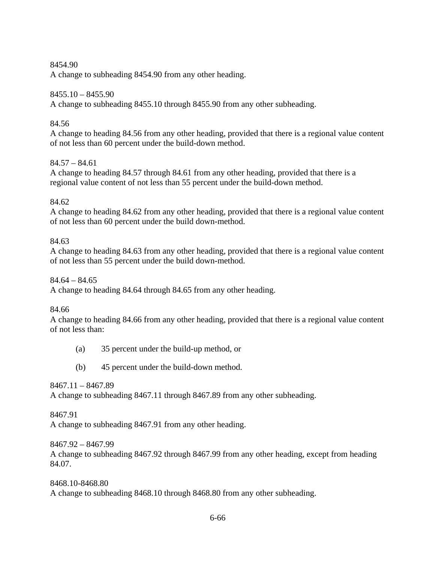### 8454.90

A change to subheading 8454.90 from any other heading.

## 8455.10 – 8455.90

A change to subheading 8455.10 through 8455.90 from any other subheading.

## 84.56

A change to heading 84.56 from any other heading, provided that there is a regional value content of not less than 60 percent under the build-down method.

## $84.57 - 84.61$

A change to heading 84.57 through 84.61 from any other heading, provided that there is a regional value content of not less than 55 percent under the build-down method.

## 84.62

A change to heading 84.62 from any other heading, provided that there is a regional value content of not less than 60 percent under the build down-method.

#### 84.63

A change to heading 84.63 from any other heading, provided that there is a regional value content of not less than 55 percent under the build down-method.

#### $84.64 - 84.65$

A change to heading 84.64 through 84.65 from any other heading.

#### 84.66

A change to heading 84.66 from any other heading, provided that there is a regional value content of not less than:

- (a) 35 percent under the build-up method, or
- (b) 45 percent under the build-down method.

#### 8467.11 – 8467.89

A change to subheading 8467.11 through 8467.89 from any other subheading.

#### 8467.91

A change to subheading 8467.91 from any other heading.

#### 8467.92 – 8467.99

A change to subheading 8467.92 through 8467.99 from any other heading, except from heading 84.07.

8468.10-8468.80 A change to subheading 8468.10 through 8468.80 from any other subheading.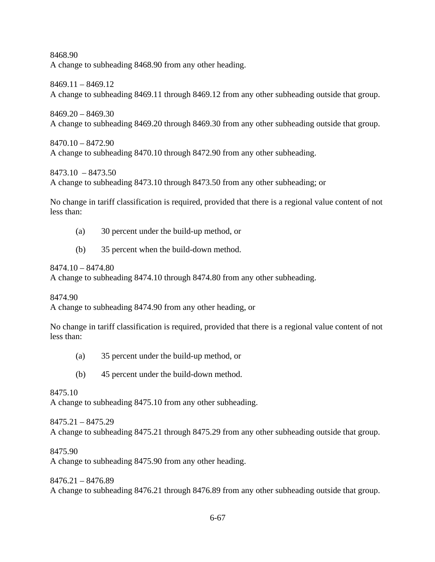8468.90 A change to subheading 8468.90 from any other heading.

8469.11 – 8469.12 A change to subheading 8469.11 through 8469.12 from any other subheading outside that group.

8469.20 – 8469.30 A change to subheading 8469.20 through 8469.30 from any other subheading outside that group.

8470.10 – 8472.90 A change to subheading 8470.10 through 8472.90 from any other subheading.

8473.10 – 8473.50 A change to subheading 8473.10 through 8473.50 from any other subheading; or

No change in tariff classification is required, provided that there is a regional value content of not less than:

- (a) 30 percent under the build-up method, or
- (b) 35 percent when the build-down method.

8474.10 – 8474.80

A change to subheading 8474.10 through 8474.80 from any other subheading.

8474.90

A change to subheading 8474.90 from any other heading, or

No change in tariff classification is required, provided that there is a regional value content of not less than:

- (a) 35 percent under the build-up method, or
- (b) 45 percent under the build-down method.

8475.10

A change to subheading 8475.10 from any other subheading.

8475.21 – 8475.29 A change to subheading 8475.21 through 8475.29 from any other subheading outside that group.

8475.90

A change to subheading 8475.90 from any other heading.

8476.21 – 8476.89 A change to subheading 8476.21 through 8476.89 from any other subheading outside that group.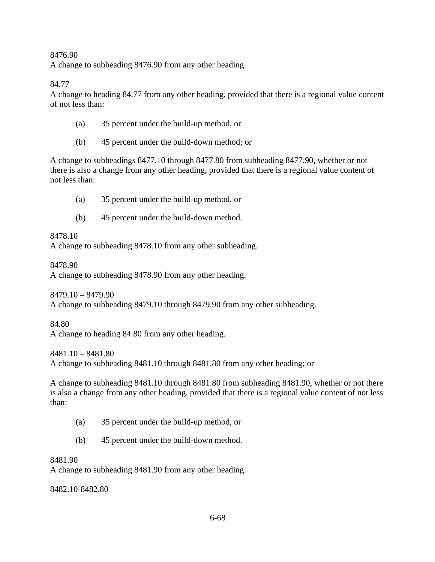8476.90 A change to subheading 8476.90 from any other heading.

84.77

A change to heading 84.77 from any other heading, provided that there is a regional value content of not less than:

- (a) 35 percent under the build-up method, or
- (b) 45 percent under the build-down method; or

A change to subheadings 8477.10 through 8477.80 from subheading 8477.90, whether or not there is also a change from any other heading, provided that there is a regional value content of not less than:

- (a) 35 percent under the build-up method, or
- (b) 45 percent under the build-down method.

8478.10

A change to subheading 8478.10 from any other subheading.

8478.90

A change to subheading 8478.90 from any other heading.

8479.10 – 8479.90 A change to subheading 8479.10 through 8479.90 from any other subheading.

84.80

A change to heading 84.80 from any other heading.

8481.10 – 8481.80

A change to subheading 8481.10 through 8481.80 from any other heading; or

A change to subheading 8481.10 through 8481.80 from subheading 8481.90, whether or not there is also a change from any other heading, provided that there is a regional value content of not less than:

- (a) 35 percent under the build-up method, or
- (b) 45 percent under the build-down method.

8481.90

A change to subheading 8481.90 from any other heading.

8482.10-8482.80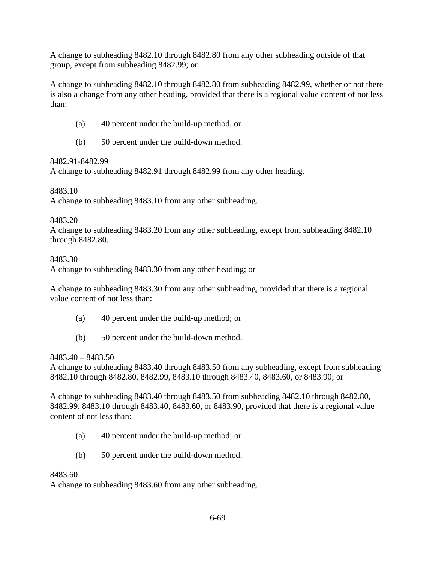A change to subheading 8482.10 through 8482.80 from any other subheading outside of that group, except from subheading 8482.99; or

A change to subheading 8482.10 through 8482.80 from subheading 8482.99, whether or not there is also a change from any other heading, provided that there is a regional value content of not less than:

- (a) 40 percent under the build-up method, or
- (b) 50 percent under the build-down method.

#### 8482.91-8482.99

A change to subheading 8482.91 through 8482.99 from any other heading.

#### 8483.10

A change to subheading 8483.10 from any other subheading.

#### 8483.20

A change to subheading 8483.20 from any other subheading, except from subheading 8482.10 through 8482.80.

#### 8483.30

A change to subheading 8483.30 from any other heading; or

A change to subheading 8483.30 from any other subheading, provided that there is a regional value content of not less than:

- (a) 40 percent under the build-up method; or
- (b) 50 percent under the build-down method.

#### 8483.40 – 8483.50

A change to subheading 8483.40 through 8483.50 from any subheading, except from subheading 8482.10 through 8482.80, 8482.99, 8483.10 through 8483.40, 8483.60, or 8483.90; or

A change to subheading 8483.40 through 8483.50 from subheading 8482.10 through 8482.80, 8482.99, 8483.10 through 8483.40, 8483.60, or 8483.90, provided that there is a regional value content of not less than:

- (a) 40 percent under the build-up method; or
- (b) 50 percent under the build-down method.

#### 8483.60

A change to subheading 8483.60 from any other subheading.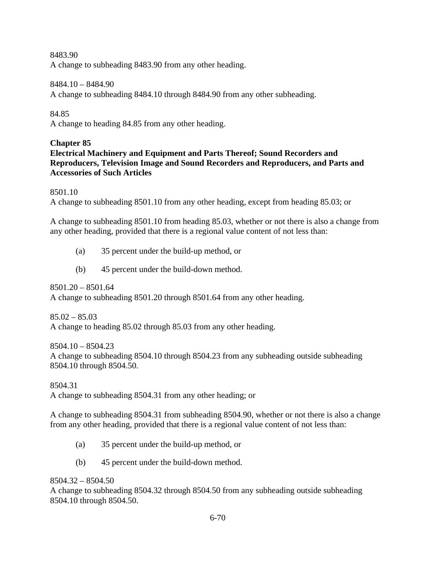8483.90

A change to subheading 8483.90 from any other heading.

8484.10 – 8484.90

A change to subheading 8484.10 through 8484.90 from any other subheading.

84.85

A change to heading 84.85 from any other heading.

## **Chapter 85**

# **Electrical Machinery and Equipment and Parts Thereof; Sound Recorders and Reproducers, Television Image and Sound Recorders and Reproducers, and Parts and Accessories of Such Articles**

8501.10

A change to subheading 8501.10 from any other heading, except from heading 85.03; or

A change to subheading 8501.10 from heading 85.03, whether or not there is also a change from any other heading, provided that there is a regional value content of not less than:

- (a) 35 percent under the build-up method, or
- (b) 45 percent under the build-down method.

8501.20 – 8501.64 A change to subheading 8501.20 through 8501.64 from any other heading.

 $85.02 - 85.03$ A change to heading 85.02 through 85.03 from any other heading.

 $8504.10 - 8504.23$ A change to subheading 8504.10 through 8504.23 from any subheading outside subheading 8504.10 through 8504.50.

8504.31 A change to subheading 8504.31 from any other heading; or

A change to subheading 8504.31 from subheading 8504.90, whether or not there is also a change from any other heading, provided that there is a regional value content of not less than:

- (a) 35 percent under the build-up method, or
- (b) 45 percent under the build-down method.

8504.32 – 8504.50

A change to subheading 8504.32 through 8504.50 from any subheading outside subheading 8504.10 through 8504.50.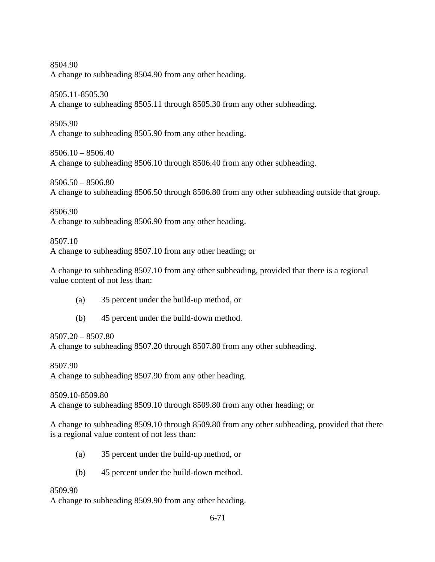8504.90 A change to subheading 8504.90 from any other heading.

8505.11-8505.30 A change to subheading 8505.11 through 8505.30 from any other subheading.

8505.90 A change to subheading 8505.90 from any other heading.

 $8506.10 - 8506.40$ A change to subheading 8506.10 through 8506.40 from any other subheading.

8506.50 – 8506.80 A change to subheading 8506.50 through 8506.80 from any other subheading outside that group.

8506.90 A change to subheading 8506.90 from any other heading.

8507.10 A change to subheading 8507.10 from any other heading; or

A change to subheading 8507.10 from any other subheading, provided that there is a regional value content of not less than:

- (a) 35 percent under the build-up method, or
- (b) 45 percent under the build-down method.

# 8507.20 – 8507.80

A change to subheading 8507.20 through 8507.80 from any other subheading.

8507.90

A change to subheading 8507.90 from any other heading.

8509.10-8509.80 A change to subheading 8509.10 through 8509.80 from any other heading; or

A change to subheading 8509.10 through 8509.80 from any other subheading, provided that there is a regional value content of not less than:

- (a) 35 percent under the build-up method, or
- (b) 45 percent under the build-down method.

# 8509.90

A change to subheading 8509.90 from any other heading.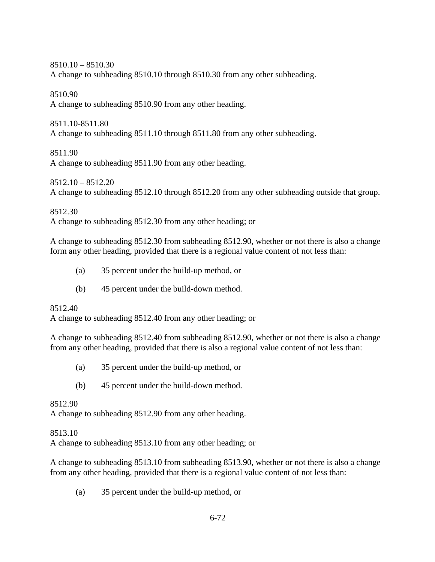# 8510.10 – 8510.30

A change to subheading 8510.10 through 8510.30 from any other subheading.

### 8510.90

A change to subheading 8510.90 from any other heading.

### 8511.10-8511.80

A change to subheading 8511.10 through 8511.80 from any other subheading.

# 8511.90

A change to subheading 8511.90 from any other heading.

# 8512.10 – 8512.20

A change to subheading 8512.10 through 8512.20 from any other subheading outside that group.

8512.30

A change to subheading 8512.30 from any other heading; or

A change to subheading 8512.30 from subheading 8512.90, whether or not there is also a change form any other heading, provided that there is a regional value content of not less than:

- (a) 35 percent under the build-up method, or
- (b) 45 percent under the build-down method.

# 8512.40

A change to subheading 8512.40 from any other heading; or

A change to subheading 8512.40 from subheading 8512.90, whether or not there is also a change from any other heading, provided that there is also a regional value content of not less than:

- (a) 35 percent under the build-up method, or
- (b) 45 percent under the build-down method.

# 8512.90

A change to subheading 8512.90 from any other heading.

# 8513.10

A change to subheading 8513.10 from any other heading; or

A change to subheading 8513.10 from subheading 8513.90, whether or not there is also a change from any other heading, provided that there is a regional value content of not less than:

(a) 35 percent under the build-up method, or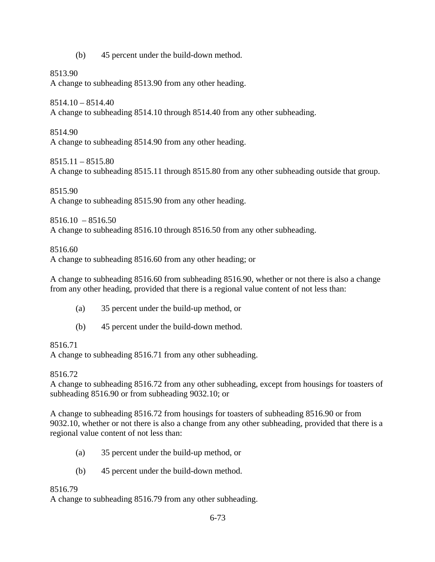(b) 45 percent under the build-down method.

8513.90

A change to subheading 8513.90 from any other heading.

8514.10 – 8514.40

A change to subheading 8514.10 through 8514.40 from any other subheading.

8514.90 A change to subheading 8514.90 from any other heading.

 $8515.11 - 8515.80$ A change to subheading 8515.11 through 8515.80 from any other subheading outside that group.

8515.90 A change to subheading 8515.90 from any other heading.

 $8516.10 - 8516.50$ A change to subheading 8516.10 through 8516.50 from any other subheading.

8516.60

A change to subheading 8516.60 from any other heading; or

A change to subheading 8516.60 from subheading 8516.90, whether or not there is also a change from any other heading, provided that there is a regional value content of not less than:

- (a) 35 percent under the build-up method, or
- (b) 45 percent under the build-down method.

## 8516.71

A change to subheading 8516.71 from any other subheading.

## 8516.72

A change to subheading 8516.72 from any other subheading, except from housings for toasters of subheading 8516.90 or from subheading 9032.10; or

A change to subheading 8516.72 from housings for toasters of subheading 8516.90 or from 9032.10, whether or not there is also a change from any other subheading, provided that there is a regional value content of not less than:

- (a) 35 percent under the build-up method, or
- (b) 45 percent under the build-down method.

## 8516.79

A change to subheading 8516.79 from any other subheading.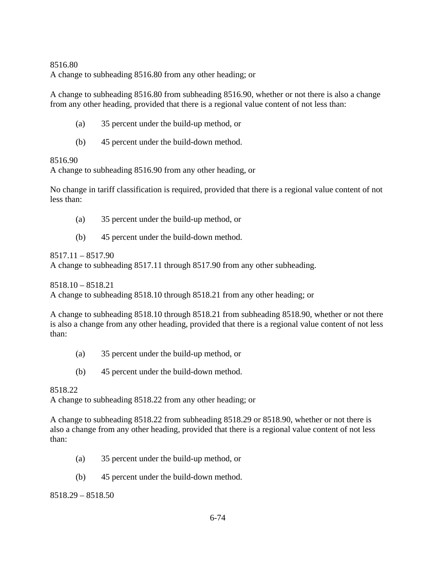### 8516.80 A change to subheading 8516.80 from any other heading; or

A change to subheading 8516.80 from subheading 8516.90, whether or not there is also a change from any other heading, provided that there is a regional value content of not less than:

- (a) 35 percent under the build-up method, or
- (b) 45 percent under the build-down method.

## 8516.90

A change to subheading 8516.90 from any other heading, or

No change in tariff classification is required, provided that there is a regional value content of not less than:

- (a) 35 percent under the build-up method, or
- (b) 45 percent under the build-down method.

8517.11 – 8517.90

A change to subheading 8517.11 through 8517.90 from any other subheading.

8518.10 – 8518.21

A change to subheading 8518.10 through 8518.21 from any other heading; or

A change to subheading 8518.10 through 8518.21 from subheading 8518.90, whether or not there is also a change from any other heading, provided that there is a regional value content of not less than:

- (a) 35 percent under the build-up method, or
- (b) 45 percent under the build-down method.

## 8518.22

A change to subheading 8518.22 from any other heading; or

A change to subheading 8518.22 from subheading 8518.29 or 8518.90, whether or not there is also a change from any other heading, provided that there is a regional value content of not less than:

- (a) 35 percent under the build-up method, or
- (b) 45 percent under the build-down method.

8518.29 – 8518.50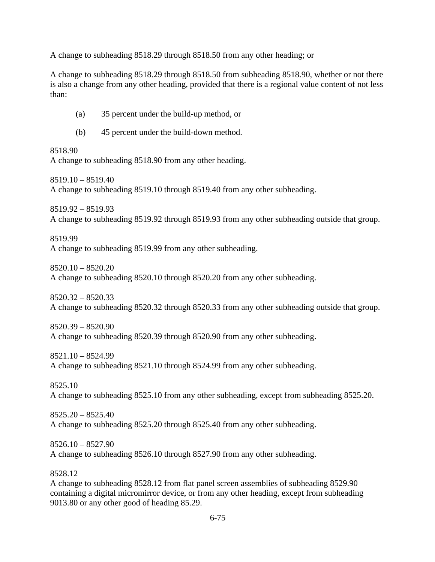A change to subheading 8518.29 through 8518.50 from any other heading; or

A change to subheading 8518.29 through 8518.50 from subheading 8518.90, whether or not there is also a change from any other heading, provided that there is a regional value content of not less than:

- (a) 35 percent under the build-up method, or
- (b) 45 percent under the build-down method.

#### 8518.90

A change to subheading 8518.90 from any other heading.

8519.10 – 8519.40

A change to subheading 8519.10 through 8519.40 from any other subheading.

8519.92 – 8519.93 A change to subheading 8519.92 through 8519.93 from any other subheading outside that group.

8519.99 A change to subheading 8519.99 from any other subheading.

8520.10 – 8520.20 A change to subheading 8520.10 through 8520.20 from any other subheading.

8520.32 – 8520.33 A change to subheading 8520.32 through 8520.33 from any other subheading outside that group.

8520.39 – 8520.90 A change to subheading 8520.39 through 8520.90 from any other subheading.

8521.10 – 8524.99 A change to subheading 8521.10 through 8524.99 from any other subheading.

8525.10 A change to subheading 8525.10 from any other subheading, except from subheading 8525.20.

8525.20 – 8525.40 A change to subheading 8525.20 through 8525.40 from any other subheading.

8526.10 – 8527.90 A change to subheading 8526.10 through 8527.90 from any other subheading.

#### 8528.12

A change to subheading 8528.12 from flat panel screen assemblies of subheading 8529.90 containing a digital micromirror device, or from any other heading, except from subheading 9013.80 or any other good of heading 85.29.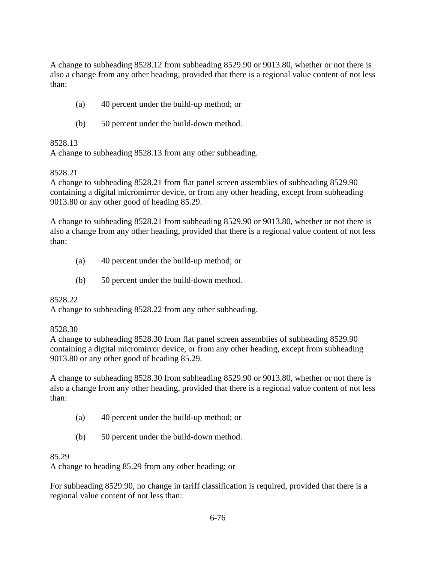A change to subheading 8528.12 from subheading 8529.90 or 9013.80, whether or not there is also a change from any other heading, provided that there is a regional value content of not less than:

- (a) 40 percent under the build-up method; or
- (b) 50 percent under the build-down method.

## 8528.13

A change to subheading 8528.13 from any other subheading.

### 8528.21

A change to subheading 8528.21 from flat panel screen assemblies of subheading 8529.90 containing a digital micromirror device, or from any other heading, except from subheading 9013.80 or any other good of heading 85.29.

A change to subheading 8528.21 from subheading 8529.90 or 9013.80, whether or not there is also a change from any other heading, provided that there is a regional value content of not less than:

- (a) 40 percent under the build-up method; or
- (b) 50 percent under the build-down method.

## 8528.22

A change to subheading 8528.22 from any other subheading.

## 8528.30

A change to subheading 8528.30 from flat panel screen assemblies of subheading 8529.90 containing a digital micromirror device, or from any other heading, except from subheading 9013.80 or any other good of heading 85.29.

A change to subheading 8528.30 from subheading 8529.90 or 9013.80, whether or not there is also a change from any other heading, provided that there is a regional value content of not less than:

- (a) 40 percent under the build-up method; or
- (b) 50 percent under the build-down method.

## 85.29

A change to heading 85.29 from any other heading; or

For subheading 8529.90, no change in tariff classification is required, provided that there is a regional value content of not less than: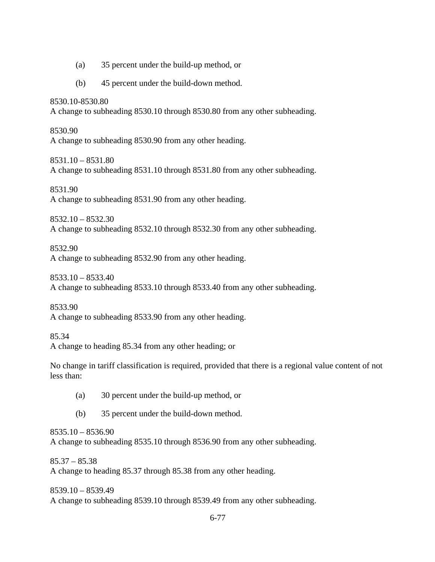- (a) 35 percent under the build-up method, or
- (b) 45 percent under the build-down method.

8530.10-8530.80

A change to subheading 8530.10 through 8530.80 from any other subheading.

8530.90 A change to subheading 8530.90 from any other heading.

8531.10 – 8531.80 A change to subheading 8531.10 through 8531.80 from any other subheading.

8531.90 A change to subheading 8531.90 from any other heading.

8532.10 – 8532.30 A change to subheading 8532.10 through 8532.30 from any other subheading.

8532.90

A change to subheading 8532.90 from any other heading.

8533.10 – 8533.40

A change to subheading 8533.10 through 8533.40 from any other subheading.

8533.90

A change to subheading 8533.90 from any other heading.

85.34

A change to heading 85.34 from any other heading; or

No change in tariff classification is required, provided that there is a regional value content of not less than:

- (a) 30 percent under the build-up method, or
- (b) 35 percent under the build-down method.

8535.10 – 8536.90

A change to subheading 8535.10 through 8536.90 from any other subheading.

 $85.37 - 85.38$ 

A change to heading 85.37 through 85.38 from any other heading.

8539.10 – 8539.49 A change to subheading 8539.10 through 8539.49 from any other subheading.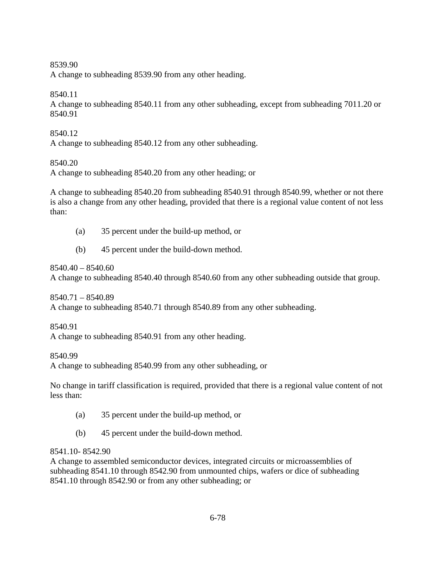#### 8539.90

A change to subheading 8539.90 from any other heading.

# 8540.11

A change to subheading 8540.11 from any other subheading, except from subheading 7011.20 or 8540.91

## 8540.12

A change to subheading 8540.12 from any other subheading.

# 8540.20

A change to subheading 8540.20 from any other heading; or

A change to subheading 8540.20 from subheading 8540.91 through 8540.99, whether or not there is also a change from any other heading, provided that there is a regional value content of not less than:

- (a) 35 percent under the build-up method, or
- (b) 45 percent under the build-down method.

8540.40 – 8540.60

A change to subheading 8540.40 through 8540.60 from any other subheading outside that group.

8540.71 – 8540.89 A change to subheading 8540.71 through 8540.89 from any other subheading.

8540.91

A change to subheading 8540.91 from any other heading.

8540.99

A change to subheading 8540.99 from any other subheading, or

No change in tariff classification is required, provided that there is a regional value content of not less than:

- (a) 35 percent under the build-up method, or
- (b) 45 percent under the build-down method.

# 8541.10- 8542.90

A change to assembled semiconductor devices, integrated circuits or microassemblies of subheading 8541.10 through 8542.90 from unmounted chips, wafers or dice of subheading 8541.10 through 8542.90 or from any other subheading; or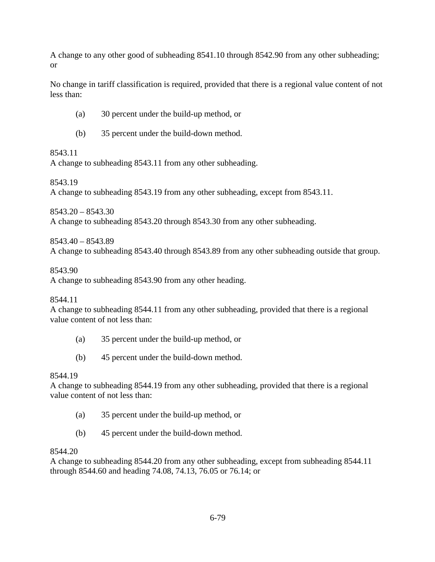A change to any other good of subheading 8541.10 through 8542.90 from any other subheading; or

No change in tariff classification is required, provided that there is a regional value content of not less than:

- (a) 30 percent under the build-up method, or
- (b) 35 percent under the build-down method.

## 8543.11

A change to subheading 8543.11 from any other subheading.

8543.19

A change to subheading 8543.19 from any other subheading, except from 8543.11.

8543.20 – 8543.30

A change to subheading 8543.20 through 8543.30 from any other subheading.

8543.40 – 8543.89

A change to subheading 8543.40 through 8543.89 from any other subheading outside that group.

8543.90

A change to subheading 8543.90 from any other heading.

8544.11

A change to subheading 8544.11 from any other subheading, provided that there is a regional value content of not less than:

- (a) 35 percent under the build-up method, or
- (b) 45 percent under the build-down method.

## 8544.19

A change to subheading 8544.19 from any other subheading, provided that there is a regional value content of not less than:

- (a) 35 percent under the build-up method, or
- (b) 45 percent under the build-down method.

## 8544.20

A change to subheading 8544.20 from any other subheading, except from subheading 8544.11 through 8544.60 and heading 74.08, 74.13, 76.05 or 76.14; or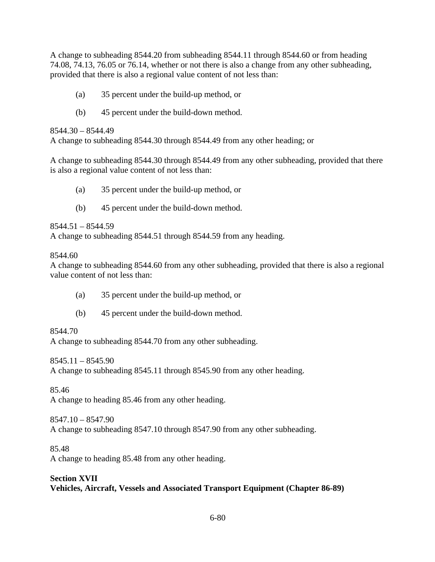A change to subheading 8544.20 from subheading 8544.11 through 8544.60 or from heading 74.08, 74.13, 76.05 or 76.14, whether or not there is also a change from any other subheading, provided that there is also a regional value content of not less than:

- (a) 35 percent under the build-up method, or
- (b) 45 percent under the build-down method.

8544.30 – 8544.49

A change to subheading 8544.30 through 8544.49 from any other heading; or

A change to subheading 8544.30 through 8544.49 from any other subheading, provided that there is also a regional value content of not less than:

- (a) 35 percent under the build-up method, or
- (b) 45 percent under the build-down method.

 $8544.51 - 8544.59$ 

A change to subheading 8544.51 through 8544.59 from any heading.

8544.60

A change to subheading 8544.60 from any other subheading, provided that there is also a regional value content of not less than:

- (a) 35 percent under the build-up method, or
- (b) 45 percent under the build-down method.

8544.70

A change to subheading 8544.70 from any other subheading.

8545.11 – 8545.90

A change to subheading 8545.11 through 8545.90 from any other heading.

85.46

A change to heading 85.46 from any other heading.

8547.10 – 8547.90 A change to subheading 8547.10 through 8547.90 from any other subheading.

85.48

A change to heading 85.48 from any other heading.

#### **Section XVII Vehicles, Aircraft, Vessels and Associated Transport Equipment (Chapter 86-89)**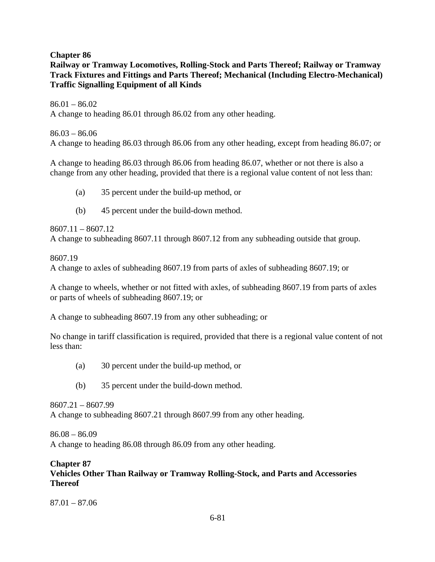**Chapter 86** 

**Railway or Tramway Locomotives, Rolling-Stock and Parts Thereof; Railway or Tramway Track Fixtures and Fittings and Parts Thereof; Mechanical (Including Electro-Mechanical) Traffic Signalling Equipment of all Kinds** 

 $86.01 - 86.02$ A change to heading 86.01 through 86.02 from any other heading.

 $86.03 - 86.06$ A change to heading 86.03 through 86.06 from any other heading, except from heading 86.07; or

A change to heading 86.03 through 86.06 from heading 86.07, whether or not there is also a change from any other heading, provided that there is a regional value content of not less than:

- (a) 35 percent under the build-up method, or
- (b) 45 percent under the build-down method.

8607.11 – 8607.12 A change to subheading 8607.11 through 8607.12 from any subheading outside that group.

8607.19

A change to axles of subheading 8607.19 from parts of axles of subheading 8607.19; or

A change to wheels, whether or not fitted with axles, of subheading 8607.19 from parts of axles or parts of wheels of subheading 8607.19; or

A change to subheading 8607.19 from any other subheading; or

No change in tariff classification is required, provided that there is a regional value content of not less than:

- (a) 30 percent under the build-up method, or
- (b) 35 percent under the build-down method.

8607.21 – 8607.99 A change to subheading 8607.21 through 8607.99 from any other heading.

86.08 – 86.09 A change to heading 86.08 through 86.09 from any other heading.

#### **Chapter 87 Vehicles Other Than Railway or Tramway Rolling-Stock, and Parts and Accessories Thereof**

87.01 – 87.06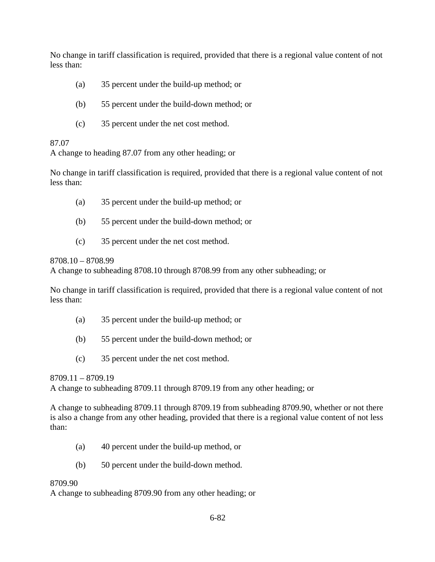No change in tariff classification is required, provided that there is a regional value content of not less than:

- (a) 35 percent under the build-up method; or
- (b) 55 percent under the build-down method; or
- (c) 35 percent under the net cost method.

### 87.07

A change to heading 87.07 from any other heading; or

No change in tariff classification is required, provided that there is a regional value content of not less than:

- (a) 35 percent under the build-up method; or
- (b) 55 percent under the build-down method; or
- (c) 35 percent under the net cost method.

### 8708.10 – 8708.99

A change to subheading 8708.10 through 8708.99 from any other subheading; or

No change in tariff classification is required, provided that there is a regional value content of not less than:

- (a) 35 percent under the build-up method; or
- (b) 55 percent under the build-down method; or
- (c) 35 percent under the net cost method.

8709.11 – 8709.19

A change to subheading 8709.11 through 8709.19 from any other heading; or

A change to subheading 8709.11 through 8709.19 from subheading 8709.90, whether or not there is also a change from any other heading, provided that there is a regional value content of not less than:

- (a) 40 percent under the build-up method, or
- (b) 50 percent under the build-down method.

## 8709.90

A change to subheading 8709.90 from any other heading; or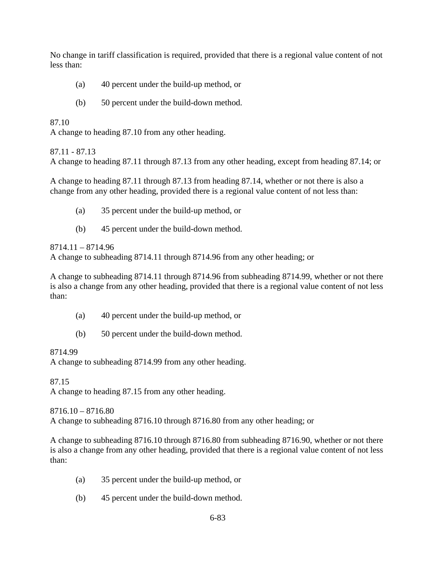No change in tariff classification is required, provided that there is a regional value content of not less than:

- (a) 40 percent under the build-up method, or
- (b) 50 percent under the build-down method.

### 87.10

A change to heading 87.10 from any other heading.

### 87.11 - 87.13

A change to heading 87.11 through 87.13 from any other heading, except from heading 87.14; or

A change to heading 87.11 through 87.13 from heading 87.14, whether or not there is also a change from any other heading, provided there is a regional value content of not less than:

- (a) 35 percent under the build-up method, or
- (b) 45 percent under the build-down method.

## 8714.11 – 8714.96

A change to subheading 8714.11 through 8714.96 from any other heading; or

A change to subheading 8714.11 through 8714.96 from subheading 8714.99, whether or not there is also a change from any other heading, provided that there is a regional value content of not less than:

- (a) 40 percent under the build-up method, or
- (b) 50 percent under the build-down method.

## 8714.99

A change to subheading 8714.99 from any other heading.

87.15 A change to heading 87.15 from any other heading.

8716.10 – 8716.80 A change to subheading 8716.10 through 8716.80 from any other heading; or

A change to subheading 8716.10 through 8716.80 from subheading 8716.90, whether or not there is also a change from any other heading, provided that there is a regional value content of not less than:

- (a) 35 percent under the build-up method, or
- (b) 45 percent under the build-down method.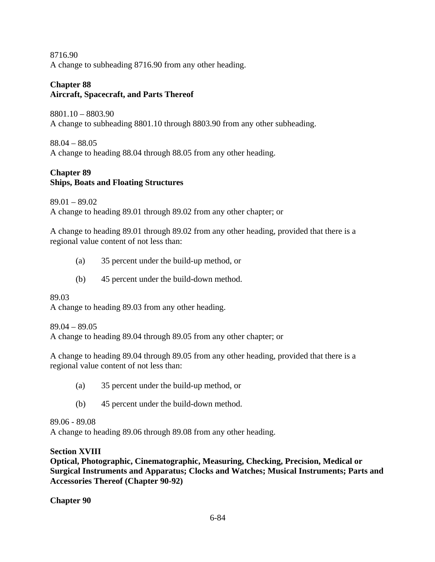8716.90 A change to subheading 8716.90 from any other heading.

#### **Chapter 88 Aircraft, Spacecraft, and Parts Thereof**

8801.10 – 8803.90 A change to subheading 8801.10 through 8803.90 from any other subheading.

88.04 – 88.05 A change to heading 88.04 through 88.05 from any other heading.

# **Chapter 89 Ships, Boats and Floating Structures**

89.01 – 89.02 A change to heading 89.01 through 89.02 from any other chapter; or

A change to heading 89.01 through 89.02 from any other heading, provided that there is a regional value content of not less than:

- (a) 35 percent under the build-up method, or
- (b) 45 percent under the build-down method.

89.03

A change to heading 89.03 from any other heading.

# 89.04 – 89.05

A change to heading 89.04 through 89.05 from any other chapter; or

A change to heading 89.04 through 89.05 from any other heading, provided that there is a regional value content of not less than:

- (a) 35 percent under the build-up method, or
- (b) 45 percent under the build-down method.

89.06 - 89.08

A change to heading 89.06 through 89.08 from any other heading.

# **Section XVIII**

**Optical, Photographic, Cinematographic, Measuring, Checking, Precision, Medical or Surgical Instruments and Apparatus; Clocks and Watches; Musical Instruments; Parts and Accessories Thereof (Chapter 90-92)** 

**Chapter 90**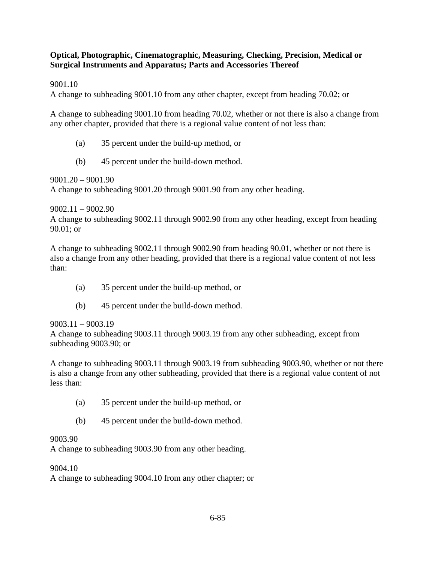### **Optical, Photographic, Cinematographic, Measuring, Checking, Precision, Medical or Surgical Instruments and Apparatus; Parts and Accessories Thereof**

9001.10

A change to subheading 9001.10 from any other chapter, except from heading 70.02; or

A change to subheading 9001.10 from heading 70.02, whether or not there is also a change from any other chapter, provided that there is a regional value content of not less than:

- (a) 35 percent under the build-up method, or
- (b) 45 percent under the build-down method.

9001.20 – 9001.90

A change to subheading 9001.20 through 9001.90 from any other heading.

9002.11 – 9002.90

A change to subheading 9002.11 through 9002.90 from any other heading, except from heading 90.01; or

A change to subheading 9002.11 through 9002.90 from heading 90.01, whether or not there is also a change from any other heading, provided that there is a regional value content of not less than:

- (a) 35 percent under the build-up method, or
- (b) 45 percent under the build-down method.

## 9003.11 – 9003.19

A change to subheading 9003.11 through 9003.19 from any other subheading, except from subheading 9003.90; or

A change to subheading 9003.11 through 9003.19 from subheading 9003.90, whether or not there is also a change from any other subheading, provided that there is a regional value content of not less than:

- (a) 35 percent under the build-up method, or
- (b) 45 percent under the build-down method.

## 9003.90

A change to subheading 9003.90 from any other heading.

## 9004.10

A change to subheading 9004.10 from any other chapter; or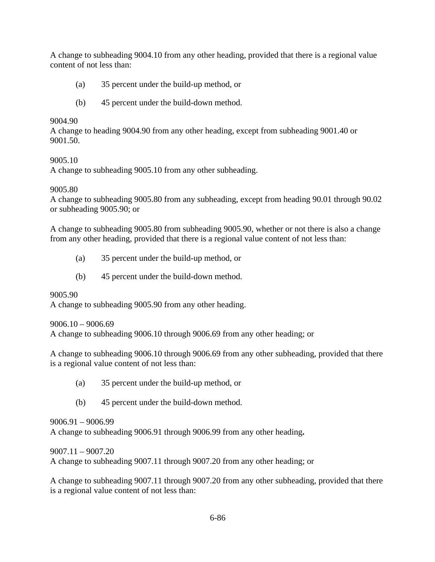A change to subheading 9004.10 from any other heading, provided that there is a regional value content of not less than:

- (a) 35 percent under the build-up method, or
- (b) 45 percent under the build-down method.

### 9004.90

A change to heading 9004.90 from any other heading, except from subheading 9001.40 or 9001.50.

## 9005.10

A change to subheading 9005.10 from any other subheading.

### 9005.80

A change to subheading 9005.80 from any subheading, except from heading 90.01 through 90.02 or subheading 9005.90; or

A change to subheading 9005.80 from subheading 9005.90, whether or not there is also a change from any other heading, provided that there is a regional value content of not less than:

- (a) 35 percent under the build-up method, or
- (b) 45 percent under the build-down method.

## 9005.90

A change to subheading 9005.90 from any other heading.

#### 9006.10 – 9006.69

A change to subheading 9006.10 through 9006.69 from any other heading; or

A change to subheading 9006.10 through 9006.69 from any other subheading, provided that there is a regional value content of not less than:

- (a) 35 percent under the build-up method, or
- (b) 45 percent under the build-down method.

## 9006.91 – 9006.99

A change to subheading 9006.91 through 9006.99 from any other heading**.** 

9007.11 – 9007.20

A change to subheading 9007.11 through 9007.20 from any other heading; or

A change to subheading 9007.11 through 9007.20 from any other subheading, provided that there is a regional value content of not less than: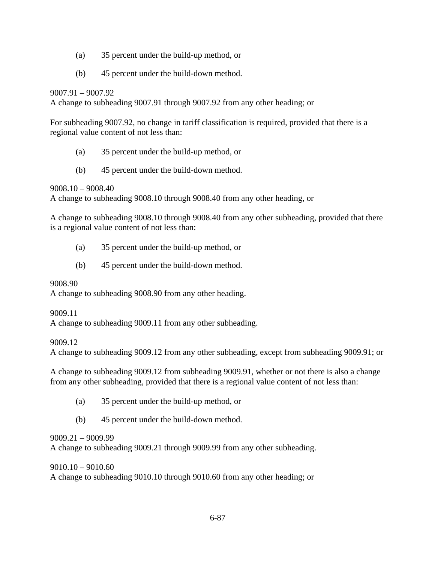- (a) 35 percent under the build-up method, or
- (b) 45 percent under the build-down method.

### 9007.91 – 9007.92

A change to subheading 9007.91 through 9007.92 from any other heading; or

For subheading 9007.92, no change in tariff classification is required, provided that there is a regional value content of not less than:

- (a) 35 percent under the build-up method, or
- (b) 45 percent under the build-down method.

9008.10 – 9008.40

A change to subheading 9008.10 through 9008.40 from any other heading, or

A change to subheading 9008.10 through 9008.40 from any other subheading, provided that there is a regional value content of not less than:

- (a) 35 percent under the build-up method, or
- (b) 45 percent under the build-down method.

## 9008.90

A change to subheading 9008.90 from any other heading.

9009.11

A change to subheading 9009.11 from any other subheading.

9009.12

A change to subheading 9009.12 from any other subheading, except from subheading 9009.91; or

A change to subheading 9009.12 from subheading 9009.91, whether or not there is also a change from any other subheading, provided that there is a regional value content of not less than:

- (a) 35 percent under the build-up method, or
- (b) 45 percent under the build-down method.

9009.21 – 9009.99

A change to subheading 9009.21 through 9009.99 from any other subheading.

9010.10 – 9010.60

A change to subheading 9010.10 through 9010.60 from any other heading; or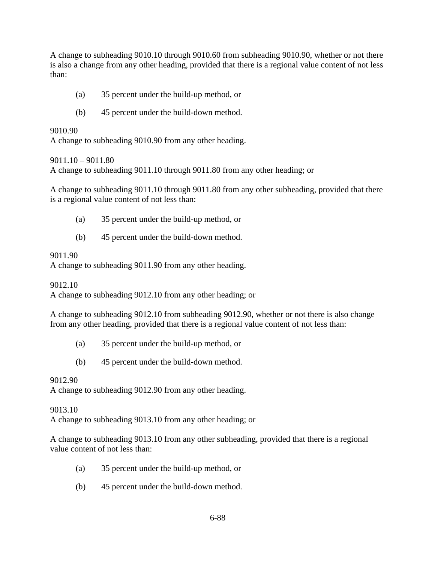A change to subheading 9010.10 through 9010.60 from subheading 9010.90, whether or not there is also a change from any other heading, provided that there is a regional value content of not less than:

- (a) 35 percent under the build-up method, or
- (b) 45 percent under the build-down method.

#### 9010.90

A change to subheading 9010.90 from any other heading.

#### 9011.10 – 9011.80

A change to subheading 9011.10 through 9011.80 from any other heading; or

A change to subheading 9011.10 through 9011.80 from any other subheading, provided that there is a regional value content of not less than:

- (a) 35 percent under the build-up method, or
- (b) 45 percent under the build-down method.

#### 9011.90

A change to subheading 9011.90 from any other heading.

#### 9012.10

A change to subheading 9012.10 from any other heading; or

A change to subheading 9012.10 from subheading 9012.90, whether or not there is also change from any other heading, provided that there is a regional value content of not less than:

- (a) 35 percent under the build-up method, or
- (b) 45 percent under the build-down method.

### 9012.90

A change to subheading 9012.90 from any other heading.

#### 9013.10

A change to subheading 9013.10 from any other heading; or

A change to subheading 9013.10 from any other subheading, provided that there is a regional value content of not less than:

- (a) 35 percent under the build-up method, or
- (b) 45 percent under the build-down method.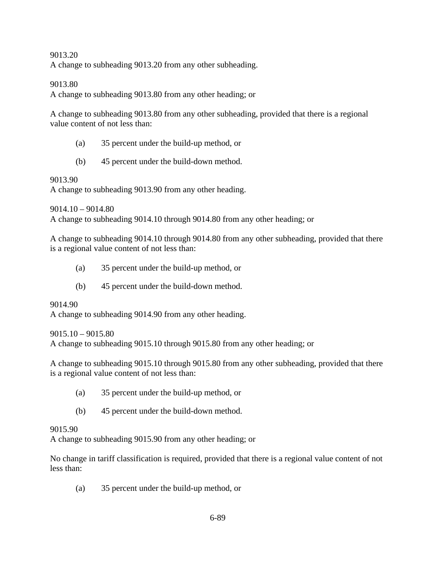#### 9013.20

A change to subheading 9013.20 from any other subheading.

#### 9013.80

A change to subheading 9013.80 from any other heading; or

A change to subheading 9013.80 from any other subheading, provided that there is a regional value content of not less than:

- (a) 35 percent under the build-up method, or
- (b) 45 percent under the build-down method.

#### 9013.90

A change to subheading 9013.90 from any other heading.

9014.10 – 9014.80

A change to subheading 9014.10 through 9014.80 from any other heading; or

A change to subheading 9014.10 through 9014.80 from any other subheading, provided that there is a regional value content of not less than:

- (a) 35 percent under the build-up method, or
- (b) 45 percent under the build-down method.

#### 9014.90

A change to subheading 9014.90 from any other heading.

 $9015.10 - 9015.80$ 

A change to subheading 9015.10 through 9015.80 from any other heading; or

A change to subheading 9015.10 through 9015.80 from any other subheading, provided that there is a regional value content of not less than:

- (a) 35 percent under the build-up method, or
- (b) 45 percent under the build-down method.

#### 9015.90

A change to subheading 9015.90 from any other heading; or

No change in tariff classification is required, provided that there is a regional value content of not less than:

(a) 35 percent under the build-up method, or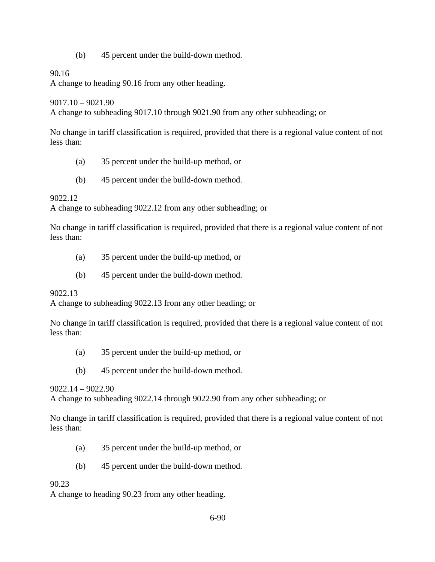(b) 45 percent under the build-down method.

#### 90.16

A change to heading 90.16 from any other heading.

9017.10 – 9021.90

A change to subheading 9017.10 through 9021.90 from any other subheading; or

No change in tariff classification is required, provided that there is a regional value content of not less than:

- (a) 35 percent under the build-up method, or
- (b) 45 percent under the build-down method.

#### 9022.12

A change to subheading 9022.12 from any other subheading; or

No change in tariff classification is required, provided that there is a regional value content of not less than:

- (a) 35 percent under the build-up method, or
- (b) 45 percent under the build-down method.

#### 9022.13

A change to subheading 9022.13 from any other heading; or

No change in tariff classification is required, provided that there is a regional value content of not less than:

- (a) 35 percent under the build-up method, or
- (b) 45 percent under the build-down method.

#### 9022.14 – 9022.90

A change to subheading 9022.14 through 9022.90 from any other subheading; or

No change in tariff classification is required, provided that there is a regional value content of not less than:

- (a) 35 percent under the build-up method, or
- (b) 45 percent under the build-down method.

#### 90.23

A change to heading 90.23 from any other heading.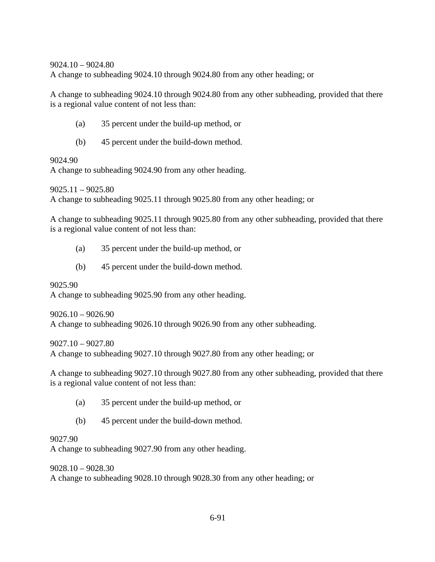9024.10 – 9024.80

A change to subheading 9024.10 through 9024.80 from any other heading; or

A change to subheading 9024.10 through 9024.80 from any other subheading, provided that there is a regional value content of not less than:

- (a) 35 percent under the build-up method, or
- (b) 45 percent under the build-down method.

9024.90

A change to subheading 9024.90 from any other heading.

9025.11 – 9025.80 A change to subheading 9025.11 through 9025.80 from any other heading; or

A change to subheading 9025.11 through 9025.80 from any other subheading, provided that there is a regional value content of not less than:

- (a) 35 percent under the build-up method, or
- (b) 45 percent under the build-down method.

9025.90 A change to subheading 9025.90 from any other heading.

9026.10 – 9026.90 A change to subheading 9026.10 through 9026.90 from any other subheading.

9027.10 – 9027.80 A change to subheading 9027.10 through 9027.80 from any other heading; or

A change to subheading 9027.10 through 9027.80 from any other subheading, provided that there is a regional value content of not less than:

- (a) 35 percent under the build-up method, or
- (b) 45 percent under the build-down method.

#### 9027.90

A change to subheading 9027.90 from any other heading.

9028.10 – 9028.30 A change to subheading 9028.10 through 9028.30 from any other heading; or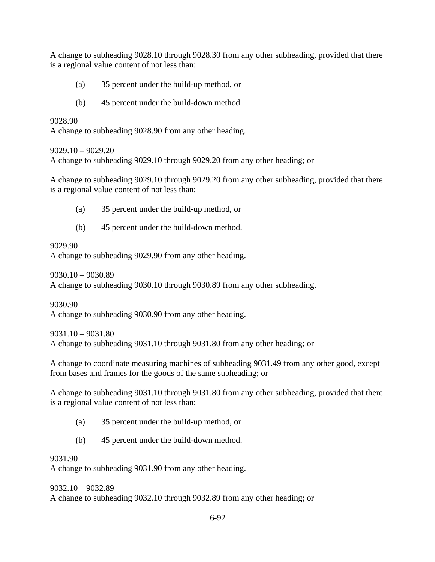A change to subheading 9028.10 through 9028.30 from any other subheading, provided that there is a regional value content of not less than:

- (a) 35 percent under the build-up method, or
- (b) 45 percent under the build-down method.

9028.90

A change to subheading 9028.90 from any other heading.

9029.10 – 9029.20

A change to subheading 9029.10 through 9029.20 from any other heading; or

A change to subheading 9029.10 through 9029.20 from any other subheading, provided that there is a regional value content of not less than:

- (a) 35 percent under the build-up method, or
- (b) 45 percent under the build-down method.

## 9029.90

A change to subheading 9029.90 from any other heading.

9030.10 – 9030.89

A change to subheading 9030.10 through 9030.89 from any other subheading.

9030.90

A change to subheading 9030.90 from any other heading.

9031.10 – 9031.80 A change to subheading 9031.10 through 9031.80 from any other heading; or

A change to coordinate measuring machines of subheading 9031.49 from any other good, except from bases and frames for the goods of the same subheading; or

A change to subheading 9031.10 through 9031.80 from any other subheading, provided that there is a regional value content of not less than:

- (a) 35 percent under the build-up method, or
- (b) 45 percent under the build-down method.

## 9031.90

A change to subheading 9031.90 from any other heading.

9032.10 – 9032.89

A change to subheading 9032.10 through 9032.89 from any other heading; or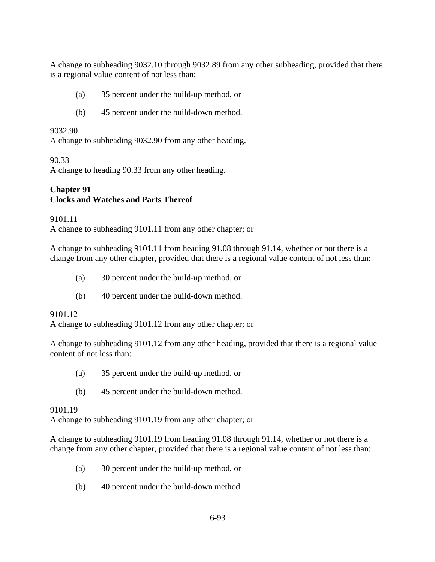A change to subheading 9032.10 through 9032.89 from any other subheading, provided that there is a regional value content of not less than:

- (a) 35 percent under the build-up method, or
- (b) 45 percent under the build-down method.

#### 9032.90

A change to subheading 9032.90 from any other heading.

90.33

A change to heading 90.33 from any other heading.

## **Chapter 91 Clocks and Watches and Parts Thereof**

9101.11 A change to subheading 9101.11 from any other chapter; or

A change to subheading 9101.11 from heading 91.08 through 91.14, whether or not there is a change from any other chapter, provided that there is a regional value content of not less than:

- (a) 30 percent under the build-up method, or
- (b) 40 percent under the build-down method.

#### 9101.12

A change to subheading 9101.12 from any other chapter; or

A change to subheading 9101.12 from any other heading, provided that there is a regional value content of not less than:

- (a) 35 percent under the build-up method, or
- (b) 45 percent under the build-down method.

#### 9101.19

A change to subheading 9101.19 from any other chapter; or

A change to subheading 9101.19 from heading 91.08 through 91.14, whether or not there is a change from any other chapter, provided that there is a regional value content of not less than:

- (a) 30 percent under the build-up method, or
- (b) 40 percent under the build-down method.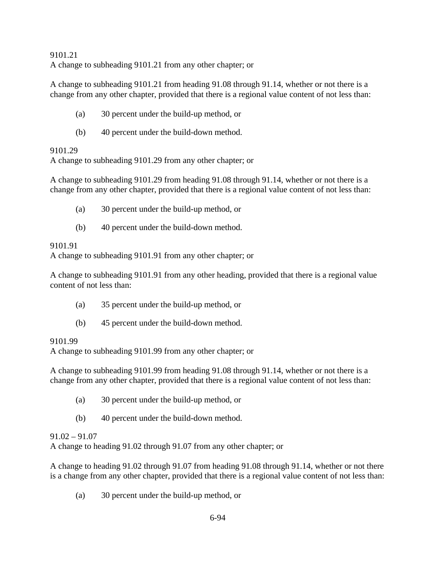9101.21 A change to subheading 9101.21 from any other chapter; or

A change to subheading 9101.21 from heading 91.08 through 91.14, whether or not there is a change from any other chapter, provided that there is a regional value content of not less than:

- (a) 30 percent under the build-up method, or
- (b) 40 percent under the build-down method.

### 9101.29

A change to subheading 9101.29 from any other chapter; or

A change to subheading 9101.29 from heading 91.08 through 91.14, whether or not there is a change from any other chapter, provided that there is a regional value content of not less than:

- (a) 30 percent under the build-up method, or
- (b) 40 percent under the build-down method.

### 9101.91

A change to subheading 9101.91 from any other chapter; or

A change to subheading 9101.91 from any other heading, provided that there is a regional value content of not less than:

- (a) 35 percent under the build-up method, or
- (b) 45 percent under the build-down method.

#### 9101.99

A change to subheading 9101.99 from any other chapter; or

A change to subheading 9101.99 from heading 91.08 through 91.14, whether or not there is a change from any other chapter, provided that there is a regional value content of not less than:

- (a) 30 percent under the build-up method, or
- (b) 40 percent under the build-down method.

## $91.02 - 91.07$

A change to heading 91.02 through 91.07 from any other chapter; or

A change to heading 91.02 through 91.07 from heading 91.08 through 91.14, whether or not there is a change from any other chapter, provided that there is a regional value content of not less than:

(a) 30 percent under the build-up method, or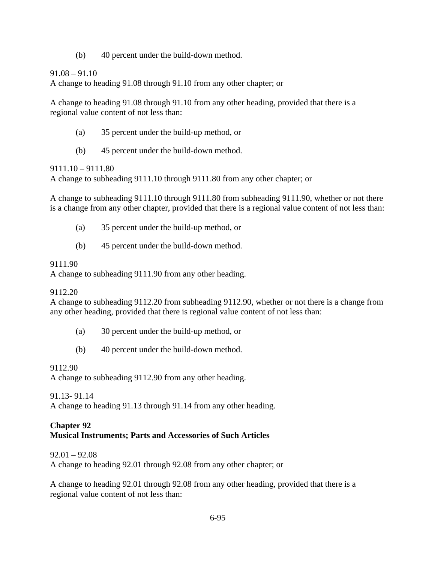(b) 40 percent under the build-down method.

91.08 – 91.10

A change to heading 91.08 through 91.10 from any other chapter; or

A change to heading 91.08 through 91.10 from any other heading, provided that there is a regional value content of not less than:

- (a) 35 percent under the build-up method, or
- (b) 45 percent under the build-down method.

9111.10 – 9111.80

A change to subheading 9111.10 through 9111.80 from any other chapter; or

A change to subheading 9111.10 through 9111.80 from subheading 9111.90, whether or not there is a change from any other chapter, provided that there is a regional value content of not less than:

- (a) 35 percent under the build-up method, or
- (b) 45 percent under the build-down method.

### 9111.90

A change to subheading 9111.90 from any other heading.

## 9112.20

A change to subheading 9112.20 from subheading 9112.90, whether or not there is a change from any other heading, provided that there is regional value content of not less than:

- (a) 30 percent under the build-up method, or
- (b) 40 percent under the build-down method.

## 9112.90

A change to subheading 9112.90 from any other heading.

91.13- 91.14

A change to heading 91.13 through 91.14 from any other heading.

### **Chapter 92 Musical Instruments; Parts and Accessories of Such Articles**

92.01 – 92.08

A change to heading 92.01 through 92.08 from any other chapter; or

A change to heading 92.01 through 92.08 from any other heading, provided that there is a regional value content of not less than: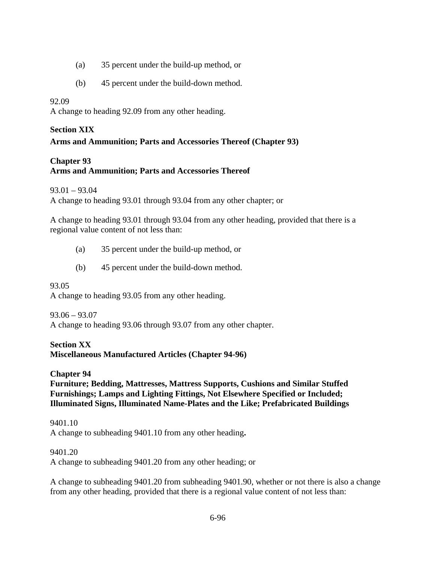- (a) 35 percent under the build-up method, or
- (b) 45 percent under the build-down method.

### 92.09

A change to heading 92.09 from any other heading.

### **Section XIX**

# **Arms and Ammunition; Parts and Accessories Thereof (Chapter 93)**

### **Chapter 93**

## **Arms and Ammunition; Parts and Accessories Thereof**

93.01 – 93.04

A change to heading 93.01 through 93.04 from any other chapter; or

A change to heading 93.01 through 93.04 from any other heading, provided that there is a regional value content of not less than:

- (a) 35 percent under the build-up method, or
- (b) 45 percent under the build-down method.

#### 93.05

A change to heading 93.05 from any other heading.

#### 93.06 – 93.07

A change to heading 93.06 through 93.07 from any other chapter.

## **Section XX**

**Miscellaneous Manufactured Articles (Chapter 94-96)** 

#### **Chapter 94**

**Furniture; Bedding, Mattresses, Mattress Supports, Cushions and Similar Stuffed Furnishings; Lamps and Lighting Fittings, Not Elsewhere Specified or Included; Illuminated Signs, Illuminated Name-Plates and the Like; Prefabricated Buildings** 

9401.10 A change to subheading 9401.10 from any other heading**.** 

#### 9401.20

A change to subheading 9401.20 from any other heading; or

A change to subheading 9401.20 from subheading 9401.90, whether or not there is also a change from any other heading, provided that there is a regional value content of not less than: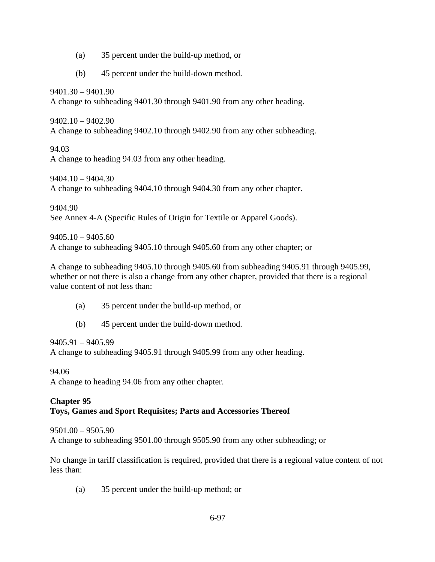- (a) 35 percent under the build-up method, or
- (b) 45 percent under the build-down method.

9401.30 – 9401.90

A change to subheading 9401.30 through 9401.90 from any other heading.

9402.10 – 9402.90 A change to subheading 9402.10 through 9402.90 from any other subheading.

94.03 A change to heading 94.03 from any other heading.

9404.10 – 9404.30 A change to subheading 9404.10 through 9404.30 from any other chapter.

9404.90 See Annex 4-A (Specific Rules of Origin for Textile or Apparel Goods).

9405.10 – 9405.60 A change to subheading 9405.10 through 9405.60 from any other chapter; or

A change to subheading 9405.10 through 9405.60 from subheading 9405.91 through 9405.99, whether or not there is also a change from any other chapter, provided that there is a regional value content of not less than:

- (a) 35 percent under the build-up method, or
- (b) 45 percent under the build-down method.

9405.91 – 9405.99 A change to subheading 9405.91 through 9405.99 from any other heading.

94.06

A change to heading 94.06 from any other chapter.

### **Chapter 95 Toys, Games and Sport Requisites; Parts and Accessories Thereof**

9501.00 – 9505.90

A change to subheading 9501.00 through 9505.90 from any other subheading; or

No change in tariff classification is required, provided that there is a regional value content of not less than:

(a) 35 percent under the build-up method; or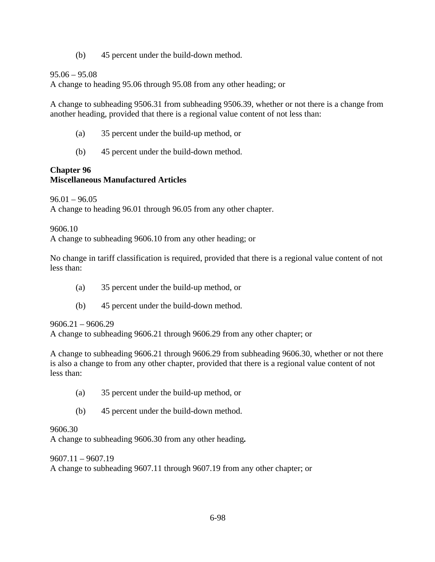(b) 45 percent under the build-down method.

## 95.06 – 95.08

A change to heading 95.06 through 95.08 from any other heading; or

A change to subheading 9506.31 from subheading 9506.39, whether or not there is a change from another heading, provided that there is a regional value content of not less than:

- (a) 35 percent under the build-up method, or
- (b) 45 percent under the build-down method.

# **Chapter 96 Miscellaneous Manufactured Articles**

 $96.01 - 96.05$ 

A change to heading 96.01 through 96.05 from any other chapter.

9606.10

A change to subheading 9606.10 from any other heading; or

No change in tariff classification is required, provided that there is a regional value content of not less than:

- (a) 35 percent under the build-up method, or
- (b) 45 percent under the build-down method.

## 9606.21 – 9606.29

A change to subheading 9606.21 through 9606.29 from any other chapter; or

A change to subheading 9606.21 through 9606.29 from subheading 9606.30, whether or not there is also a change to from any other chapter, provided that there is a regional value content of not less than:

- (a) 35 percent under the build-up method, or
- (b) 45 percent under the build-down method.

## 9606.30

A change to subheading 9606.30 from any other heading*.*

## 9607.11 – 9607.19

A change to subheading 9607.11 through 9607.19 from any other chapter; or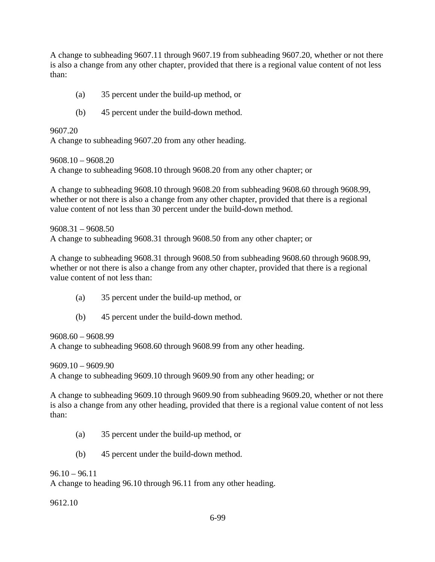A change to subheading 9607.11 through 9607.19 from subheading 9607.20, whether or not there is also a change from any other chapter, provided that there is a regional value content of not less than:

- (a) 35 percent under the build-up method, or
- (b) 45 percent under the build-down method.

9607.20 A change to subheading 9607.20 from any other heading.

9608.10 – 9608.20 A change to subheading 9608.10 through 9608.20 from any other chapter; or

A change to subheading 9608.10 through 9608.20 from subheading 9608.60 through 9608.99, whether or not there is also a change from any other chapter, provided that there is a regional value content of not less than 30 percent under the build-down method.

9608.31 – 9608.50 A change to subheading 9608.31 through 9608.50 from any other chapter; or

A change to subheading 9608.31 through 9608.50 from subheading 9608.60 through 9608.99, whether or not there is also a change from any other chapter, provided that there is a regional value content of not less than:

- (a) 35 percent under the build-up method, or
- (b) 45 percent under the build-down method.

9608.60 – 9608.99

A change to subheading 9608.60 through 9608.99 from any other heading.

9609.10 – 9609.90 A change to subheading 9609.10 through 9609.90 from any other heading; or

A change to subheading 9609.10 through 9609.90 from subheading 9609.20, whether or not there is also a change from any other heading, provided that there is a regional value content of not less than:

- (a) 35 percent under the build-up method, or
- (b) 45 percent under the build-down method.

 $96.10 - 96.11$ 

A change to heading 96.10 through 96.11 from any other heading.

9612.10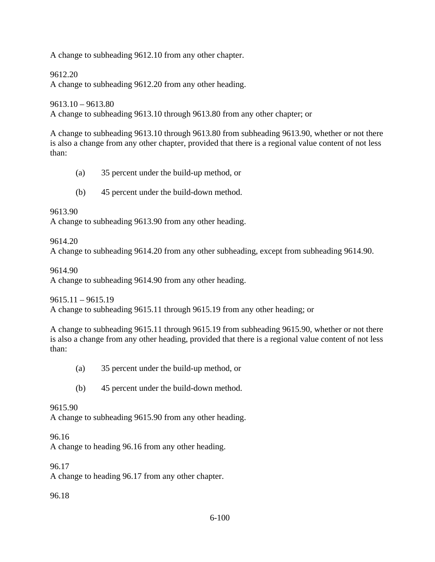A change to subheading 9612.10 from any other chapter.

9612.20

A change to subheading 9612.20 from any other heading.

9613.10 – 9613.80 A change to subheading 9613.10 through 9613.80 from any other chapter; or

A change to subheading 9613.10 through 9613.80 from subheading 9613.90, whether or not there is also a change from any other chapter, provided that there is a regional value content of not less than:

- (a) 35 percent under the build-up method, or
- (b) 45 percent under the build-down method.

9613.90

A change to subheading 9613.90 from any other heading.

9614.20

A change to subheading 9614.20 from any other subheading, except from subheading 9614.90.

9614.90

A change to subheading 9614.90 from any other heading.

 $9615.11 - 9615.19$ 

A change to subheading 9615.11 through 9615.19 from any other heading; or

A change to subheading 9615.11 through 9615.19 from subheading 9615.90, whether or not there is also a change from any other heading, provided that there is a regional value content of not less than:

- (a) 35 percent under the build-up method, or
- (b) 45 percent under the build-down method.

9615.90

A change to subheading 9615.90 from any other heading.

96.16

A change to heading 96.16 from any other heading.

96.17

A change to heading 96.17 from any other chapter.

96.18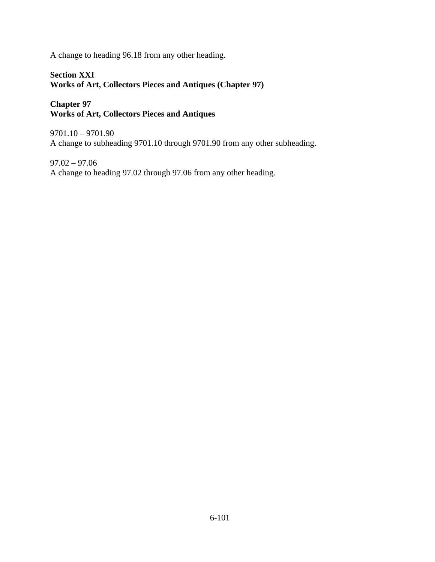A change to heading 96.18 from any other heading.

### **Section XXI Works of Art, Collectors Pieces and Antiques (Chapter 97)**

## **Chapter 97 Works of Art, Collectors Pieces and Antiques**

9701.10 – 9701.90 A change to subheading 9701.10 through 9701.90 from any other subheading.

97.02 – 97.06 A change to heading 97.02 through 97.06 from any other heading.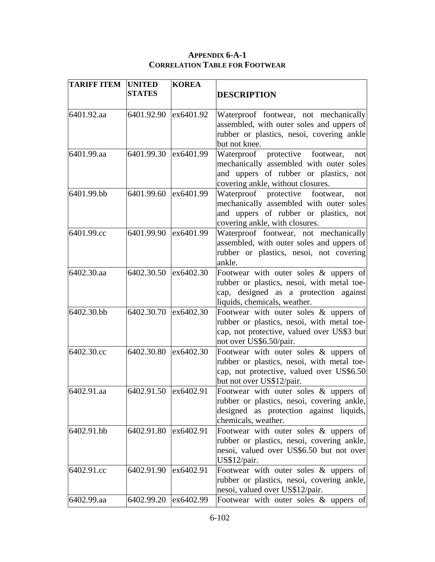### **APPENDIX 6-A-1 CORRELATION TABLE FOR FOOTWEAR**

| <b>TARIFF ITEM</b> | <b>UNITED</b><br><b>STATES</b> | <b>KOREA</b> | <b>DESCRIPTION</b>                                                                                                                                              |
|--------------------|--------------------------------|--------------|-----------------------------------------------------------------------------------------------------------------------------------------------------------------|
| 6401.92.aa         | 6401.92.90                     | ex6401.92    | Waterproof footwear, not mechanically<br>assembled, with outer soles and uppers of<br>rubber or plastics, nesoi, covering ankle<br>but not knee.                |
| 6401.99.aa         | 6401.99.30                     | ex6401.99    | Waterproof protective footwear,<br>not<br>mechanically assembled with outer soles<br>and uppers of rubber or plastics, not<br>covering ankle, without closures. |
| 6401.99.bb         | 6401.99.60 ex6401.99           |              | Waterproof protective footwear,<br>not<br>mechanically assembled with outer soles<br>and uppers of rubber or plastics, not<br>covering ankle, with closures.    |
| 6401.99.cc         | 6401.99.90                     | ex6401.99    | Waterproof footwear, not mechanically<br>assembled, with outer soles and uppers of<br>rubber or plastics, nesoi, not covering<br>ankle.                         |
| 6402.30.aa         | 6402.30.50                     | ex6402.30    | Footwear with outer soles $\&$ uppers of<br>rubber or plastics, nesoi, with metal toe-<br>cap, designed as a protection against<br>liquids, chemicals, weather. |
| 6402.30.bb         | 6402.30.70                     | ex6402.30    | Footwear with outer soles $\&$ uppers of<br>rubber or plastics, nesoi, with metal toe-<br>cap, not protective, valued over US\$3 but<br>not over US\$6.50/pair. |
| 6402.30.cc         | 6402.30.80                     | ex6402.30    | Footwear with outer soles & uppers of<br>rubber or plastics, nesoi, with metal toe-<br>cap, not protective, valued over US\$6.50<br>but not over US\$12/pair.   |
| 6402.91.aa         | 6402.91.50 ex6402.91           |              | Footwear with outer soles $\&$ uppers of<br>rubber or plastics, nesoi, covering ankle,<br>designed as protection against liquids,<br>chemicals, weather.        |
| 6402.91.bb         | 6402.91.80                     | ex6402.91    | Footwear with outer soles $\&$ uppers of<br>rubber or plastics, nesoi, covering ankle,<br>nesoi, valued over US\$6.50 but not over<br>US\$12/pair.              |
| 6402.91.cc         | 6402.91.90                     | ex6402.91    | Footwear with outer soles $\&$ uppers of<br>rubber or plastics, nesoi, covering ankle,<br>nesoi, valued over US\$12/pair.                                       |
| 6402.99.aa         | 6402.99.20                     | ex6402.99    | Footwear with outer soles & uppers of                                                                                                                           |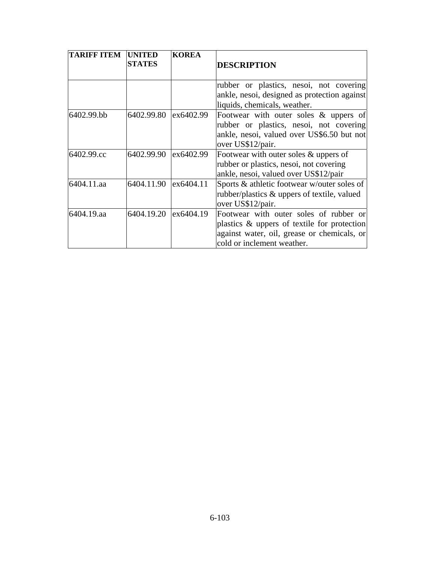| <b>TARIFF ITEM</b> | <b>UNITED</b><br><b>STATES</b> | <b>KOREA</b> | <b>DESCRIPTION</b>                                                                                                                                                 |
|--------------------|--------------------------------|--------------|--------------------------------------------------------------------------------------------------------------------------------------------------------------------|
|                    |                                |              | rubber or plastics, nesoi, not covering<br>ankle, nesoi, designed as protection against<br>liquids, chemicals, weather.                                            |
| 6402.99.bb         | 6402.99.80                     | ex6402.99    | Footwear with outer soles & uppers of<br>rubber or plastics, nesoi, not covering<br>ankle, nesoi, valued over US\$6.50 but not<br>over US\$12/pair.                |
| 6402.99.cc         | 6402.99.90                     | ex6402.99    | Footwear with outer soles & uppers of<br>rubber or plastics, nesoi, not covering<br>ankle, nesoi, valued over US\$12/pair                                          |
| 6404.11.aa         | 6404.11.90                     | ex6404.11    | Sports & athletic footwear w/outer soles of<br>rubber/plastics & uppers of textile, valued<br>over US\$12/pair.                                                    |
| 6404.19.aa         | 6404.19.20                     | ex6404.19    | Footwear with outer soles of rubber or<br>plastics & uppers of textile for protection<br>against water, oil, grease or chemicals, or<br>cold or inclement weather. |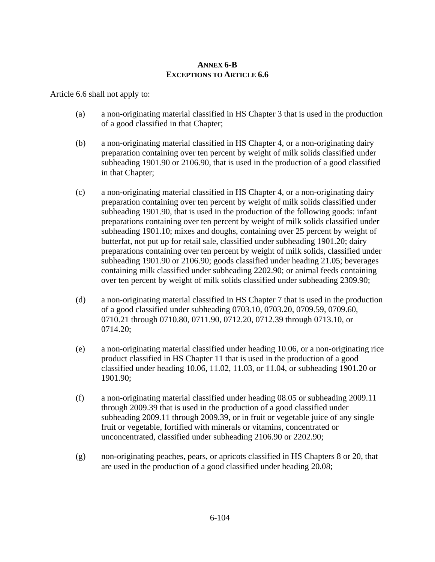## **ANNEX 6-B EXCEPTIONS TO ARTICLE 6.6**

Article 6.6 shall not apply to:

- (a) a non-originating material classified in HS Chapter 3 that is used in the production of a good classified in that Chapter;
- (b) a non-originating material classified in HS Chapter 4, or a non-originating dairy preparation containing over ten percent by weight of milk solids classified under subheading 1901.90 or 2106.90, that is used in the production of a good classified in that Chapter;
- (c) a non-originating material classified in HS Chapter 4, or a non-originating dairy preparation containing over ten percent by weight of milk solids classified under subheading 1901.90, that is used in the production of the following goods: infant preparations containing over ten percent by weight of milk solids classified under subheading 1901.10; mixes and doughs, containing over 25 percent by weight of butterfat, not put up for retail sale, classified under subheading 1901.20; dairy preparations containing over ten percent by weight of milk solids, classified under subheading 1901.90 or 2106.90; goods classified under heading 21.05; beverages containing milk classified under subheading 2202.90; or animal feeds containing over ten percent by weight of milk solids classified under subheading 2309.90;
- (d) a non-originating material classified in HS Chapter 7 that is used in the production of a good classified under subheading 0703.10, 0703.20, 0709.59, 0709.60, 0710.21 through 0710.80, 0711.90, 0712.20, 0712.39 through 0713.10, or 0714.20;
- (e) a non-originating material classified under heading 10.06, or a non-originating rice product classified in HS Chapter 11 that is used in the production of a good classified under heading 10.06, 11.02, 11.03, or 11.04, or subheading 1901.20 or 1901.90;
- (f) a non-originating material classified under heading 08.05 or subheading 2009.11 through 2009.39 that is used in the production of a good classified under subheading 2009.11 through 2009.39, or in fruit or vegetable juice of any single fruit or vegetable, fortified with minerals or vitamins, concentrated or unconcentrated, classified under subheading 2106.90 or 2202.90;
- (g) non-originating peaches, pears, or apricots classified in HS Chapters 8 or 20, that are used in the production of a good classified under heading 20.08;